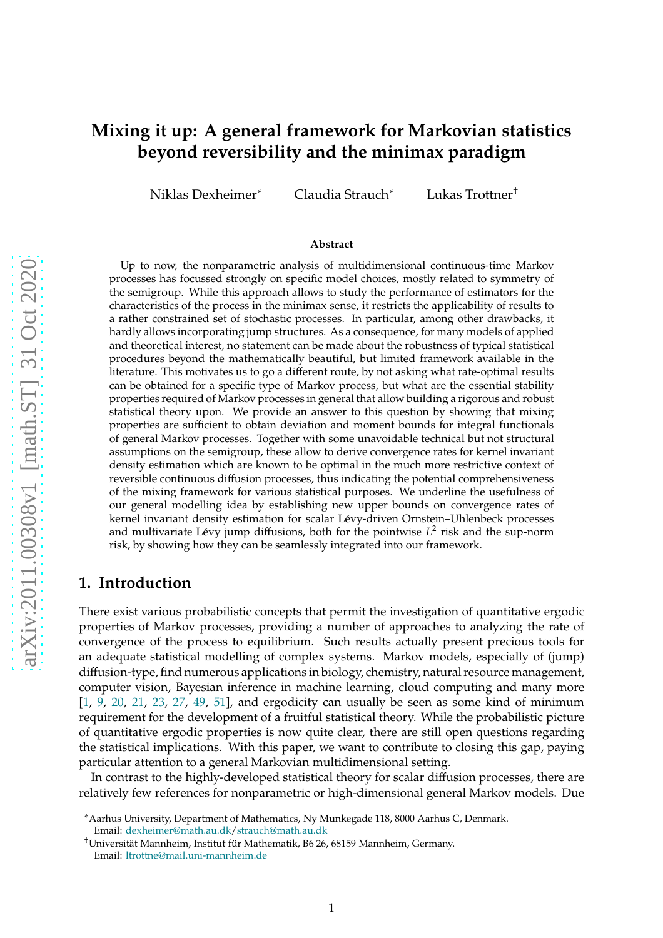# **Mixing it up: A general framework for Markovian statistics beyond reversibility and the minimax paradigm**

Niklas Dexheimer<sup>∗</sup> Claudia Strauch<sup>∗</sup> Lukas Trottner†

#### **Abstract**

Up to now, the nonparametric analysis of multidimensional continuous-time Markov processes has focussed strongly on specific model choices, mostly related to symmetry of the semigroup. While this approach allows to study the performance of estimators for the characteristics of the process in the minimax sense, it restricts the applicability of results to a rather constrained set of stochastic processes. In particular, among other drawbacks, it hardly allows incorporating jump structures. As a consequence, for many models of applied and theoretical interest, no statement can be made about the robustness of typical statistical procedures beyond the mathematically beautiful, but limited framework available in the literature. This motivates us to go a different route, by not asking what rate-optimal results can be obtained for a specific type of Markov process, but what are the essential stability properties required of Markov processes in general that allow building a rigorous and robust statistical theory upon. We provide an answer to this question by showing that mixing properties are sufficient to obtain deviation and moment bounds for integral functionals of general Markov processes. Together with some unavoidable technical but not structural assumptions on the semigroup, these allow to derive convergence rates for kernel invariant density estimation which are known to be optimal in the much more restrictive context of reversible continuous diffusion processes, thus indicating the potential comprehensiveness of the mixing framework for various statistical purposes. We underline the usefulness of our general modelling idea by establishing new upper bounds on convergence rates of kernel invariant density estimation for scalar Lévy-driven Ornstein–Uhlenbeck processes and multivariate Lévy jump diffusions, both for the pointwise  $L^2$  risk and the sup-norm risk, by showing how they can be seamlessly integrated into our framework.

## **1. Introduction**

There exist various probabilistic concepts that permit the investigation of quantitative ergodic properties of Markov processes, providing a number of approaches to analyzing the rate of convergence of the process to equilibrium. Such results actually present precious tools for an adequate statistical modelling of complex systems. Markov models, especially of (jump) diffusion-type, find numerous applications in biology, chemistry, natural resource management, computer vision, Bayesian inference in machine learning, cloud computing and many more [\[1,](#page-38-0) [9,](#page-39-0) [20](#page-40-0), [21](#page-40-1), [23,](#page-40-2) [27](#page-40-3), [49](#page-41-0), [51\]](#page-41-1), and ergodicity can usually be seen as some kind of minimum requirement for the development of a fruitful statistical theory. While the probabilistic picture of quantitative ergodic properties is now quite clear, there are still open questions regarding the statistical implications. With this paper, we want to contribute to closing this gap, paying particular attention to a general Markovian multidimensional setting.

In contrast to the highly-developed statistical theory for scalar diffusion processes, there are relatively few references for nonparametric or high-dimensional general Markov models. Due

<sup>∗</sup>Aarhus University, Department of Mathematics, Ny Munkegade 118, 8000 Aarhus C, Denmark. Email: [dexheimer@math.au.dk](mailto:dexheimer@math.au.dk)[/strauch@math.au.dk](mailto:strauch@math.au.dk)

<sup>†</sup>Universität Mannheim, Institut für Mathematik, B6 26, 68159 Mannheim, Germany. Email: [ltrottne@mail.uni-mannheim.de](mailto:ltrottne@mail.uni-mannheim.de)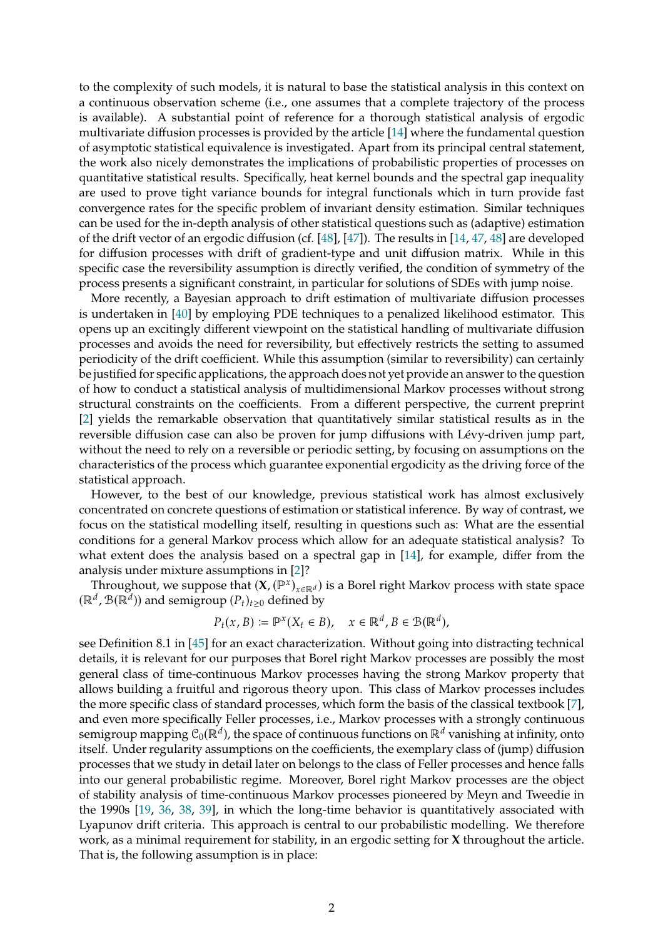to the complexity of such models, it is natural to base the statistical analysis in this context on a continuous observation scheme (i.e., one assumes that a complete trajectory of the process is available). A substantial point of reference for a thorough statistical analysis of ergodic multivariate diffusion processes is provided by the article [\[14](#page-39-1)] where the fundamental question of asymptotic statistical equivalence is investigated. Apart from its principal central statement, the work also nicely demonstrates the implications of probabilistic properties of processes on quantitative statistical results. Specifically, heat kernel bounds and the spectral gap inequality are used to prove tight variance bounds for integral functionals which in turn provide fast convergence rates for the specific problem of invariant density estimation. Similar techniques can be used for the in-depth analysis of other statistical questions such as (adaptive) estimation of the drift vector of an ergodic diffusion (cf. [\[48](#page-41-2)], [\[47](#page-41-3)]). The results in [\[14](#page-39-1), [47](#page-41-3), [48](#page-41-2)] are developed for diffusion processes with drift of gradient-type and unit diffusion matrix. While in this specific case the reversibility assumption is directly verified, the condition of symmetry of the process presents a significant constraint, in particular for solutions of SDEs with jump noise.

More recently, a Bayesian approach to drift estimation of multivariate diffusion processes is undertaken in [\[40](#page-41-4)] by employing PDE techniques to a penalized likelihood estimator. This opens up an excitingly different viewpoint on the statistical handling of multivariate diffusion processes and avoids the need for reversibility, but effectively restricts the setting to assumed periodicity of the drift coefficient. While this assumption (similar to reversibility) can certainly be justified for specific applications, the approach does not yet provide an answer to the question of how to conduct a statistical analysis of multidimensional Markov processes without strong structural constraints on the coefficients. From a different perspective, the current preprint [\[2\]](#page-39-2) yields the remarkable observation that quantitatively similar statistical results as in the reversible diffusion case can also be proven for jump diffusions with Lévy-driven jump part, without the need to rely on a reversible or periodic setting, by focusing on assumptions on the characteristics of the process which guarantee exponential ergodicity as the driving force of the statistical approach.

However, to the best of our knowledge, previous statistical work has almost exclusively concentrated on concrete questions of estimation or statistical inference. By way of contrast, we focus on the statistical modelling itself, resulting in questions such as: What are the essential conditions for a general Markov process which allow for an adequate statistical analysis? To what extent does the analysis based on a spectral gap in [\[14\]](#page-39-1), for example, differ from the analysis under mixture assumptions in [\[2\]](#page-39-2)?

Throughout, we suppose that  $(\mathbf{X}, (\mathbb{P}^x)_{x \in \mathbb{R}^d})$  is a Borel right Markov process with state space  $(\mathbb{R}^d, \mathcal{B}(\mathbb{R}^d))$  and semigroup  $(P_t)_{t\geq0}$  defined by

$$
P_t(x, B) := \mathbb{P}^x(X_t \in B), \quad x \in \mathbb{R}^d, B \in \mathcal{B}(\mathbb{R}^d),
$$

see Definition 8.1 in [\[45](#page-41-5)] for an exact characterization. Without going into distracting technical details, it is relevant for our purposes that Borel right Markov processes are possibly the most general class of time-continuous Markov processes having the strong Markov property that allows building a fruitful and rigorous theory upon. This class of Markov processes includes the more specific class of standard processes, which form the basis of the classical textbook [\[7](#page-39-3)], and even more specifically Feller processes, i.e., Markov processes with a strongly continuous semigroup mapping  $\mathcal{C}_0(\mathbb{R}^d)$ , the space of continuous functions on  $\mathbb{R}^d$  vanishing at infinity, onto itself. Under regularity assumptions on the coefficients, the exemplary class of (jump) diffusion processes that we study in detail later on belongs to the class of Feller processes and hence falls into our general probabilistic regime. Moreover, Borel right Markov processes are the object of stability analysis of time-continuous Markov processes pioneered by Meyn and Tweedie in the 1990s [\[19](#page-39-4), [36](#page-41-6), [38,](#page-41-7) [39\]](#page-41-8), in which the long-time behavior is quantitatively associated with Lyapunov drift criteria. This approach is central to our probabilistic modelling. We therefore work, as a minimal requirement for stability, in an ergodic setting for **X** throughout the article. That is, the following assumption is in place: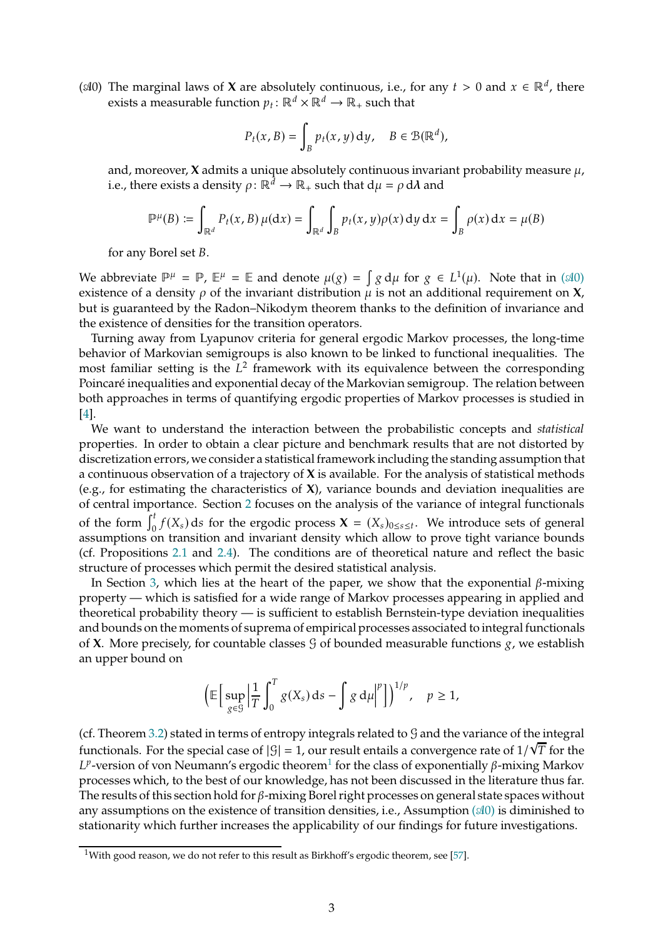<span id="page-2-0"></span>( $\triangleleft 0$ ) The marginal laws of **X** are absolutely continuous, i.e., for any  $t > 0$  and  $x \in \mathbb{R}^d$ , there exists a measurable function  $p_t: \mathbb{R}^d \times \mathbb{R}^d \to \mathbb{R}_+$  such that

$$
P_t(x, B) = \int_B p_t(x, y) \, dy, \quad B \in \mathcal{B}(\mathbb{R}^d),
$$

and, moreover,  $X$  admits a unique absolutely continuous invariant probability measure  $\mu$ , i.e., there exists a density  $\rho: \mathbb{R}^d \to \mathbb{R}_+$  such that  $d\mu = \rho d\lambda$  and

$$
\mathbb{P}^{\mu}(B) \coloneqq \int_{\mathbb{R}^d} P_t(x, B) \,\mu(\mathrm{d}x) = \int_{\mathbb{R}^d} \int_B p_t(x, y) \rho(x) \,\mathrm{d}y \,\mathrm{d}x = \int_B \rho(x) \,\mathrm{d}x = \mu(B)
$$

for any Borel set B.

We abbreviate  $\mathbb{P}^{\mu} = \mathbb{P}$ ,  $\mathbb{E}^{\mu} = \mathbb{E}$  and denote  $\mu(g) = \int g d\mu$  for  $g \in L^{1}(\mu)$ . Note that in ( $\mathcal{A}0$ ) existence of a density  $\rho$  of the invariant distribution  $\mu$  is not an additional requirement on **X**, but is guaranteed by the Radon–Nikodym theorem thanks to the definition of invariance and the existence of densities for the transition operators.

Turning away from Lyapunov criteria for general ergodic Markov processes, the long-time behavior of Markovian semigroups is also known to be linked to functional inequalities. The most familiar setting is the  $L^2$  framework with its equivalence between the corresponding Poincaré inequalities and exponential decay of the Markovian semigroup. The relation between both approaches in terms of quantifying ergodic properties of Markov processes is studied in [\[4\]](#page-39-5).

We want to understand the interaction between the probabilistic concepts and *statistical* properties. In order to obtain a clear picture and benchmark results that are not distorted by discretization errors, we consider a statistical framework including the standing assumption that a continuous observation of a trajectory of **X** is available. For the analysis of statistical methods (e.g., for estimating the characteristics of **X**), variance bounds and deviation inequalities are of central importance. Section [2](#page-4-0) focuses on the analysis of the variance of integral functionals of the form  $\int_0^t f(X_s) ds$  for the ergodic process  $\mathbf{X} = (X_s)_{0 \leq s \leq t}$ . We introduce sets of general assumptions on transition and invariant density which allow to prove tight variance bounds (cf. Propositions [2.1](#page-5-0) and [2.4\)](#page-7-0). The conditions are of theoretical nature and reflect the basic structure of processes which permit the desired statistical analysis.

In Section [3,](#page-7-1) which lies at the heart of the paper, we show that the exponential  $\beta$ -mixing property — which is satisfied for a wide range of Markov processes appearing in applied and theoretical probability theory — is sufficient to establish Bernstein-type deviation inequalities and bounds on the moments of suprema of empirical processes associated to integral functionals of **X**. More precisely, for countable classes  $\mathcal{G}$  of bounded measurable functions  $g$ , we establish an upper bound on

$$
\left(\mathbb{E}\big[\sup_{g\in\mathcal{G}}\big|\frac{1}{T}\int_0^T g(X_s)\,\mathrm{d} s-\int g\,\mathrm{d}\mu\big|^p\big]\right)^{1/p},\quad p\geq 1,
$$

(cf. Theorem [3.2\)](#page-9-0) stated in terms of entropy integrals related to  $\mathcal G$  and the variance of the integral functionals. For the special case of  $|S| = 1$ , our result entails a convergence rate of  $1/\sqrt{T}$  for the  $L^p$ -version of von Neumann's ergodic theorem $^1$  $^1$  for the class of exponentially  $\beta$ -mixing Markov processes which, to the best of our knowledge, has not been discussed in the literature thus far. The results of this section hold for  $\beta$ -mixing Borel right processes on general state spaces without any assumptions on the existence of transition densities, i.e., Assumption  $(\mathcal{A}0)$  $(\mathcal{A}0)$  is diminished to stationarity which further increases the applicability of our findings for future investigations.

<span id="page-2-1"></span><sup>&</sup>lt;sup>1</sup>With good reason, we do not refer to this result as Birkhoff's ergodic theorem, see [\[57\]](#page-42-0).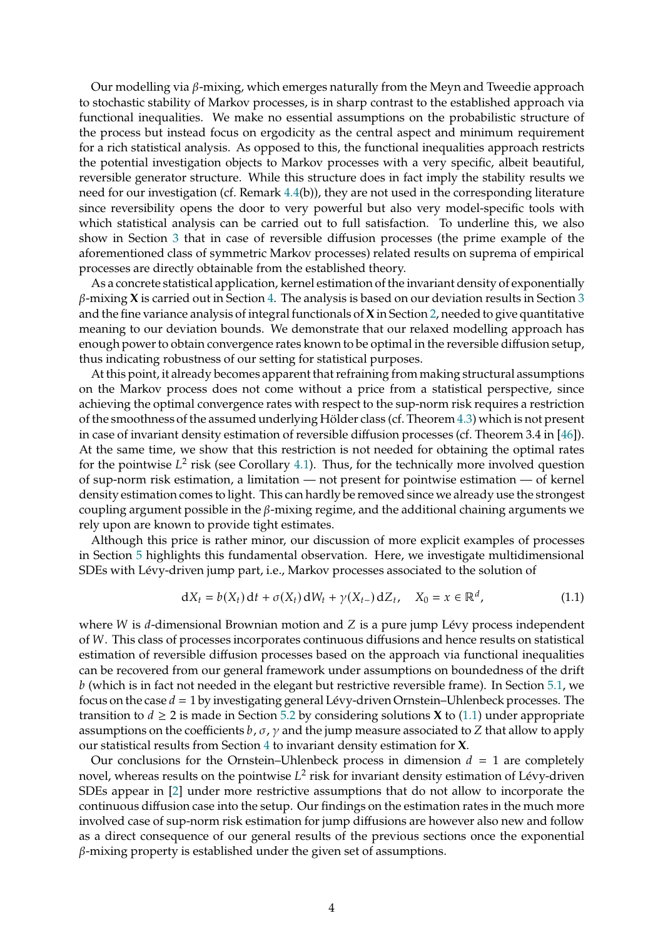Our modelling via  $\beta$ -mixing, which emerges naturally from the Meyn and Tweedie approach to stochastic stability of Markov processes, is in sharp contrast to the established approach via functional inequalities. We make no essential assumptions on the probabilistic structure of the process but instead focus on ergodicity as the central aspect and minimum requirement for a rich statistical analysis. As opposed to this, the functional inequalities approach restricts the potential investigation objects to Markov processes with a very specific, albeit beautiful, reversible generator structure. While this structure does in fact imply the stability results we need for our investigation (cf. Remark 4.4(b)), they are not used in the corresponding literature since reversibility opens the door to very powerful but also very model-specific tools with which statistical analysis can be carried out to full satisfaction. To underline this, we also show in Section [3](#page-7-1) that in case of reversible diffusion processes (the prime example of the aforementioned class of symmetric Markov processes) related results on suprema of empirical processes are directly obtainable from the established theory.

As a concrete statistical application, kernel estimation of the invariant density of exponentially  $\beta$ -mixing **X** is carried out in Section [4.](#page-10-0) The analysis is based on our deviation results in Section [3](#page-7-1) and the fine variance analysis of integral functionals of **X**in Section [2,](#page-4-0) needed to give quantitative meaning to our deviation bounds. We demonstrate that our relaxed modelling approach has enough power to obtain convergence rates known to be optimal in the reversible diffusion setup, thus indicating robustness of our setting for statistical purposes.

At this point, it already becomes apparent that refraining from making structural assumptions on the Markov process does not come without a price from a statistical perspective, since achieving the optimal convergence rates with respect to the sup-norm risk requires a restriction of the smoothness of the assumed underlying Hölder class (cf. Theorem [4.3\)](#page-12-0) which is not present in case of invariant density estimation of reversible diffusion processes (cf. Theorem 3.4 in [\[46](#page-41-9)]). At the same time, we show that this restriction is not needed for obtaining the optimal rates for the pointwise  $L^2$  risk (see Corollary [4.1\)](#page-11-0). Thus, for the technically more involved question of sup-norm risk estimation, a limitation — not present for pointwise estimation — of kernel density estimation comes to light. This can hardly be removed since we already use the strongest coupling argument possible in the  $\beta$ -mixing regime, and the additional chaining arguments we rely upon are known to provide tight estimates.

Although this price is rather minor, our discussion of more explicit examples of processes in Section [5](#page-12-1) highlights this fundamental observation. Here, we investigate multidimensional SDEs with Lévy-driven jump part, i.e., Markov processes associated to the solution of

<span id="page-3-0"></span>
$$
dX_t = b(X_t) dt + \sigma(X_t) dW_t + \gamma(X_{t-}) dZ_t, \quad X_0 = x \in \mathbb{R}^d,
$$
 (1.1)

where  $W$  is  $d$ -dimensional Brownian motion and  $Z$  is a pure jump Lévy process independent of W. This class of processes incorporates continuous diffusions and hence results on statistical estimation of reversible diffusion processes based on the approach via functional inequalities can be recovered from our general framework under assumptions on boundedness of the drift  $b$  (which is in fact not needed in the elegant but restrictive reversible frame). In Section  $5.1$ , we focus on the case  $d = 1$  by investigating general Lévy-driven Ornstein–Uhlenbeck processes. The transition to  $d \ge 2$  is made in Section [5.2](#page-15-0) by considering solutions **X** to [\(1.1\)](#page-3-0) under appropriate assumptions on the coefficients  $b$ ,  $\sigma$ ,  $\gamma$  and the jump measure associated to Z that allow to apply our statistical results from Section [4](#page-10-0) to invariant density estimation for **X**.

Our conclusions for the Ornstein–Uhlenbeck process in dimension  $d = 1$  are completely novel, whereas results on the pointwise  $L^2$  risk for invariant density estimation of Lévy-driven SDEs appear in [\[2](#page-39-2)] under more restrictive assumptions that do not allow to incorporate the continuous diffusion case into the setup. Our findings on the estimation rates in the much more involved case of sup-norm risk estimation for jump diffusions are however also new and follow as a direct consequence of our general results of the previous sections once the exponential  $\beta$ -mixing property is established under the given set of assumptions.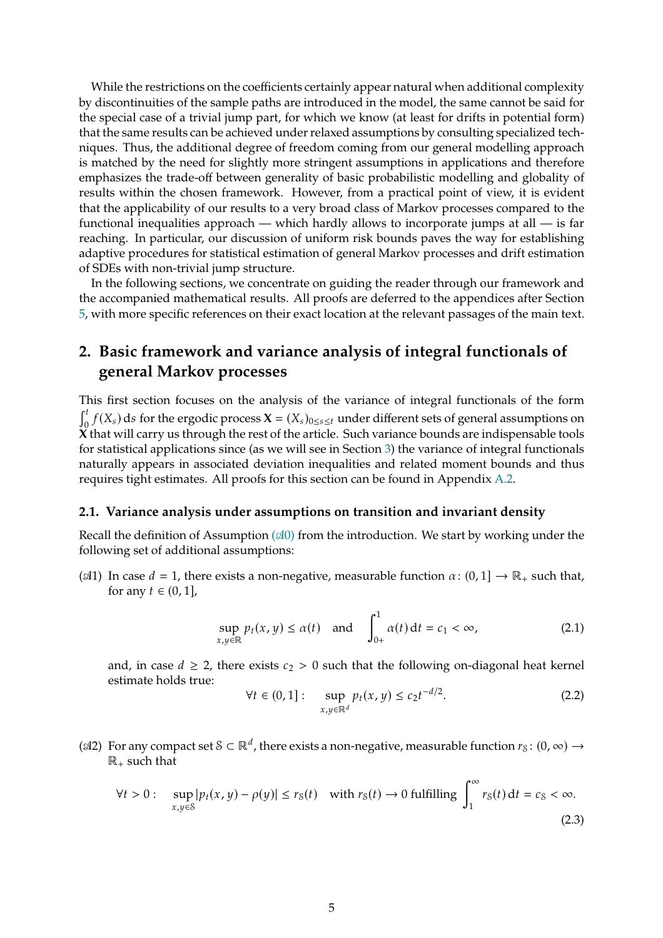While the restrictions on the coefficients certainly appear natural when additional complexity by discontinuities of the sample paths are introduced in the model, the same cannot be said for the special case of a trivial jump part, for which we know (at least for drifts in potential form) that the same results can be achieved under relaxed assumptions by consulting specialized techniques. Thus, the additional degree of freedom coming from our general modelling approach is matched by the need for slightly more stringent assumptions in applications and therefore emphasizes the trade-off between generality of basic probabilistic modelling and globality of results within the chosen framework. However, from a practical point of view, it is evident that the applicability of our results to a very broad class of Markov processes compared to the functional inequalities approach — which hardly allows to incorporate jumps at all — is far reaching. In particular, our discussion of uniform risk bounds paves the way for establishing adaptive procedures for statistical estimation of general Markov processes and drift estimation of SDEs with non-trivial jump structure.

In the following sections, we concentrate on guiding the reader through our framework and the accompanied mathematical results. All proofs are deferred to the appendices after Section [5,](#page-12-1) with more specific references on their exact location at the relevant passages of the main text.

# <span id="page-4-0"></span>**2. Basic framework and variance analysis of integral functionals of general Markov processes**

This first section focuses on the analysis of the variance of integral functionals of the form  $\int_0^t$  $\int_{0}^{t} f(X_s) ds$  for the ergodic process  $\mathbf{X} = (X_s)_{0 \leq s \leq t}$  under different sets of general assumptions on **X** that will carry us through the rest of the article. Such variance bounds are indispensable tools for statistical applications since (as we will see in Section [3\)](#page-7-1) the variance of integral functionals naturally appears in associated deviation inequalities and related moment bounds and thus requires tight estimates. All proofs for this section can be found in Appendix [A.2.](#page-19-0)

#### **2.1. Variance analysis under assumptions on transition and invariant density**

Recall the definition of Assumption  $(\mathcal{A}0)$  $(\mathcal{A}0)$  from the introduction. We start by working under the following set of additional assumptions:

( $\mathcal{A}$ 1) In case  $d = 1$ , there exists a non-negative, measurable function  $\alpha : (0, 1] \rightarrow \mathbb{R}_+$  such that, for any  $t \in (0, 1]$ ,

<span id="page-4-3"></span>
$$
\sup_{x,y \in \mathbb{R}} p_t(x,y) \le \alpha(t) \quad \text{and} \quad \int_{0+}^1 \alpha(t) \, \mathrm{d}t = c_1 < \infty,\tag{2.1}
$$

and, in case  $d \ge 2$ , there exists  $c_2 > 0$  such that the following on-diagonal heat kernel estimate holds true:

<span id="page-4-1"></span>
$$
\forall t \in (0,1]: \quad \sup_{x,y \in \mathbb{R}^d} p_t(x,y) \le c_2 t^{-d/2}.
$$
 (2.2)

( $\alpha$ 2) For any compact set  $S \subset \mathbb{R}^d$ , there exists a non-negative, measurable function  $r_S: (0, \infty) \to$  $\mathbb{R}_+$  such that

<span id="page-4-2"></span>
$$
\forall t > 0: \quad \sup_{x,y \in \mathcal{S}} |p_t(x,y) - \rho(y)| \le r_{\mathcal{S}}(t) \quad \text{with } r_{\mathcal{S}}(t) \to 0 \text{ fulfilling } \int_1^\infty r_{\mathcal{S}}(t) \, \mathrm{d}t = c_{\mathcal{S}} < \infty. \tag{2.3}
$$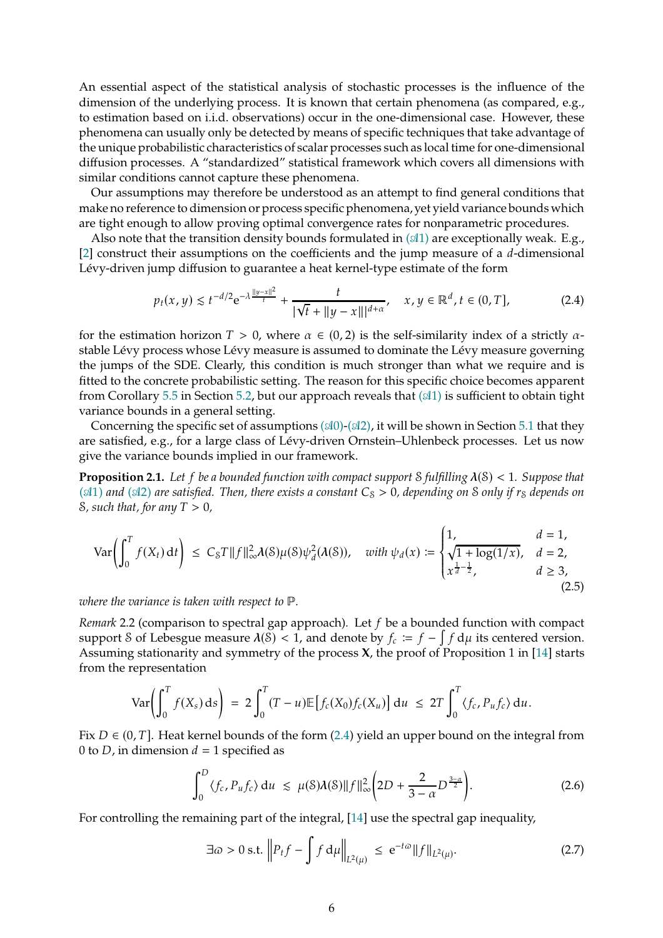An essential aspect of the statistical analysis of stochastic processes is the influence of the dimension of the underlying process. It is known that certain phenomena (as compared, e.g., to estimation based on i.i.d. observations) occur in the one-dimensional case. However, these phenomena can usually only be detected by means of specific techniques that take advantage of the unique probabilistic characteristics of scalar processes such as local time for one-dimensional diffusion processes. A "standardized" statistical framework which covers all dimensions with similar conditions cannot capture these phenomena.

Our assumptions may therefore be understood as an attempt to find general conditions that make no reference to dimension or process specific phenomena,yet yield variance bounds which are tight enough to allow proving optimal convergence rates for nonparametric procedures.

Also note that the transition density bounds formulated in  $(\mathcal{A}1)$  $(\mathcal{A}1)$  are exceptionally weak. E.g., [\[2\]](#page-39-2) construct their assumptions on the coefficients and the jump measure of a  $d$ -dimensional Lévy-driven jump diffusion to guarantee a heat kernel-type estimate of the form

<span id="page-5-1"></span>
$$
p_t(x, y) \lesssim t^{-d/2} e^{-\lambda \frac{||y - x||^2}{t}} + \frac{t}{|\sqrt{t} + ||y - x|||^{d + \alpha}}, \quad x, y \in \mathbb{R}^d, t \in (0, T],
$$
 (2.4)

for the estimation horizon  $T > 0$ , where  $\alpha \in (0, 2)$  is the self-similarity index of a strictly  $\alpha$ stable Lévy process whose Lévy measure is assumed to dominate the Lévy measure governing the jumps of the SDE. Clearly, this condition is much stronger than what we require and is fitted to the concrete probabilistic setting. The reason for this specific choice becomes apparent from Corollary [5.5](#page-16-0) in Section [5.2,](#page-15-0) but our approach reveals that  $(\mathcal{A}1)$  $(\mathcal{A}1)$  is sufficient to obtain tight variance bounds in a general setting.

Concerning the specific set of assumptions  $(\mathcal{A}0)$ - $(\mathcal{A}2)$ , it will be shown in Section [5.1](#page-13-0) that they are satisfied, e.g., for a large class of Lévy-driven Ornstein–Uhlenbeck processes. Let us now give the variance bounds implied in our framework.

<span id="page-5-0"></span>**Proposition 2.1.** Let f be a bounded function with compact support S fulfilling  $\lambda(S) < 1$ . Suppose that  $($  $\triangle$ [1\)](#page-4-1) *and*  $($  $\triangle$ [2\)](#page-4-2) *are satisfied. Then, there exists a constant*  $C_s > 0$ *, depending on* S *only if*  $r_s$  *depends on*  $\delta$ *, such that, for any*  $T > 0$ *,* 

<span id="page-5-4"></span>
$$
\text{Var}\left(\int_0^T f(X_t) \, \mathrm{d}t\right) \leq C_S T \|f\|_{\infty}^2 \lambda(S) \mu(S) \psi_d^2(\lambda(S)), \quad \text{with } \psi_d(x) := \begin{cases} 1, & d = 1, \\ \sqrt{1 + \log(1/x)}, & d = 2, \\ x^{\frac{1}{d} - \frac{1}{2}}, & d \geq 3, \\ x^{\frac{1}{d} - \frac{1}{2}}, & d \geq 3, \end{cases}
$$
(2.5)

*where the variance is taken with respect to* ℙ*.*

<span id="page-5-5"></span>*Remark* 2.2 (comparison to spectral gap approach). Let f be a bounded function with compact support S of Lebesgue measure  $\lambda(S) < 1$ , and denote by  $f_c := f - \int f d\mu$  its centered version. Assuming stationarity and symmetry of the process **X**, the proof of Proposition 1 in [\[14\]](#page-39-1) starts from the representation

$$
\text{Var}\left(\int_0^T f(X_s) \, ds\right) \ = \ 2 \int_0^T (T-u) \mathbb{E}\left[f_c(X_0)f_c(X_u)\right] \, \mathrm{d}u \ \leq \ 2T \int_0^T \langle f_c, P_u f_c \rangle \, \mathrm{d}u.
$$

Fix  $D \in (0, T]$ . Heat kernel bounds of the form [\(2.4\)](#page-5-1) yield an upper bound on the integral from 0 to *D*, in dimension  $d = 1$  specified as

<span id="page-5-2"></span>
$$
\int_0^D \langle f_c, P_u f_c \rangle \, \mathrm{d}u \ \lesssim \ \mu(\mathcal{S}) \lambda(\mathcal{S}) \| f \|_{\infty}^2 \left( 2D + \frac{2}{3 - \alpha} D^{\frac{3 - \alpha}{2}} \right). \tag{2.6}
$$

For controlling the remaining part of the integral, [\[14](#page-39-1)] use the spectral gap inequality,

<span id="page-5-3"></span>
$$
\exists \omega > 0 \text{ s.t. } \left\| P_t f - \int f \, \mathrm{d}\mu \right\|_{L^2(\mu)} \le \, \mathrm{e}^{-t\omega} \|f\|_{L^2(\mu)}.\tag{2.7}
$$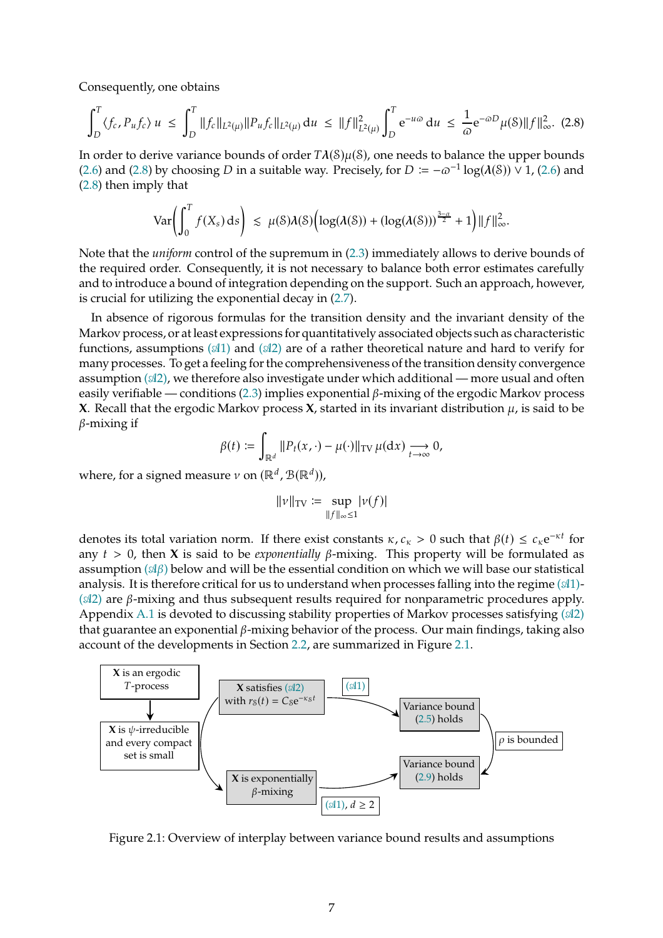Consequently, one obtains

<span id="page-6-0"></span>
$$
\int_{D}^{T} \langle f_c, P_u f_c \rangle u \le \int_{D}^{T} \|f_c\|_{L^2(\mu)} \|P_u f_c\|_{L^2(\mu)} du \le \|f\|_{L^2(\mu)}^2 \int_{D}^{T} e^{-u\omega} du \le \frac{1}{\omega} e^{-\omega D} \mu(\delta) \|f\|_{\infty}^2. (2.8)
$$

In order to derive variance bounds of order  $T\lambda(S)\mu(S)$ , one needs to balance the upper bounds [\(2.6\)](#page-5-2) and [\(2.8\)](#page-6-0) by choosing D in a suitable way. Precisely, for  $D := -\omega^{-1} \log(\lambda(S)) \vee 1$ , [\(2.6\)](#page-5-2) and [\(2.8\)](#page-6-0) then imply that

$$
\text{Var}\bigg(\int_0^T f(X_s) \, ds\bigg) \, \lesssim \, \mu(\mathcal{S})\lambda(\mathcal{S})\Big(\log(\lambda(\mathcal{S})) + (\log(\lambda(\mathcal{S})))^{\frac{3-\alpha}{2}} + 1\Big) \|f\|_{\infty}^2.
$$

Note that the *uniform* control of the supremum in [\(2.3\)](#page-4-2) immediately allows to derive bounds of the required order. Consequently, it is not necessary to balance both error estimates carefully and to introduce a bound of integration depending on the support. Such an approach, however, is crucial for utilizing the exponential decay in [\(2.7\)](#page-5-3).

In absence of rigorous formulas for the transition density and the invariant density of the Markov process, or at least expressions for quantitatively associated objects such as characteristic functions, assumptions  $(\mathcal{A}1)$  $(\mathcal{A}1)$  and  $(\mathcal{A}2)$  $(\mathcal{A}2)$  are of a rather theoretical nature and hard to verify for many processes. To get a feeling for the comprehensiveness of the transition density convergence assumption  $(\mathcal{A}2)$ , we therefore also investigate under which additional — more usual and often easily verifiable — conditions [\(2.3\)](#page-4-2) implies exponential  $\beta$ -mixing of the ergodic Markov process **X**. Recall that the ergodic Markov process **X**, started in its invariant distribution  $\mu$ , is said to be  $\beta$ -mixing if

$$
\beta(t) := \int_{\mathbb{R}^d} ||P_t(x,\cdot) - \mu(\cdot)||_{TV} \mu(dx) \underset{t \to \infty}{\longrightarrow} 0,
$$

where, for a signed measure  $\nu$  on  $(\mathbb{R}^d, \mathcal{B}(\mathbb{R}^d))$ ,

$$
\|v\|_{\text{TV}} := \sup_{\|f\|_{\infty} \le 1} |v(f)|
$$

denotes its total variation norm. If there exist constants  $\kappa$ ,  $c_{\kappa} > 0$  such that  $\beta(t) \leq c_{\kappa} e^{-\kappa t}$  for any  $t > 0$ , then **X** is said to be *exponentially*  $\beta$ -mixing. This property will be formulated as assumption  $(\mathcal{A}\beta)$  below and will be the essential condition on which we will base our statistical analysis. It is therefore critical for us to understand when processes falling into the regime  $(\mathcal{A}1)$ - $(\mathcal{A}2)$  $(\mathcal{A}2)$  are  $\beta$ -mixing and thus subsequent results required for nonparametric procedures apply. Appendix [A.1](#page-17-0) is devoted to discussing stability properties of Markov processes satisfying  $(\mathcal{A}2)$  $(\mathcal{A}2)$ that guarantee an exponential  $\beta$ -mixing behavior of the process. Our main findings, taking also account of the developments in Section [2.2,](#page-7-3) are summarized in Figure [2.1.](#page-6-1)



<span id="page-6-1"></span>Figure 2.1: Overview of interplay between variance bound results and assumptions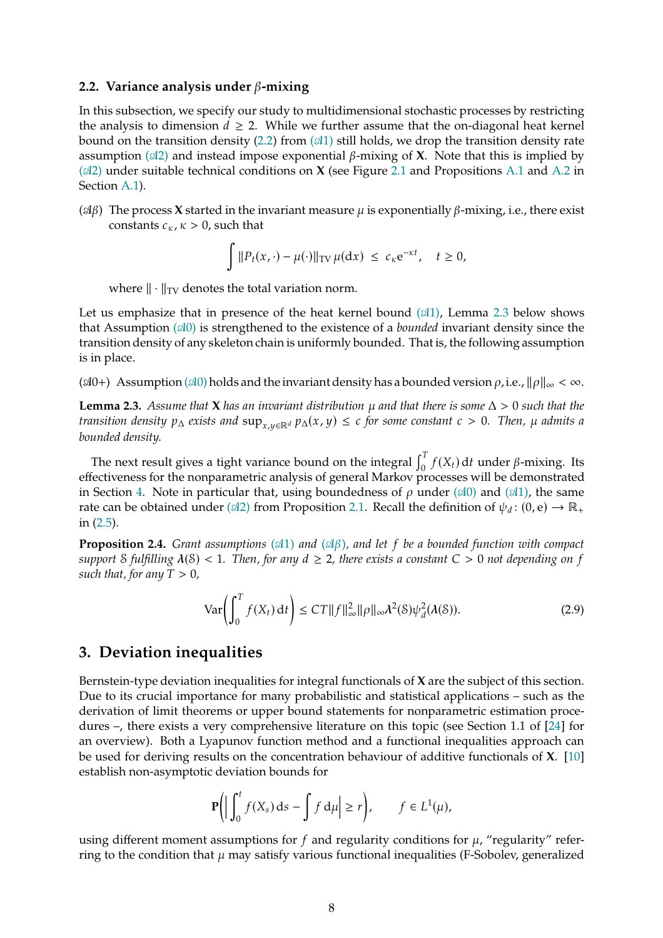#### <span id="page-7-3"></span>**2.2. Variance analysis under**  $\beta$ **-mixing**

In this subsection, we specify our study to multidimensional stochastic processes by restricting the analysis to dimension  $d \geq 2$ . While we further assume that the on-diagonal heat kernel bound on the transition density [\(2.2\)](#page-4-1) from  $(A1)$  $(A1)$  still holds, we drop the transition density rate assumption  $(\mathcal{A}2)$  $(\mathcal{A}2)$  and instead impose exponential  $\beta$ -mixing of **X**. Note that this is implied by  $(\mathcal{A}2)$  $(\mathcal{A}2)$  under suitable technical conditions on **X** (see Figure [2.1](#page-6-1) and Propositions [A.1](#page-17-1) and [A.2](#page-19-1) in Section [A.1\)](#page-17-0).

<span id="page-7-2"></span>( $\alpha\beta$ ) The process **X** started in the invariant measure  $\mu$  is exponentially  $\beta$ -mixing, i.e., there exist constants  $c_{\kappa}$ ,  $\kappa > 0$ , such that

$$
\int \|P_t(x,\cdot) - \mu(\cdot)\|_{TV} \mu(\mathrm{d}x) \ \leq \ c_{\kappa} \mathrm{e}^{-\kappa t}, \quad t \geq 0,
$$

where  $\|\cdot\|_{TV}$  denotes the total variation norm.

Let us emphasize that in presence of the heat kernel bound  $(\mathcal{A}1)$ , Lemma [2.3](#page-7-5) below shows that Assumption (𝒜[0\)](#page-2-0) is strengthened to the existence of a *bounded* invariant density since the transition density of any skeleton chain is uniformly bounded. That is, the following assumption is in place.

<span id="page-7-6"></span>( $\mathcal{A}0+$ ) Assumption ( $\mathcal{A}0$ ) holds and the invariant density has a bounded version  $\rho$ , i.e.,  $\|\rho\|_{\infty}<\infty$ .

<span id="page-7-5"></span>**Lemma 2.3.** *Assume that* **X** *has an invariant distribution*  $\mu$  *and that there is some*  $\Delta > 0$  *such that the transition density*  $p_{\Delta}$  *exists and*  $\sup_{x,y\in\mathbb{R}^d} p_{\Delta}(x,y) \leq c$  *for some constant*  $c > 0$ *. Then,*  $\mu$  *admits a bounded density.*

The next result gives a tight variance bound on the integral  $\int_0^T f(X_t) dt$  under  $\beta$ -mixing. Its effectiveness for the nonparametric analysis of general Markov processes will be demonstrated in Section [4.](#page-10-0) Note in particular that, using boundedness of  $\rho$  under ( $\mathcal{A}0$ ) and ( $\mathcal{A}1$ ), the same rate can be obtained under ( $\mathcal{A}2$ ) from Proposition [2.1.](#page-5-0) Recall the definition of  $\psi_d$ : (0, e)  $\rightarrow \mathbb{R}_+$ in [\(2.5\)](#page-5-4).

<span id="page-7-0"></span>**Proposition 2.4.** *Grant assumptions*  $(\mathcal{A}1)$  $(\mathcal{A}1)$  *and*  $(\mathcal{A}\beta)$ *, and let*  $f$  *be a bounded function with compact support S fulfilling*  $\lambda$ (S) < 1*. Then, for any*  $d \geq 2$ *, there exists a constant*  $C > 0$  *not depending on*  $f$ *such that, for any*  $T > 0$ *,* 

<span id="page-7-4"></span>
$$
\text{Var}\left(\int_0^T f(X_t) \, \mathrm{d}t\right) \le C T \|f\|_{\infty}^2 \|\rho\|_{\infty} \lambda^2(\mathcal{S}) \psi_d^2(\lambda(\mathcal{S})).\tag{2.9}
$$

# <span id="page-7-1"></span>**3. Deviation inequalities**

Bernstein-type deviation inequalities for integral functionals of **X** are the subject of this section. Due to its crucial importance for many probabilistic and statistical applications – such as the derivation of limit theorems or upper bound statements for nonparametric estimation procedures –, there exists a very comprehensive literature on this topic (see Section 1.1 of [\[24](#page-40-4)] for an overview). Both a Lyapunov function method and a functional inequalities approach can be used for deriving results on the concentration behaviour of additive functionals of **X**. [\[10\]](#page-39-6) establish non-asymptotic deviation bounds for

$$
\mathbf{P}\bigg(\bigg|\int_0^t f(X_s) \, \mathrm{d} s - \int f \, \mathrm{d} \mu\bigg| \ge r\bigg), \qquad f \in L^1(\mu),
$$

using different moment assumptions for f and regularity conditions for  $\mu$ , "regularity" referring to the condition that  $\mu$  may satisfy various functional inequalities (F-Sobolev, generalized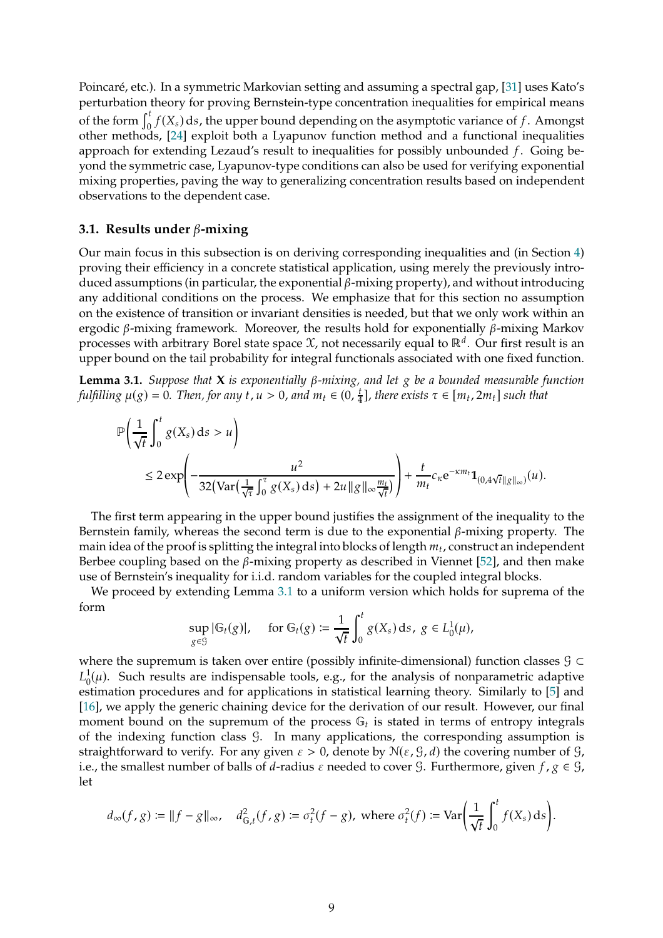Poincaré, etc.). In a symmetric Markovian setting and assuming a spectral gap, [\[31\]](#page-40-5) uses Kato's perturbation theory for proving Bernstein-type concentration inequalities for empirical means of the form  $\int_0^t f(X_s) ds$ , the upper bound depending on the asymptotic variance of f. Amongst other methods, [\[24](#page-40-4)] exploit both a Lyapunov function method and a functional inequalities approach for extending Lezaud's result to inequalities for possibly unbounded  $f$ . Going beyond the symmetric case, Lyapunov-type conditions can also be used for verifying exponential mixing properties, paving the way to generalizing concentration results based on independent observations to the dependent case.

#### **3.1. Results under**  $\beta$ **-mixing**

Our main focus in this subsection is on deriving corresponding inequalities and (in Section [4\)](#page-10-0) proving their efficiency in a concrete statistical application, using merely the previously introduced assumptions (in particular, the exponential  $\beta$ -mixing property), and without introducing any additional conditions on the process. We emphasize that for this section no assumption on the existence of transition or invariant densities is needed, but that we only work within an ergodic  $\beta$ -mixing framework. Moreover, the results hold for exponentially  $\beta$ -mixing Markov processes with arbitrary Borel state space  $\mathfrak X$ , not necessarily equal to ℝ<sup>d</sup>. Our first result is an upper bound on the tail probability for integral functionals associated with one fixed function.

<span id="page-8-0"></span>**Lemma 3.1.** *Suppose that* **X** *is exponentially*  $\beta$ *-mixing, and let*  $g$  *be a bounded measurable function fulfilling*  $\mu(g) = 0$ . *Then, for any t*, *u* > 0, and  $m_t \in (0, \frac{t}{4})$  $\frac{t}{4}$ , there exists  $\tau \in [m_t, 2m_t]$  such that

$$
\mathbb{P}\left(\frac{1}{\sqrt{t}}\int_0^t g(X_s) ds > u\right)
$$
  
\n
$$
\leq 2 \exp\left(-\frac{u^2}{32\left(\text{Var}\left(\frac{1}{\sqrt{\tau}}\int_0^{\tau} g(X_s) ds\right) + 2u \|g\|_{\infty} \frac{m_t}{\sqrt{t}}\right)}\right) + \frac{t}{m_t} c_{\kappa} e^{-\kappa m_t} \mathbf{1}_{(0,4\sqrt{t}\|g\|_{\infty})}(u).
$$

The first term appearing in the upper bound justifies the assignment of the inequality to the Bernstein family, whereas the second term is due to the exponential  $\beta$ -mixing property. The main idea of the proof is splitting the integral into blocks of length  $m_t$ , construct an independent Berbee coupling based on the  $\beta$ -mixing property as described in Viennet [\[52\]](#page-42-1), and then make use of Bernstein's inequality for i.i.d. random variables for the coupled integral blocks.

We proceed by extending Lemma [3.1](#page-8-0) to a uniform version which holds for suprema of the form

$$
\sup_{g \in \mathcal{G}} |\mathbb{G}_t(g)|, \quad \text{ for } \mathbb{G}_t(g) \coloneqq \frac{1}{\sqrt{t}} \int_0^t g(X_s) \, ds, \ g \in L_0^1(\mu),
$$

where the supremum is taken over entire (possibly infinite-dimensional) function classes  $\mathcal{G} \subset$  $L^1_0$  $_{0}^{1}(\mu)$ . Such results are indispensable tools, e.g., for the analysis of nonparametric adaptive estimation procedures and for applications in statistical learning theory. Similarly to [\[5\]](#page-39-7) and [\[16](#page-39-8)], we apply the generic chaining device for the derivation of our result. However, our final moment bound on the supremum of the process  $\mathbb{G}_t$  is stated in terms of entropy integrals of the indexing function class G. In many applications, the corresponding assumption is straightforward to verify. For any given  $\varepsilon > 0$ , denote by  $\mathcal{N}(\varepsilon, \mathcal{G}, d)$  the covering number of  $\mathcal{G},$ i.e., the smallest number of balls of *d*-radius  $\varepsilon$  needed to cover  $\mathcal{G}$ . Furthermore, given  $f$ ,  $g \in \mathcal{G}$ , let

$$
d_{\infty}(f,g) \coloneqq \|f - g\|_{\infty}, \quad d_{\mathbb{G},t}^2(f,g) \coloneqq \sigma_t^2(f - g), \text{ where } \sigma_t^2(f) \coloneqq \text{Var}\bigg(\frac{1}{\sqrt{t}}\int_0^t f(X_s)\,ds\bigg).
$$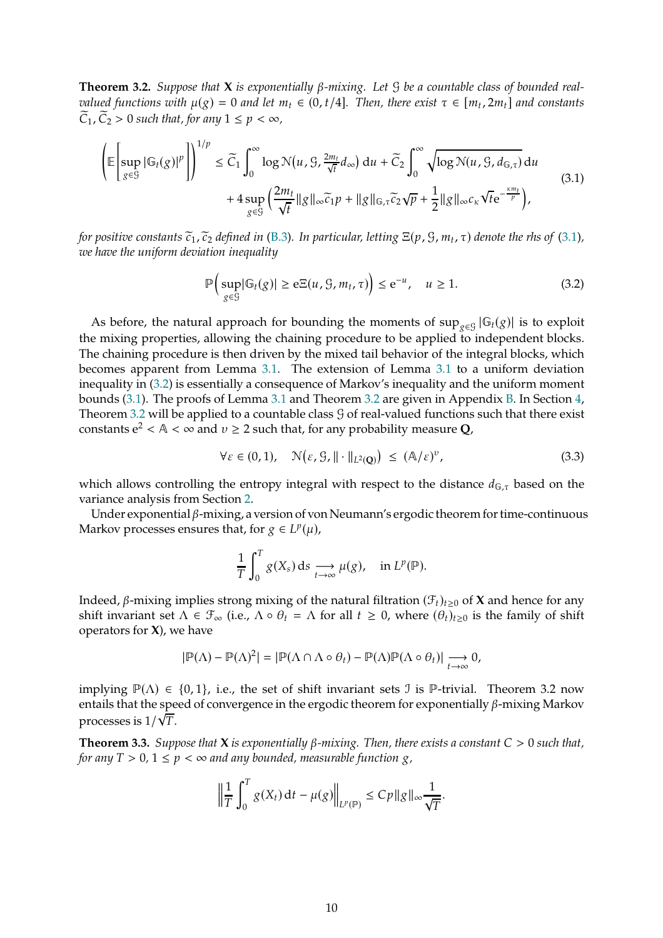<span id="page-9-0"></span>**Theorem 3.2.** Suppose that **X** is exponentially  $\beta$ -mixing. Let  $\beta$  be a countable class of bounded real*valued functions with*  $\mu(g) = 0$  *and let*  $m_t \in (0, t/4]$ *. Then, there exist*  $\tau \in [m_t, 2m_t]$  *and constants*  $\widetilde{C}_1$ ,  $\widetilde{C}_2 > 0$  such that, for any  $1 \leq p < \infty$ ,

<span id="page-9-1"></span>
$$
\left(\mathbb{E}\left[\sup_{g\in\mathcal{G}}|\mathbb{G}_{t}(g)|^{p}\right]\right)^{1/p} \leq \widetilde{C}_{1}\int_{0}^{\infty}\log N(u,\mathcal{G},\frac{2m_{t}}{\sqrt{t}}d_{\infty}) du + \widetilde{C}_{2}\int_{0}^{\infty}\sqrt{\log N(u,\mathcal{G},d_{\mathbb{G},\tau})} du +4\sup_{g\in\mathcal{G}}\left(\frac{2m_{t}}{\sqrt{t}}\|g\|_{\infty}\widetilde{c}_{1}p+\|g\|_{\mathbb{G},\tau}\widetilde{c}_{2}\sqrt{p}+\frac{1}{2}\|g\|_{\infty}c_{\kappa}\sqrt{t}e^{-\frac{\kappa m_{t}}{p}}\right),
$$
\n(3.1)

*for positive constants*  $\widetilde{c}_1$ ,  $\widetilde{c}_2$  *defined in* [\(B.3\)](#page-24-0). In particular, letting  $\Xi(p, \mathcal{G}, m_t, \tau)$  denote the rhs of [\(3.1\)](#page-9-1), *we have the uniform deviation inequality*

<span id="page-9-2"></span>
$$
\mathbb{P}\Big(\sup_{g\in\mathcal{G}}|\mathbb{G}_t(g)|\geq e\Xi(u,\mathcal{G},m_t,\tau)\Big)\leq e^{-u},\quad u\geq 1.\tag{3.2}
$$

As before, the natural approach for bounding the moments of  $\sup_{g \in \mathcal{G}} |G_t(g)|$  is to exploit the mixing properties, allowing the chaining procedure to be applied to independent blocks. The chaining procedure is then driven by the mixed tail behavior of the integral blocks, which becomes apparent from Lemma [3.1.](#page-8-0) The extension of Lemma [3.1](#page-8-0) to a uniform deviation inequality in [\(3.2\)](#page-9-2) is essentially a consequence of Markov's inequality and the uniform moment bounds [\(3.1\)](#page-9-1). The proofs of Lemma [3.1](#page-8-0) and Theorem [3.2](#page-9-0) are given in Appendix [B.](#page-22-0) In Section [4,](#page-10-0) Theorem [3.2](#page-9-0) will be applied to a countable class  $\mathcal G$  of real-valued functions such that there exist constants  $e^2 < A < \infty$  and  $v \ge 2$  such that, for any probability measure **Q**,

<span id="page-9-4"></span>
$$
\forall \varepsilon \in (0,1), \quad \mathcal{N}\big(\varepsilon, \mathcal{G}, \|\cdot\|_{L^2(\mathbf{Q})}\big) \le (\mathbf{A}/\varepsilon)^v, \tag{3.3}
$$

which allows controlling the entropy integral with respect to the distance  $d_{\mathbb{G},\tau}$  based on the variance analysis from Section [2.](#page-4-0)

Under exponential  $\beta$ -mixing, a version of von Neumann's ergodic theorem for time-continuous Markov processes ensures that, for  $g \in L^p(\mu)$ ,

$$
\frac{1}{T}\int_0^T g(X_s) \, ds \underset{t\to\infty}{\longrightarrow} \mu(g), \quad \text{in } L^p(\mathbb{P}).
$$

Indeed,  $\beta$ -mixing implies strong mixing of the natural filtration  $(\mathcal{F}_t)_{t\geq0}$  of **X** and hence for any shift invariant set  $\Lambda \in \mathcal{F}_{\infty}$  (i.e.,  $\Lambda \circ \theta_t = \Lambda$  for all  $t \geq 0$ , where  $(\theta_t)_{t>0}$  is the family of shift operators for **X**), we have

$$
|\mathbb{P}(\Lambda) - \mathbb{P}(\Lambda)^2| = |\mathbb{P}(\Lambda \cap \Lambda \circ \theta_t) - \mathbb{P}(\Lambda)\mathbb{P}(\Lambda \circ \theta_t)| \underset{t \to \infty}{\longrightarrow} 0,
$$

implying  $\mathbb{P}(\Lambda) \in \{0,1\}$ , i.e., the set of shift invariant sets J is P-trivial. Theorem 3.2 now entails that the speed of convergence in the ergodic theorem for exponentially  $\beta$ -mixing Markov processes is  $1/\sqrt{T}$ .

<span id="page-9-3"></span>**Theorem 3.3.** *Suppose that* **X** *is exponentially*  $\beta$ *-mixing. Then, there exists a constant*  $C > 0$  *such that, for any*  $T > 0$ ,  $1 \leq p < \infty$  *and any bounded, measurable function*  $g$ ,

$$
\left\|\frac{1}{T}\int_0^T g(X_t)\,\mathrm{d} t-\mu(g)\right\|_{L^p(\mathbb{P})}\leq C p\|g\|_\infty\frac{1}{\sqrt{T}}.
$$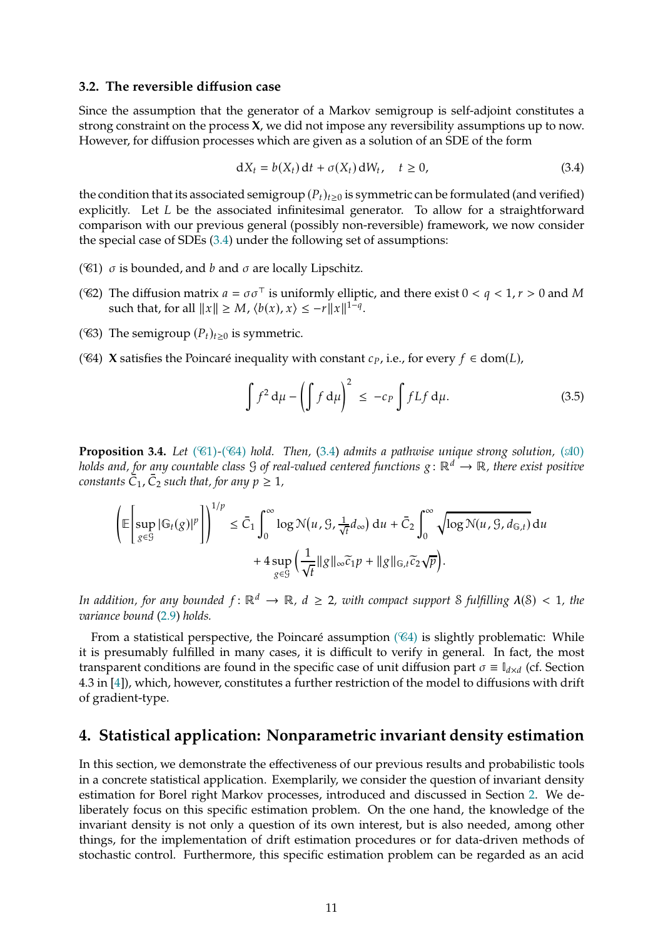#### **3.2. The reversible diffusion case**

Since the assumption that the generator of a Markov semigroup is self-adjoint constitutes a strong constraint on the process **X**, we did not impose any reversibility assumptions up to now. However, for diffusion processes which are given as a solution of an SDE of the form

<span id="page-10-1"></span>
$$
dX_t = b(X_t) dt + \sigma(X_t) dW_t, \quad t \ge 0,
$$
\n(3.4)

the condition that its associated semigroup  $(P_t)_{t\geq0}$  is symmetric can be formulated (and verified) explicitly. Let  $L$  be the associated infinitesimal generator. To allow for a straightforward comparison with our previous general (possibly non-reversible) framework, we now consider the special case of SDEs [\(3.4\)](#page-10-1) under the following set of assumptions:

- <span id="page-10-2"></span>( $C(4)$ )  $\sigma$  is bounded, and  $b$  and  $\sigma$  are locally Lipschitz.
- ( $C$ 2) The diffusion matrix  $a = \sigma \sigma^{\top}$  is uniformly elliptic, and there exist  $0 < q < 1, r > 0$  and M such that, for all  $||x|| \ge M$ ,  $\langle b(x), x \rangle \le -r ||x||^{1-q}$ .
- ( $\mathcal{C}(3)$ ) The semigroup  $(P_t)_{t\geq 0}$  is symmetric.
- ( $\mathcal{C}_4$ ) **X** satisfies the Poincaré inequality with constant  $c_p$ , i.e., for every  $f \in \text{dom}(L)$ ,

<span id="page-10-3"></span>
$$
\int f^2 d\mu - \left(\int f d\mu\right)^2 \le -c_P \int f L f d\mu. \tag{3.5}
$$

<span id="page-10-4"></span>**Proposition 3.4.** *Let (* $\mathcal{C}_1$ )-*(* $\mathcal{C}_4$ *) hold. Then,* (3.4*) admits a pathwise unique strong solution,* ( $\mathcal{A}0$ *) holds and, for any countable class G of real-valued centered functions*  $g : \mathbb{R}^d \to \mathbb{R}$ *, there exist positive*  $constants C_1, C_2$  such that, for any  $p \ge 1$ ,

$$
\left(\mathbb{E}\left[\sup_{g\in\mathcal{G}}|\mathbb{G}_{t}(g)|^{p}\right]\right)^{1/p} \leq \bar{C}_{1}\int_{0}^{\infty}\log\mathcal{N}(u,\mathcal{G},\frac{1}{\sqrt{t}}d_{\infty}) du + \bar{C}_{2}\int_{0}^{\infty}\sqrt{\log\mathcal{N}(u,\mathcal{G},d_{\mathbb{G},t})} du
$$

$$
+ 4\sup_{g\in\mathcal{G}}\left(\frac{1}{\sqrt{t}}\|g\|_{\infty}\widetilde{c}_{1}p + \|g\|_{\mathbb{G},t}\widetilde{c}_{2}\sqrt{p}\right).
$$

*In addition, for any bounded*  $f: \mathbb{R}^d \to \mathbb{R}$ ,  $d \geq 2$ , with compact support S fulfilling  $\lambda(\mathcal{S}) < 1$ , the *variance bound* [\(2.9\)](#page-7-4) *holds.*

From a statistical perspective, the Poincaré assumption  $(\mathscr{C}_4)$  $(\mathscr{C}_4)$  is slightly problematic: While it is presumably fulfilled in many cases, it is difficult to verify in general. In fact, the most transparent conditions are found in the specific case of unit diffusion part  $\sigma \equiv \mathbb{I}_{d \times d}$  (cf. Section 4.3 in [\[4](#page-39-5)]), which, however, constitutes a further restriction of the model to diffusions with drift of gradient-type.

## <span id="page-10-0"></span>**4. Statistical application: Nonparametric invariant density estimation**

In this section, we demonstrate the effectiveness of our previous results and probabilistic tools in a concrete statistical application. Exemplarily, we consider the question of invariant density estimation for Borel right Markov processes, introduced and discussed in Section [2.](#page-4-0) We deliberately focus on this specific estimation problem. On the one hand, the knowledge of the invariant density is not only a question of its own interest, but is also needed, among other things, for the implementation of drift estimation procedures or for data-driven methods of stochastic control. Furthermore, this specific estimation problem can be regarded as an acid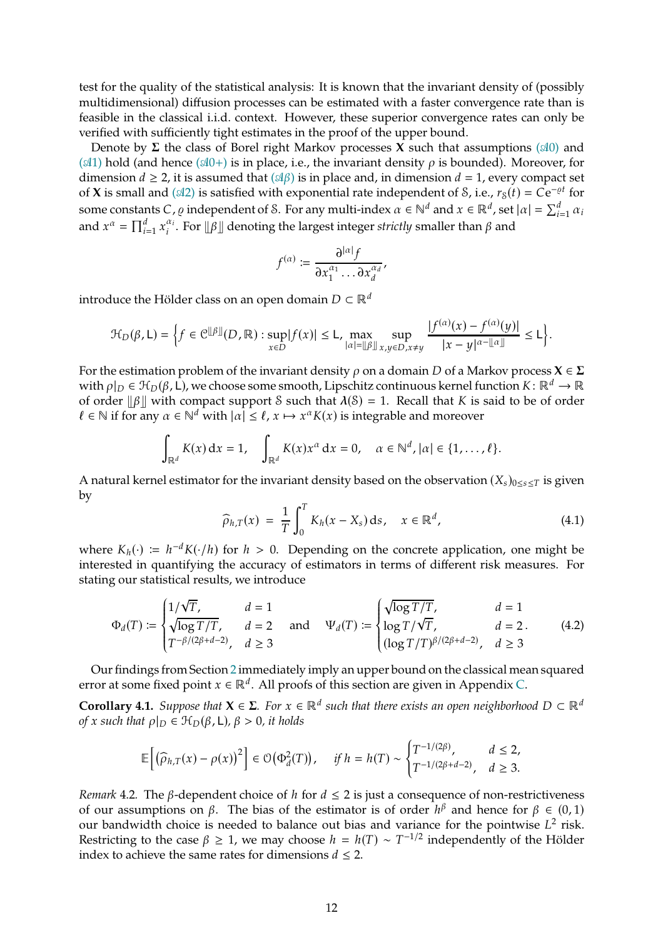test for the quality of the statistical analysis: It is known that the invariant density of (possibly multidimensional) diffusion processes can be estimated with a faster convergence rate than is feasible in the classical i.i.d. context. However, these superior convergence rates can only be verified with sufficiently tight estimates in the proof of the upper bound.

Denote by  $\Sigma$  the class of Borel right Markov processes **X** such that assumptions ( $\mathcal{A}0$ ) and ( $\mathcal{A}1$ ) hold (and hence ( $\mathcal{A}0+$ ) is in place, i.e., the invariant density  $\rho$  is bounded). Moreover, for dimension  $d \ge 2$ , it is assumed that  $(\mathcal{A}\beta)$  is in place and, in dimension  $d = 1$ , every compact set of **X** is small and ( $\mathcal{A}2$ ) is satisfied with exponential rate independent of *S*, i.e.,  $r_S(t) = Ce^{-\varrho t}$  for some constants C,  $\varrho$  independent of S. For any multi-index  $\alpha \in \mathbb{N}^d$  and  $x \in \mathbb{R}^d$ , set  $|\alpha| = \sum_{i=1}^d \alpha_i$ and  $x^{\alpha} = \prod_{i=1}^{d} x_i^{\alpha_i}$  $\mathbb{Z}_i^{a_i}$ . For  $\| \beta \|$  denoting the largest integer *strictly* smaller than  $\beta$  and

$$
f^{(\alpha)} \coloneqq \frac{\partial^{|\alpha|} f}{\partial x_1^{\alpha_1} \dots \partial x_d^{\alpha_d}},
$$

introduce the Hölder class on an open domain  $D \subset \mathbb{R}^d$ 

$$
\mathcal{H}_D(\beta, L) = \Big\{ f \in \mathcal{C}^{\|\beta\|}(D, \mathbb{R}) : \sup_{x \in D} |f(x)| \le L, \max_{|\alpha| = \|\beta\|} \sup_{x, y \in D, x \ne y} \frac{|f^{(\alpha)}(x) - f^{(\alpha)}(y)|}{|x - y|^{\alpha - \|\alpha\|}} \le L \Big\}.
$$

For the estimation problem of the invariant density  $\rho$  on a domain  $D$  of a Markov process  $X \in \Sigma$ with  $\rho|_D \in \mathcal{H}_D(\beta, L)$ , we choose some smooth, Lipschitz continuous kernel function  $K: \mathbb{R}^d \to \mathbb{R}$ of order  $\|\beta\|$  with compact support S such that  $\lambda(S) = 1$ . Recall that K is said to be of order  $\ell \in \mathbb{N}$  if for any  $\alpha \in \mathbb{N}^d$  with  $|\alpha| \leq \ell$ ,  $x \mapsto x^{\alpha}K(x)$  is integrable and moreover

$$
\int_{\mathbb{R}^d} K(x) dx = 1, \quad \int_{\mathbb{R}^d} K(x) x^{\alpha} dx = 0, \quad \alpha \in \mathbb{N}^d, |\alpha| \in \{1, \ldots, \ell\}.
$$

A natural kernel estimator for the invariant density based on the observation  $(X_s)_{0\leq s\leq T}$  is given by

<span id="page-11-2"></span>
$$
\widehat{\rho}_{h,T}(x) = \frac{1}{T} \int_0^T K_h(x - X_s) \, \mathrm{d} s, \quad x \in \mathbb{R}^d,
$$
\n
$$
(4.1)
$$

where  $K_h(\cdot) := h^{-d} K(\cdot/h)$  for  $h > 0$ . Depending on the concrete application, one might be interested in quantifying the accuracy of estimators in terms of different risk measures. For stating our statistical results, we introduce

<span id="page-11-1"></span>
$$
\Phi_d(T) := \begin{cases}\n1/\sqrt{T}, & d = 1 \\
\sqrt{\log T/T}, & d = 2 \\
T^{-\beta/(2\beta + d - 2)}, & d \ge 3\n\end{cases} \text{ and } \Psi_d(T) := \begin{cases}\n\sqrt{\log T/T}, & d = 1 \\
\log T/\sqrt{T}, & d = 2 \\
(\log T/T)^{\beta/(2\beta + d - 2)}, & d \ge 3\n\end{cases}
$$
\n(4.2)

Our findings from Section [2](#page-4-0) immediately imply an upper bound on the classical mean squared error at some fixed point  $x \in \mathbb{R}^d$ . All proofs of this section are given in Appendix [C.](#page-26-0)

<span id="page-11-0"></span>**Corollary 4.1.** *Suppose that*  $X \in \Sigma$ *. For*  $x \in \mathbb{R}^d$  *such that there exists an open neighborhood*  $D \subset \mathbb{R}^d$ *of x* such that  $\rho|_D \in \mathcal{H}_D(\beta, L)$ ,  $\beta > 0$ , it holds

$$
\mathbb{E}\left[\left(\widehat{\rho}_{h,T}(x)-\rho(x)\right)^2\right] \in \mathcal{O}\left(\Phi_d^2(T)\right), \quad \text{ if } h=h(T) \sim \begin{cases} T^{-1/(2\beta)}, & d\leq 2, \\ T^{-1/(2\beta+d-2)}, & d\geq 3. \end{cases}
$$

*Remark* 4.2. The  $\beta$ -dependent choice of h for  $d \leq 2$  is just a consequence of non-restrictiveness of our assumptions on  $\beta$ . The bias of the estimator is of order  $h^{\beta}$  and hence for  $\beta \in (0, 1)$ our bandwidth choice is needed to balance out bias and variance for the pointwise  $L^2$  risk. Restricting to the case  $\beta \geq 1$ , we may choose  $h = h(T) \sim T^{-1/2}$  independently of the Hölder index to achieve the same rates for dimensions  $d \leq 2$ .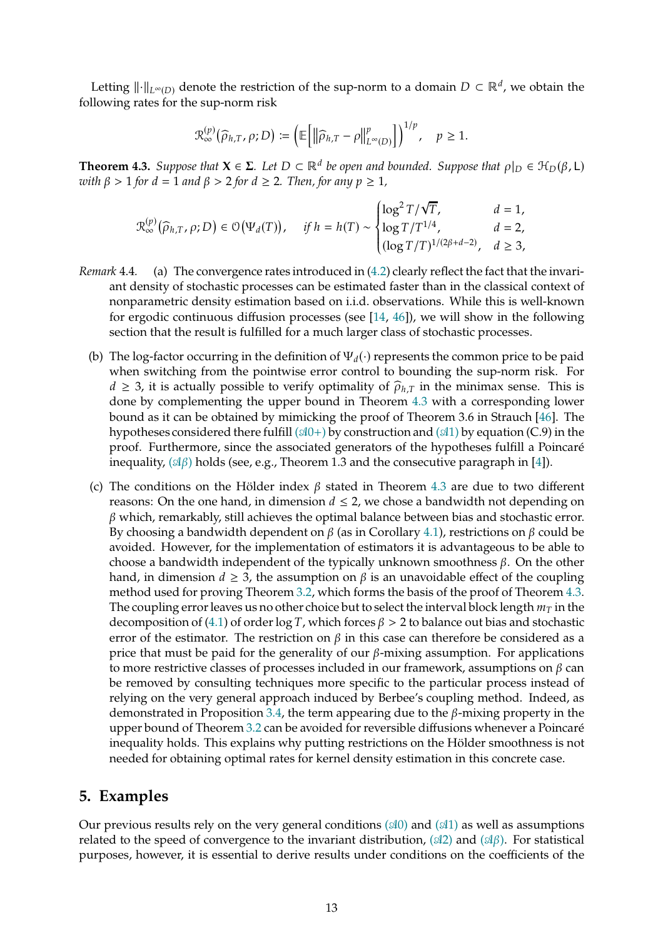Letting  $\|\cdot\|_{L^{\infty}(D)}$  denote the restriction of the sup-norm to a domain  $D \subset \mathbb{R}^d$ , we obtain the following rates for the sup-norm risk

$$
\mathcal{R}_{\infty}^{(p)}(\widehat{\rho}_{h,T},\rho;D) \coloneqq \left(\mathbb{E}\left[\left\|\widehat{\rho}_{h,T}-\rho\right\|_{L^{\infty}(D)}^p\right]\right)^{1/p}, \quad p \geq 1.
$$

<span id="page-12-0"></span>**Theorem 4.3.** *Suppose that*  $X \in \Sigma$ *. Let*  $D \subset \mathbb{R}^d$  *be open and bounded. Suppose that*  $\rho|_D \in \mathcal{H}_D(\beta, L)$ *with*  $\beta > 1$  *for*  $d = 1$  *and*  $\beta > 2$  *for*  $d \ge 2$ *. Then, for any*  $p \ge 1$ *,* 

$$
\mathcal{R}_{\infty}^{(p)}\big(\widehat{\rho}_{h,T},\rho;D\big)\in \mathcal{O}\big(\Psi_d(T)\big),\quad \textit{ if } h=h(T)\sim \begin{cases} \log^2T/\sqrt{T},& d=1,\\ \log T/T^{1/4},& d=2,\\ (\log T/T)^{1/(2\beta+d-2)},& d\geq 3, \end{cases}
$$

- *Remark* 4.4*.* (a) The convergence rates introduced in [\(4.2\)](#page-11-1) clearly reflect the fact that the invariant density of stochastic processes can be estimated faster than in the classical context of nonparametric density estimation based on i.i.d. observations. While this is well-known for ergodic continuous diffusion processes (see [\[14](#page-39-1), [46](#page-41-9)]), we will show in the following section that the result is fulfilled for a much larger class of stochastic processes.
	- (b) The log-factor occurring in the definition of  $\Psi_d(\cdot)$  represents the common price to be paid when switching from the pointwise error control to bounding the sup-norm risk. For  $d \geq 3$ , it is actually possible to verify optimality of  $\hat{\rho}_{h,T}$  in the minimax sense. This is done by complementing the upper bound in Theorem [4.3](#page-12-0) with a corresponding lower bound as it can be obtained by mimicking the proof of Theorem 3.6 in Strauch [\[46](#page-41-9)]. The hypotheses considered there fulfill  $(\mathfrak{A}0+)$  by construction and  $(\mathfrak{A}1)$  $(\mathfrak{A}1)$  by equation (C.9) in the proof. Furthermore, since the associated generators of the hypotheses fulfill a Poincaré inequality,  $(\mathfrak{A}\beta)$  holds (see, e.g., Theorem 1.3 and the consecutive paragraph in [\[4](#page-39-5)]).
	- (c) The conditions on the Hölder index  $\beta$  stated in Theorem [4.3](#page-12-0) are due to two different reasons: On the one hand, in dimension  $d \leq 2$ , we chose a bandwidth not depending on  $\beta$  which, remarkably, still achieves the optimal balance between bias and stochastic error. By choosing a bandwidth dependent on  $\beta$  (as in Corollary [4.1\)](#page-11-0), restrictions on  $\beta$  could be avoided. However, for the implementation of estimators it is advantageous to be able to choose a bandwidth independent of the typically unknown smoothness  $\beta$ . On the other hand, in dimension  $d \geq 3$ , the assumption on  $\beta$  is an unavoidable effect of the coupling method used for proving Theorem [3.2,](#page-9-0) which forms the basis of the proof of Theorem [4.3.](#page-12-0) The coupling error leaves us no other choice but to select the interval block length  $m<sub>T</sub>$  in the decomposition of [\(4.1\)](#page-11-2) of order log T, which forces  $\beta > 2$  to balance out bias and stochastic error of the estimator. The restriction on  $\beta$  in this case can therefore be considered as a price that must be paid for the generality of our  $\beta$ -mixing assumption. For applications to more restrictive classes of processes included in our framework, assumptions on  $\beta$  can be removed by consulting techniques more specific to the particular process instead of relying on the very general approach induced by Berbee's coupling method. Indeed, as demonstrated in Proposition [3.4,](#page-10-4) the term appearing due to the  $\beta$ -mixing property in the upper bound of Theorem [3.2](#page-9-0) can be avoided for reversible diffusions whenever a Poincaré inequality holds. This explains why putting restrictions on the Hölder smoothness is not needed for obtaining optimal rates for kernel density estimation in this concrete case.

## <span id="page-12-1"></span>**5. Examples**

Our previous results rely on the very general conditions  $(\mathcal{A}0)$  $(\mathcal{A}0)$  and  $(\mathcal{A}1)$  $(\mathcal{A}1)$  as well as assumptions related to the speed of convergence to the invariant distribution,  $(\mathcal{A}2)$  $(\mathcal{A}2)$  and  $(\mathcal{A}\beta)$ . For statistical purposes, however, it is essential to derive results under conditions on the coefficients of the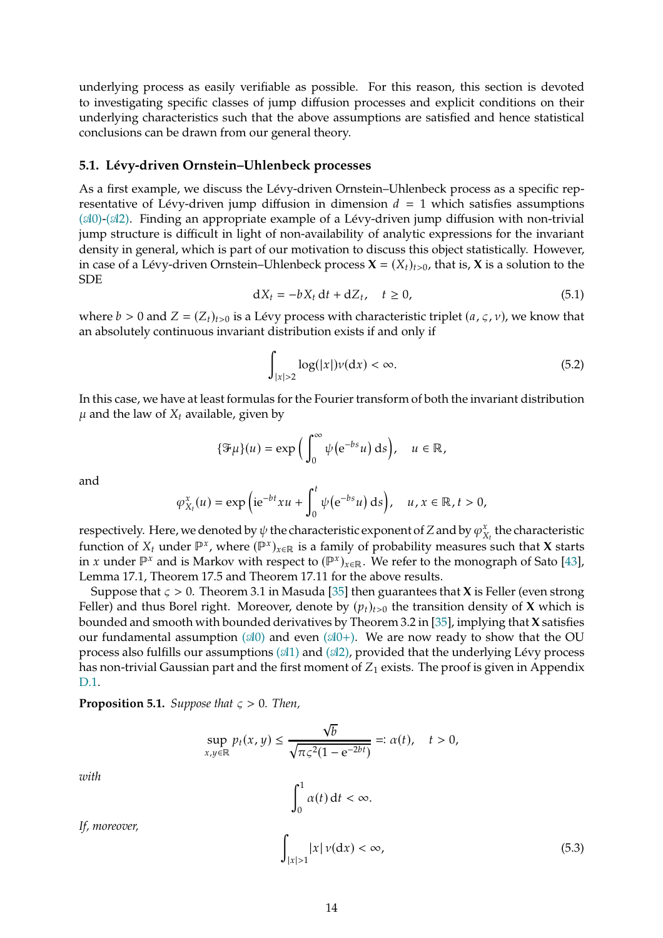underlying process as easily verifiable as possible. For this reason, this section is devoted to investigating specific classes of jump diffusion processes and explicit conditions on their underlying characteristics such that the above assumptions are satisfied and hence statistical conclusions can be drawn from our general theory.

#### <span id="page-13-0"></span>**5.1. Lévy-driven Ornstein–Uhlenbeck processes**

As a first example, we discuss the Lévy-driven Ornstein–Uhlenbeck process as a specific representative of Lévy-driven jump diffusion in dimension  $d = 1$  which satisfies assumptions  $($  $\mathcal{A}0$ )- $($  $\mathcal{A}2)$ . Finding an appropriate example of a Lévy-driven jump diffusion with non-trivial jump structure is difficult in light of non-availability of analytic expressions for the invariant density in general, which is part of our motivation to discuss this object statistically. However, in case of a Lévy-driven Ornstein–Uhlenbeck process  $X = (X_t)_{t>0}$ , that is, X is a solution to the SDE

<span id="page-13-1"></span>
$$
dX_t = -bX_t dt + dZ_t, \quad t \ge 0,
$$
\n
$$
(5.1)
$$

where  $b > 0$  and  $Z = (Z_t)_{t>0}$  is a Lévy process with characteristic triplet  $(a, \varsigma, \nu)$ , we know that an absolutely continuous invariant distribution exists if and only if

<span id="page-13-4"></span>
$$
\int_{|x|>2} \log(|x|)\nu(\mathrm{d}x) < \infty. \tag{5.2}
$$

In this case, we have at least formulas for the Fourier transform of both the invariant distribution  $\mu$  and the law of  $X_t$  available, given by

$$
\{\mathcal{F}\mu\}(u) = \exp\left(\int_0^\infty \psi(e^{-bs}u) \, ds\right), \quad u \in \mathbb{R},
$$

and

$$
\varphi_{X_t}^x(u) = \exp\left(\mathrm{i}e^{-bt}xu + \int_0^t \psi\big(e^{-bs}u\big)\,\mathrm{d} s\right), \quad u, x \in \mathbb{R}, t > 0,
$$

respectively. Here, we denoted by  $\psi$  the characteristic exponent of Z and by  $\varphi^x_\chi$  $\mathbf{x}_{\mathcal{X}_t}^{\mathcal{X}}$  the characteristic function of  $X_t$  under  $\mathbb{P}^x$ , where  $(\mathbb{P}^x)_{x \in \mathbb{R}}$  is a family of probability measures such that **X** starts in x under  $\mathbb{P}^x$  and is Markov with respect to  $(\mathbb{P}^x)_{x \in \mathbb{R}}$ . We refer to the monograph of Sato [\[43](#page-41-10)], Lemma 17.1, Theorem 17.5 and Theorem 17.11 for the above results.

Suppose that  $\varsigma > 0$ . Theorem 3.1 in Masuda [\[35](#page-40-6)] then guarantees that **X** is Feller (even strong Feller) and thus Borel right. Moreover, denote by  $(p_t)_{t>0}$  the transition density of **X** which is bounded and smooth with bounded derivatives by Theorem 3.2 in [\[35](#page-40-6)], implying that **X** satisfies our fundamental assumption  $(\mathcal{A}0)$  $(\mathcal{A}0)$  and even  $(\mathcal{A}0+)$ . We are now ready to show that the OU process also fulfills our assumptions  $(\mathcal{A}1)$  $(\mathcal{A}1)$  and  $(\mathcal{A}2)$ , provided that the underlying Lévy process has non-trivial Gaussian part and the first moment of  $Z_1$  exists. The proof is given in Appendix [D.1.](#page-29-0)

<span id="page-13-2"></span>**Proposition 5.1.** *Suppose that*  $\zeta > 0$ *. Then,* 

$$
\sup_{x,y\in\mathbb{R}} p_t(x,y) \le \frac{\sqrt{b}}{\sqrt{\pi \varsigma^2 (1 - e^{-2bt})}} =: \alpha(t), \quad t > 0,
$$

*with*

<span id="page-13-3"></span> $\int_0^1$  $\alpha(t) dt < \infty.$ ∫  $|x|>1$  $|x| \nu(\mathrm{d}x) < \infty,$  (5.3)

*If, moreover,*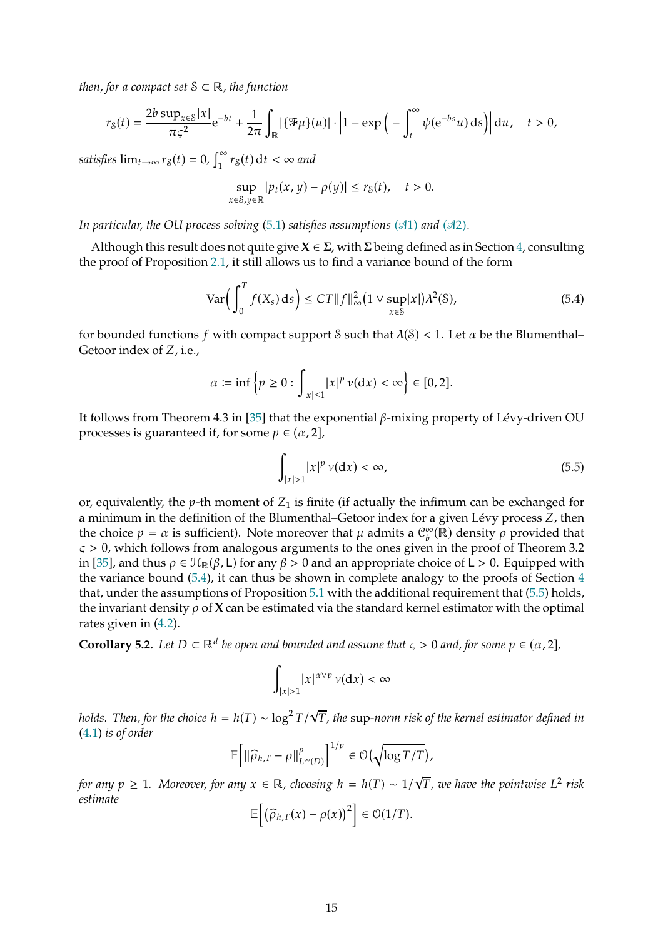*then, for a compact set* <sup>S</sup> <sup>⊂</sup> <sup>ℝ</sup>*, the function*

$$
r_S(t) = \frac{2b \sup_{x \in S} |x|}{\pi \zeta^2} e^{-bt} + \frac{1}{2\pi} \int_{\mathbb{R}} |\{\mathcal{F}\mu\}(u)| \cdot \left|1 - \exp\left(-\int_t^{\infty} \psi(e^{-bs}u) \, ds\right)\right| du, \quad t > 0,
$$

*satisfies*  $\lim_{t\to\infty} r_S(t) = 0$ ,  $\int_1^{\infty}$  $\int_1^{\infty} r_{{\rm S}}(t) \, {\rm d}t < \infty$  and

$$
\sup_{x\in\mathcal{S},y\in\mathbb{R}}|p_t(x,y)-\rho(y)|\leq r_{\mathcal{S}}(t),\quad t>0.
$$

*In particular, the OU process solving* [\(5.1\)](#page-13-1) *satisfies assumptions* ( $\mathcal{A}1$ ) *and* ( $\mathcal{A}2$ ).

Although this result does not quite give  $X \in \Sigma$ , with  $\Sigma$  being defined as in Section [4,](#page-10-0) consulting the proof of Proposition [2.1,](#page-5-0) it still allows us to find a variance bound of the form

<span id="page-14-0"></span>
$$
\text{Var}\Big(\int_0^T f(X_s) \, ds\Big) \le C T \|f\|_{\infty}^2 \big(1 \vee \sup_{x \in \mathcal{S}} |x| \big) \lambda^2(\mathcal{S}),\tag{5.4}
$$

for bounded functions f with compact support S such that  $\lambda(S) < 1$ . Let  $\alpha$  be the Blumenthal– Getoor index of  $Z$ , i.e.,

$$
\alpha := \inf \left\{ p \geq 0 : \int_{|x| \leq 1} |x|^p \, \nu(\mathrm{d}x) < \infty \right\} \in [0, 2].
$$

It follows from Theorem 4.3 in [\[35\]](#page-40-6) that the exponential  $\beta$ -mixing property of Lévy-driven OU processes is guaranteed if, for some  $p \in (\alpha, 2]$ ,

<span id="page-14-1"></span>
$$
\int_{|x|>1} |x|^p \nu(\mathrm{d}x) < \infty,\tag{5.5}
$$

or, equivalently, the  $p$ -th moment of  $Z_1$  is finite (if actually the infimum can be exchanged for a minimum in the definition of the Blumenthal–Getoor index for a given Lévy process Z, then the choice  $p = \alpha$  is sufficient). Note moreover that  $\mu$  admits a  $\mathcal{C}_b^{\infty}(\mathbb{R})$  density  $\rho$  provided that  $\varsigma > 0$ , which follows from analogous arguments to the ones given in the proof of Theorem 3.2 in [\[35](#page-40-6)], and thus  $\rho \in \mathcal{H}_{\mathbb{R}}(\beta, L)$  for any  $\beta > 0$  and an appropriate choice of  $L > 0$ . Equipped with the variance bound [\(5.4\)](#page-14-0), it can thus be shown in complete analogy to the proofs of Section [4](#page-10-0) that, under the assumptions of Proposition [5.1](#page-13-2) with the additional requirement that [\(5.5\)](#page-14-1) holds, the invariant density  $\rho$  of  $X$  can be estimated via the standard kernel estimator with the optimal rates given in [\(4.2\)](#page-11-1).

**Corollary 5.2.** *Let*  $D \subset \mathbb{R}^d$  *be open and bounded and assume that*  $\varsigma > 0$  *and, for some*  $p \in (\alpha, 2]$ *,* 

$$
\int_{|x|>1} |x|^{\alpha \vee p} \nu(\mathrm{d}x) < \infty
$$

*holds. Then, for the choice*  $h = h(T) \sim \log^2 T / \sqrt{T}$ , the sup-norm risk of the kernel estimator defined in [\(4.1\)](#page-11-2) *is of order*

$$
\mathbb{E}\left[\left\|\widehat{\rho}_{h,T}-\rho\right\|_{L^{\infty}(D)}^p\right]^{1/p}\in \mathcal{O}\left(\sqrt{\log T/T}\right),\,
$$

 $f$ or any  $p \ge 1$ *. Moreover, for any*  $x \in \mathbb{R}$ *, choosing*  $h = h(T) \sim 1/\sqrt{T}$ *, we have the pointwise*  $L^2$  risk *estimate* h i

$$
\mathbb{E}\left[\left(\widehat{\rho}_{h,T}(x)-\rho(x)\right)^2\right]\in\mathcal{O}(1/T).
$$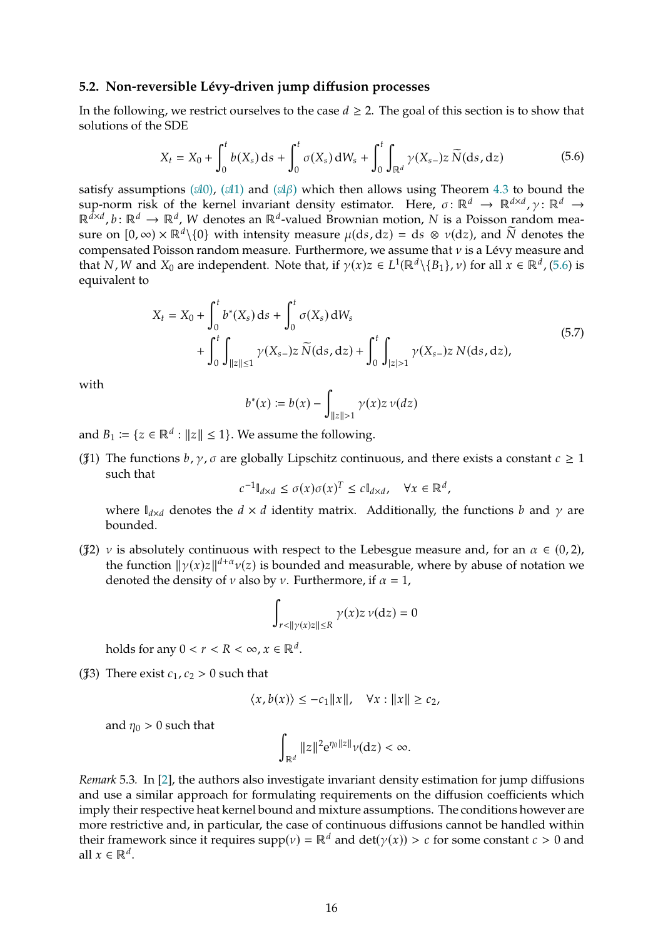#### <span id="page-15-0"></span>**5.2. Non-reversible Lévy-driven jump diffusion processes**

In the following, we restrict ourselves to the case  $d \geq 2$ . The goal of this section is to show that solutions of the SDE

$$
X_{t} = X_{0} + \int_{0}^{t} b(X_{s}) ds + \int_{0}^{t} \sigma(X_{s}) dW_{s} + \int_{0}^{t} \int_{\mathbb{R}^{d}} \gamma(X_{s-}) z \, \widetilde{N}(ds, dz)
$$
 (5.6)

<span id="page-15-1"></span>satisfy assumptions ( $\mathcal{A}(0)$ , ( $\mathcal{A}(1)$  $\mathcal{A}(1)$ ) and ( $\mathcal{A}(\beta)$ ) which then allows using Theorem [4.3](#page-12-0) to bound the sup-norm risk of the kernel invariant density estimator. Here,  $\sigma \colon \mathbb{R}^d \to \mathbb{R}^{d \times d}$ ,  $\gamma \colon \mathbb{R}^d \to$  $\mathbb{R}^{\bar{d} \times d}$ ,  $b: \mathbb{R}^d \to \mathbb{R}^d$ , W denotes an  $\mathbb{R}^d$ -valued Brownian motion, N is a Poisson random measure on  $[0, \infty) \times \mathbb{R}^d \setminus \{0\}$  with intensity measure  $\mu(ds, dz) = ds \otimes \nu(dz)$ , and  $\widetilde{N}$  denotes the compensated Poisson random measure. Furthermore, we assume that  $\nu$  is a Lévy measure and that N, W and  $X_0$  are independent. Note that, if  $\gamma(x)z \in L^1(\mathbb{R}^d \setminus \{B_1\}, \nu)$  for all  $x \in \mathbb{R}^d$ , [\(5.6\)](#page-15-1) is equivalent to

$$
X_t = X_0 + \int_0^t b^*(X_s) ds + \int_0^t \sigma(X_s) dW_s
$$
  
+ 
$$
\int_0^t \int_{\|z\| \le 1} \gamma(X_{s-}) z \, \widetilde{N}(ds, dz) + \int_0^t \int_{|z| > 1} \gamma(X_{s-}) z \, N(ds, dz),
$$
 (5.7)

<span id="page-15-4"></span>with

$$
b^*(x) := b(x) - \int_{\|z\| > 1} \gamma(x) z \, \nu(dz)
$$

<span id="page-15-2"></span>and  $B_1 \coloneqq \{z \in \mathbb{R}^d : ||z|| \leq 1\}$ . We assume the following.

( $\sharp$ 1) The functions  $b, \gamma, \sigma$  are globally Lipschitz continuous, and there exists a constant  $c \geq 1$ such that

$$
c^{-1} \mathbb{I}_{d \times d} \le \sigma(x) \sigma(x)^T \le c \mathbb{I}_{d \times d}, \quad \forall x \in \mathbb{R}^d,
$$

where  $\mathbb{I}_{d \times d}$  denotes the  $d \times d$  identity matrix. Additionally, the functions b and  $\gamma$  are bounded.

<span id="page-15-5"></span>( $\sharp$ 2)  $\nu$  is absolutely continuous with respect to the Lebesgue measure and, for an  $\alpha \in (0, 2)$ , the function  $\|\gamma(x)z\|^{d+\alpha}v(z)$  is bounded and measurable, where by abuse of notation we denoted the density of  $\nu$  also by  $\nu$ . Furthermore, if  $\alpha = 1$ ,

$$
\int_{r<\|\gamma(x)z\|\leq R} \gamma(x)z\,\nu(\mathrm{d}z)=0
$$

holds for any  $0 < r < R < \infty$ ,  $x \in \mathbb{R}^d$ .

<span id="page-15-3"></span>( $\text{\$3)}$ ) There exist  $c_1$ ,  $c_2 > 0$  such that

$$
\langle x, b(x) \rangle \le -c_1 ||x||, \quad \forall x : ||x|| \ge c_2,
$$

and  $\eta_0 > 0$  such that

$$
\int_{\mathbb{R}^d} \|z\|^2 \mathrm{e}^{\eta_0 \|z\|} \nu(\mathrm{d} z) < \infty.
$$

*Remark* 5.3*.* In [\[2\]](#page-39-2), the authors also investigate invariant density estimation for jump diffusions and use a similar approach for formulating requirements on the diffusion coefficients which imply their respective heat kernel bound and mixture assumptions. The conditions however are more restrictive and, in particular, the case of continuous diffusions cannot be handled within their framework since it requires  $supp(v) = \mathbb{R}^d$  and  $det(y(x)) > c$  for some constant  $c > 0$  and all  $x \in \mathbb{R}^d$ .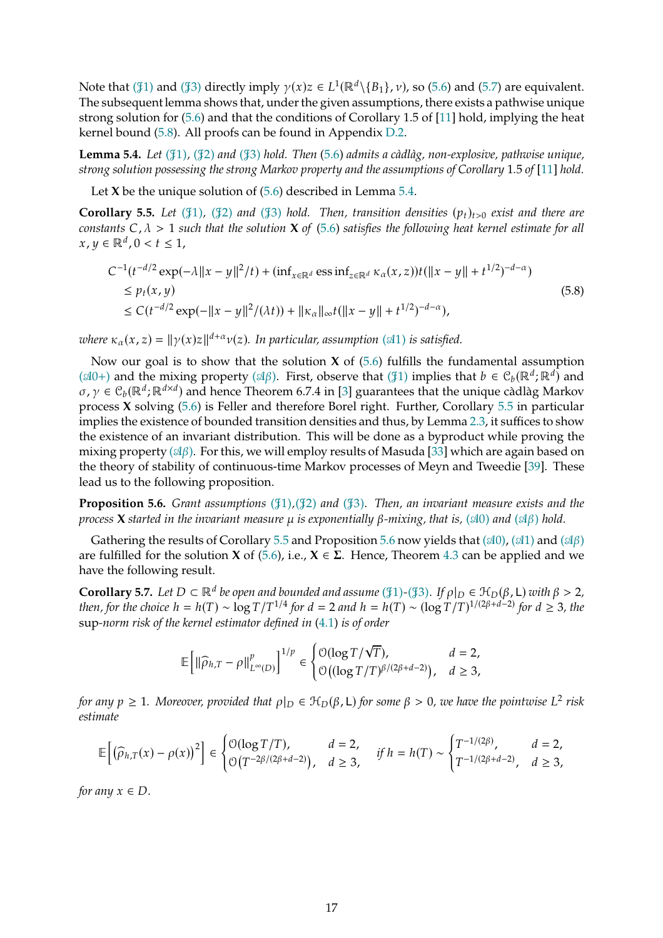Note that ( $\mathcal{J}_1$ ) and ( $\mathcal{J}_3$ ) directly imply  $\gamma(x)z \in L^1(\mathbb{R}^d \setminus \{B_1\}, \nu)$ , so [\(5.6\)](#page-15-1) and [\(5.7\)](#page-15-4) are equivalent. The subsequent lemma shows that, under the given assumptions, there exists a pathwise unique strong solution for [\(5.6\)](#page-15-1) and that the conditions of Corollary 1.5 of [\[11](#page-39-9)] hold, implying the heat kernel bound [\(5.8\)](#page-16-1). All proofs can be found in Appendix [D.2.](#page-33-0)

<span id="page-16-2"></span>**Lemma 5.4.** *Let (*𝒥*[1\),](#page-15-2) (*𝒥*[2\)](#page-15-5) and (*𝒥*[3\)](#page-15-3) hold. Then* [\(5.6\)](#page-15-1) *admits a càdlàg, non-explosive, pathwise unique, strong solution possessing the strong Markov property and the assumptions of Corollary 1.5 of [\[11](#page-39-9)] hold.* 

Let **X** be the unique solution of [\(5.6\)](#page-15-1) described in Lemma [5.4.](#page-16-2)

<span id="page-16-0"></span>**Corollary 5.5.** *Let* ( $\{1\}$ *),* ( $\{2\}$  *and* ( $\{3\}$ *) hold. Then, transition densities*  $(p_t)_{t>0}$  *exist and there are constants*  $C, \lambda > 1$  *such that the solution* **X** *of* [\(5.6\)](#page-15-1) *satisfies the following heat kernel estimate for all*  $x, y \in \mathbb{R}^d, 0 < t \leq 1$ ,

<span id="page-16-1"></span>
$$
C^{-1}(t^{-d/2}\exp(-\lambda||x-y||^2/t) + (\inf_{x \in \mathbb{R}^d} \exp(\max(x,z))t(||x-y|| + t^{1/2})^{-d-\alpha})
$$
  
\n
$$
\leq p_t(x,y) \leq C(t^{-d/2}\exp(-||x-y||^2/(\lambda t)) + ||\kappa_\alpha||_\infty t(||x-y|| + t^{1/2})^{-d-\alpha}),
$$
\n(5.8)

*where*  $\kappa_{\alpha}(x, z) = ||\gamma(x)z||^{d+\alpha} \nu(z)$ . In particular, assumption ( $\triangleleft 1$ ) is satisfied.

Now our goal is to show that the solution **X** of  $(5.6)$  fulfills the fundamental assumption ( $\mathcal{A}0+$ ) and the mixing property ( $\mathcal{A}\beta$ ). First, observe that ( $\mathcal{J}1$ ) implies that  $b \in C_b(\mathbb{R}^d;\mathbb{R}^d)$  and  $\sigma, \gamma \in C_b(\mathbb{R}^d; \mathbb{R}^{d \times d})$  and hence Theorem 6.7.4 in [\[3](#page-39-10)] guarantees that the unique càdlàg Markov process **X** solving [\(5.6\)](#page-15-1) is Feller and therefore Borel right. Further, Corollary [5.5](#page-16-0) in particular implies the existence of bounded transition densities and thus, by Lemma [2.3,](#page-7-5) it suffices to show the existence of an invariant distribution. This will be done as a byproduct while proving the mixing property  $(\mathcal{A}\beta)$ . For this, we will employ results of Masuda [\[33](#page-40-7)] which are again based on the theory of stability of continuous-time Markov processes of Meyn and Tweedie [\[39](#page-41-8)]. These lead us to the following proposition.

<span id="page-16-3"></span>**Proposition 5.6.** *Grant assumptions* ( $\sharp$ [1\),](#page-15-2) $\sharp$ [2\)](#page-15-5) *and* ( $\sharp$ [3\).](#page-15-3) *Then, an invariant measure exists and the process* **X** *started in the invariant measure*  $\mu$  *is exponentially*  $\beta$ *-mixing, that is,* ( $\triangleleft 0$ ) *and* ( $\triangleleft \beta$ ) *hold.* 

Gathering the results of Corollary [5.5](#page-16-0) and Proposition [5.6](#page-16-3) now yields that  $(\mathcal{A}0)$ ,  $(\mathcal{A}1)$  $(\mathcal{A}1)$  and  $(\mathcal{A}\beta)$ are fulfilled for the solution **X** of [\(5.6\)](#page-15-1), i.e.,  $X \in \Sigma$ . Hence, Theorem [4.3](#page-12-0) can be applied and we have the following result.

**Corollary 5.7.** *Let*  $D \subset \mathbb{R}^d$  *be open and bounded and assume* ( $\mathcal{F}_1$ )-( $\mathcal{F}_3$ ). *If*  $\rho|_D \in \mathcal{H}_D(\beta, L)$  *with*  $\beta > 2$ *, then, for the choice*  $h = h(T) \sim \log T / T^{1/4}$  *for*  $d = 2$  *and*  $h = h(T) \sim (\log T / T)^{1/(2\beta + d - 2)}$  *for*  $d \ge 3$ *, the* sup*-norm risk of the kernel estimator defined in* [\(4.1\)](#page-11-2) *is of order*

$$
\mathbb{E}\bigg[\|\widehat{\rho}_{h,T}-\rho\|_{L^\infty(D)}^p\bigg]^{1/p}\in \begin{cases} \mathcal{O}(\log T/\sqrt{T}), & d=2,\\ \mathcal{O}\big((\log T/T)^{\beta/(2\beta+d-2)}\big), & d\geq 3,\end{cases}
$$

*for any*  $p \ge 1$ . Moreover, provided that  $\rho|_D \in H_D(\beta, L)$  *for some*  $\beta > 0$ , we have the pointwise  $L^2$  risk *estimate*

$$
\mathbb{E}\Big[\big(\widehat{\rho}_{h,T}(x)-\rho(x)\big)^2\Big]\in \begin{cases} \mathcal{O}(\log T/T), & d=2, \\ \mathcal{O}\big(T^{-2\beta/(2\beta+d-2)}\big), & d\geq 3, \end{cases} \quad \text{if } h=h(T)\sim \begin{cases} T^{-1/(2\beta)}, & d=2, \\ T^{-1/(2\beta+d-2)}, & d\geq 3, \end{cases}
$$

*for any*  $x \in D$ *.*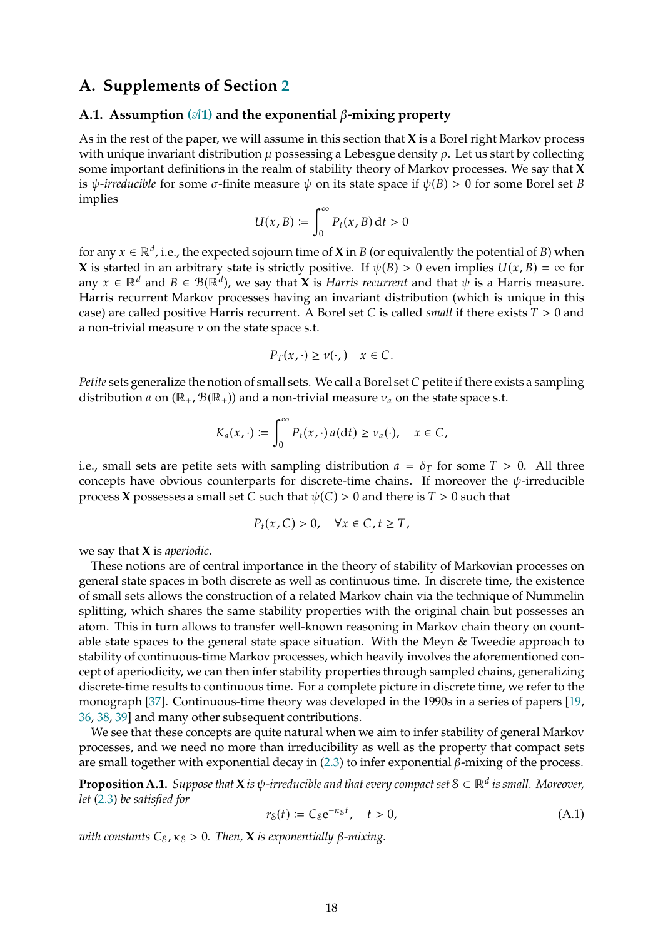# **A. Supplements of Section [2](#page-4-0)**

### <span id="page-17-0"></span>A.1. Assumption  $(\text{M1})$  and the exponential  $\beta$ -mixing property

As in the rest of the paper, we will assume in this section that **X** is a Borel right Markov process with unique invariant distribution  $\mu$  possessing a Lebesgue density  $\rho$ . Let us start by collecting some important definitions in the realm of stability theory of Markov processes. We say that **X** is  $\psi$ -*irreducible* for some  $\sigma$ -finite measure  $\psi$  on its state space if  $\psi(B) > 0$  for some Borel set B implies

$$
U(x, B) := \int_0^\infty P_t(x, B) \, \mathrm{d}t > 0
$$

for any  $x \in \mathbb{R}^d$ , i.e., the expected sojourn time of **X** in *B* (or equivalently the potential of *B*) when **X** is started in an arbitrary state is strictly positive. If  $\psi(B) > 0$  even implies  $U(x, B) = \infty$  for any  $x \in \mathbb{R}^d$  and  $B \in \mathcal{B}(\mathbb{R}^d)$ , we say that **X** is *Harris recurrent* and that  $\psi$  is a Harris measure. Harris recurrent Markov processes having an invariant distribution (which is unique in this case) are called positive Harris recurrent. A Borel set C is called *small* if there exists  $T > 0$  and a non-trivial measure  $\nu$  on the state space s.t.

$$
P_T(x,\cdot) \ge \nu(\cdot,\) \quad x \in C.
$$

*Petite* sets generalize the notion of small sets. We call a Borel set C petite if there exists a sampling distribution *a* on (ℝ<sub>+</sub>, B(ℝ<sub>+</sub>)) and a non-trivial measure  $v_a$  on the state space s.t.

$$
K_a(x,\cdot) := \int_0^\infty P_t(x,\cdot) \, a(\mathrm{d} t) \ge \nu_a(\cdot), \quad x \in C,
$$

i.e., small sets are petite sets with sampling distribution  $a = \delta_T$  for some  $T > 0$ . All three concepts have obvious counterparts for discrete-time chains. If moreover the  $\psi$ -irreducible process **X** possesses a small set *C* such that  $\psi(C) > 0$  and there is  $T > 0$  such that

$$
P_t(x, C) > 0, \quad \forall x \in C, t \geq T,
$$

we say that **X** is *aperiodic*.

These notions are of central importance in the theory of stability of Markovian processes on general state spaces in both discrete as well as continuous time. In discrete time, the existence of small sets allows the construction of a related Markov chain via the technique of Nummelin splitting, which shares the same stability properties with the original chain but possesses an atom. This in turn allows to transfer well-known reasoning in Markov chain theory on countable state spaces to the general state space situation. With the Meyn & Tweedie approach to stability of continuous-time Markov processes, which heavily involves the aforementioned concept of aperiodicity, we can then infer stability properties through sampled chains, generalizing discrete-time results to continuous time. For a complete picture in discrete time, we refer to the monograph [\[37\]](#page-41-11). Continuous-time theory was developed in the 1990s in a series of papers [\[19,](#page-39-4) [36,](#page-41-6) [38](#page-41-7), [39](#page-41-8)] and many other subsequent contributions.

We see that these concepts are quite natural when we aim to infer stability of general Markov processes, and we need no more than irreducibility as well as the property that compact sets are small together with exponential decay in  $(2.3)$  to infer exponential  $\beta$ -mixing of the process.

<span id="page-17-1"></span> ${\bf Proposition \ A.1.}$  *Suppose that*  ${\bf X}$  *is*  $\psi$ *-irreducible and that every compact set*  $\mathcal{S} \subset \mathbb{R}^d$  *is small. Moreover, let* [\(2.3\)](#page-4-2) *be satisfied for*

<span id="page-17-2"></span>
$$
r_S(t) \coloneqq C_S e^{-\kappa_S t}, \quad t > 0,
$$
\n(A.1)

*with constants*  $C_8$ ,  $\kappa_S > 0$ . *Then*, **X** *is exponentially*  $\beta$ *-mixing.*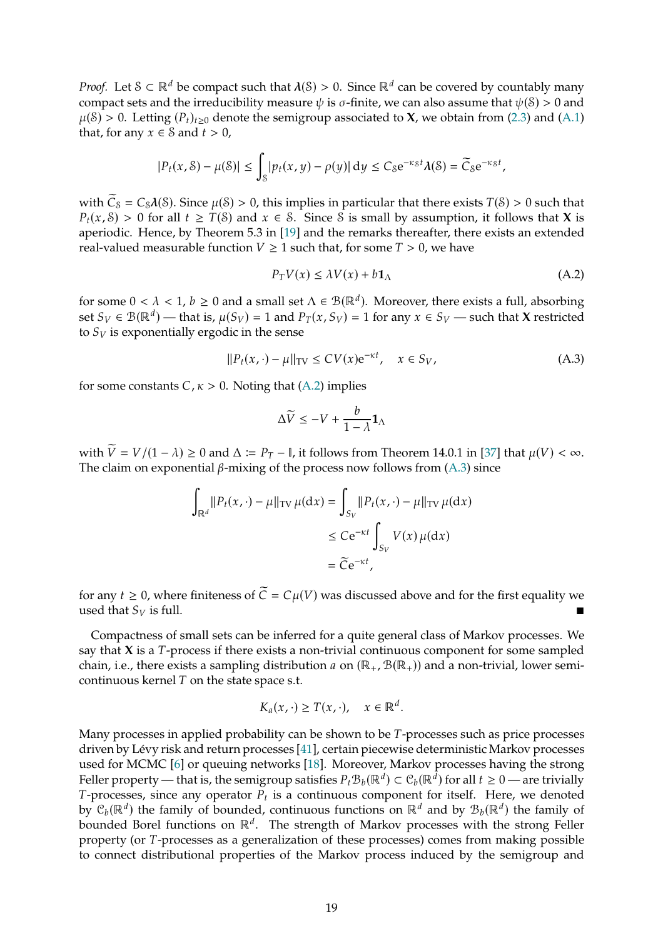*Proof.* Let  $S \subset \mathbb{R}^d$  be compact such that  $\lambda(S) > 0$ . Since  $\mathbb{R}^d$  can be covered by countably many compact sets and the irreducibility measure  $\psi$  is  $\sigma$ -finite, we can also assume that  $\psi(\mathcal{S}) > 0$  and  $\mu(\mathcal{S}) > 0$ . Letting  $(P_t)_{t>0}$  denote the semigroup associated to **X**, we obtain from [\(2.3\)](#page-4-2) and [\(A.1\)](#page-17-2) that, for any  $x \in S$  and  $t > 0$ ,

$$
|P_t(x,\mathcal{S}) - \mu(\mathcal{S})| \le \int_{\mathcal{S}} |p_t(x,y) - \rho(y)| \, \mathrm{d}y \le C_{\mathcal{S}} e^{-\kappa_{\mathcal{S}} t} \lambda(\mathcal{S}) = \widetilde{C}_{\mathcal{S}} e^{-\kappa_{\mathcal{S}} t},
$$

with  $\widetilde{C}_s = C_s \lambda(S)$ . Since  $\mu(S) > 0$ , this implies in particular that there exists  $T(S) > 0$  such that  $P_t(x, \mathcal{S}) > 0$  for all  $t \geq T(\mathcal{S})$  and  $x \in \mathcal{S}$ . Since S is small by assumption, it follows that **X** is aperiodic. Hence, by Theorem 5.3 in [\[19\]](#page-39-4) and the remarks thereafter, there exists an extended real-valued measurable function  $V \geq 1$  such that, for some  $T > 0$ , we have

<span id="page-18-0"></span>
$$
P_T V(x) \le \lambda V(x) + b \mathbf{1}_{\Lambda} \tag{A.2}
$$

for some  $0 < \lambda < 1$ ,  $b \ge 0$  and a small set  $\Lambda \in \mathcal{B}(\mathbb{R}^d)$ . Moreover, there exists a full, absorbing set  $S_V \in \mathcal{B}(\mathbb{R}^d)$  — that is,  $\mu(S_V) = 1$  and  $P_T(x, S_V) = 1$  for any  $x \in S_V$  — such that **X** restricted to  $S_V$  is exponentially ergodic in the sense

<span id="page-18-1"></span>
$$
||P_t(x, \cdot) - \mu||_{TV} \le CV(x)e^{-\kappa t}, \quad x \in S_V,
$$
\n(A.3)

for some constants  $C, \kappa > 0$ . Noting that [\(A.2\)](#page-18-0) implies

$$
\Delta \widetilde{V} \le -V + \frac{b}{1-\lambda} \mathbf{1}_{\Lambda}
$$

with  $\widetilde{V} = V/(1 - \lambda) \ge 0$  and  $\Delta := P_T - I$ , it follows from Theorem 14.0.1 in [\[37\]](#page-41-11) that  $\mu(V) < \infty$ . The claim on exponential  $\beta$ -mixing of the process now follows from [\(A.3\)](#page-18-1) since

$$
\int_{\mathbb{R}^d} ||P_t(x, \cdot) - \mu||_{\text{TV}} \,\mu(\text{d}x) = \int_{S_V} ||P_t(x, \cdot) - \mu||_{\text{TV}} \,\mu(\text{d}x)
$$
\n
$$
\leq C e^{-\kappa t} \int_{S_V} V(x) \,\mu(\text{d}x)
$$
\n
$$
= \widetilde{C} e^{-\kappa t},
$$

for any  $t \geq 0$ , where finiteness of  $\tilde{C} = C\mu(V)$  was discussed above and for the first equality we used that  $S_V$  is full.

Compactness of small sets can be inferred for a quite general class of Markov processes. We say that  $X$  is a  $T$ -process if there exists a non-trivial continuous component for some sampled chain, i.e., there exists a sampling distribution *a* on  $(\mathbb{R}_+, \mathcal{B}(\mathbb{R}_+))$  and a non-trivial, lower semicontinuous kernel  $T$  on the state space s.t.

$$
K_a(x,\cdot)\geq T(x,\cdot),\quad x\in\mathbb{R}^d.
$$

Many processes in applied probability can be shown to be  $T$ -processes such as price processes driven by Lévy risk and return processes [\[41](#page-41-12)], certain piecewise deterministic Markov processes used for MCMC [\[6\]](#page-39-11) or queuing networks [\[18\]](#page-39-12). Moreover, Markov processes having the strong Feller property — that is, the semigroup satisfies  $P_t B_b(\mathbb{R}^d) \subset C_b(\mathbb{R}^d)$  for all  $t \geq 0$  — are trivially T-processes, since any operator  $P_t$  is a continuous component for itself. Here, we denoted by  $\mathcal{C}_b(\mathbb{R}^d)$  the family of bounded, continuous functions on  $\mathbb{R}^d$  and by  $\mathcal{B}_b(\mathbb{R}^d)$  the family of bounded Borel functions on  $\mathbb{R}^d$ . The strength of Markov processes with the strong Feller property (or T-processes as a generalization of these processes) comes from making possible to connect distributional properties of the Markov process induced by the semigroup and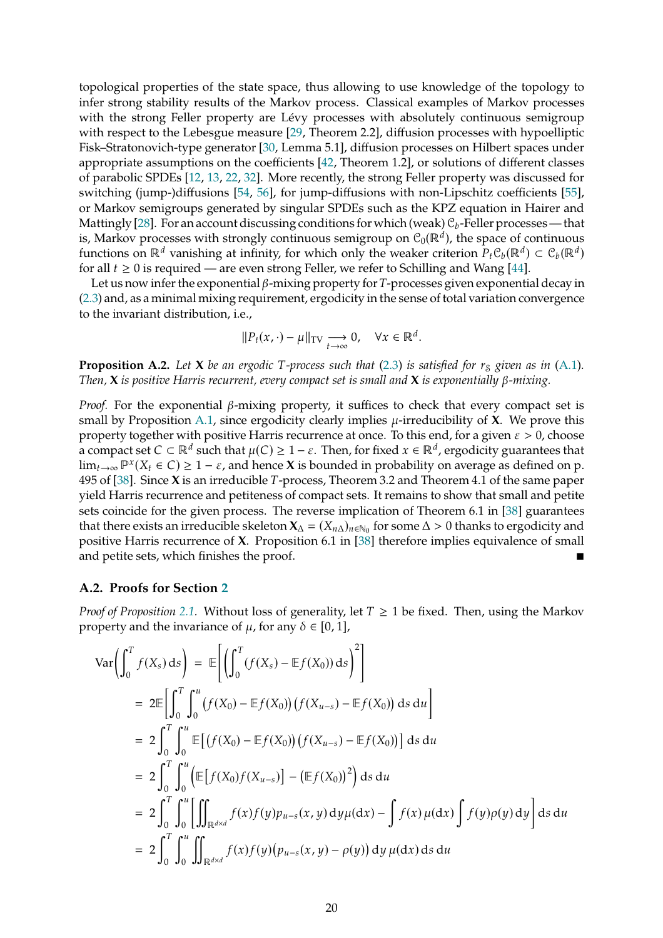topological properties of the state space, thus allowing to use knowledge of the topology to infer strong stability results of the Markov process. Classical examples of Markov processes with the strong Feller property are Lévy processes with absolutely continuous semigroup with respect to the Lebesgue measure [\[29](#page-40-8), Theorem 2.2], diffusion processes with hypoelliptic Fisk–Stratonovich-type generator [\[30,](#page-40-9) Lemma 5.1], diffusion processes on Hilbert spaces under appropriate assumptions on the coefficients [\[42](#page-41-13), Theorem 1.2], or solutions of different classes of parabolic SPDEs [\[12](#page-39-13), [13,](#page-39-14) [22](#page-40-10), [32\]](#page-40-11). More recently, the strong Feller property was discussed for switching (jump-)diffusions [\[54](#page-42-2), [56](#page-42-3)], for jump-diffusions with non-Lipschitz coefficients [\[55](#page-42-4)], or Markov semigroups generated by singular SPDEs such as the KPZ equation in Hairer and Mattingly [\[28\]](#page-40-12). For an account discussing conditions for which (weak)  $\mathcal{C}_b$ -Feller processes — that is, Markov processes with strongly continuous semigroup on  $\mathcal{C}_0(\mathbb{R}^d)$ , the space of continuous functions on  $\mathbb{R}^d$  vanishing at infinity, for which only the weaker criterion  $P_t C_b(\mathbb{R}^d) \subset C_b(\mathbb{R}^d)$ for all  $t \geq 0$  is required — are even strong Feller, we refer to Schilling and Wang [\[44](#page-41-14)].

Let us now infer the exponential  $\beta$ -mixing property for T-processes given exponential decay in [\(2.3\)](#page-4-2) and, as a minimal mixing requirement, ergodicity in the sense of total variation convergence to the invariant distribution, i.e.,

$$
||P_t(x,\cdot)-\mu||_{\text{TV}} \underset{t\to\infty}{\longrightarrow} 0, \quad \forall x \in \mathbb{R}^d.
$$

<span id="page-19-1"></span>**Proposition A.2.** Let **X** be an ergodic T-process such that [\(2.3\)](#page-4-2) is satisfied for  $r_s$  given as in [\(A.1\)](#page-17-2). *Then,*  $X$  *is positive Harris recurrent, every compact set is small and*  $X$  *is exponentially*  $\beta$ *-mixing.* 

*Proof.* For the exponential  $\beta$ -mixing property, it suffices to check that every compact set is small by Proposition [A.1,](#page-17-1) since ergodicity clearly implies  $\mu$ -irreducibility of **X**. We prove this property together with positive Harris recurrence at once. To this end, for a given  $\varepsilon > 0$ , choose a compact set  $C \subset \mathbb{R}^d$  such that  $\mu(C) \geq 1-\varepsilon$ . Then, for fixed  $x \in \mathbb{R}^d$ , ergodicity guarantees that  $\lim_{t\to\infty} \mathbb{P}^x(X_t \in C) \ge 1-\varepsilon$ , and hence **X** is bounded in probability on average as defined on p. 495 of [\[38](#page-41-7)]. Since X is an irreducible T-process, Theorem 3.2 and Theorem 4.1 of the same paper yield Harris recurrence and petiteness of compact sets. It remains to show that small and petite sets coincide for the given process. The reverse implication of Theorem 6.1 in [\[38](#page-41-7)] guarantees that there exists an irreducible skeleton  $X_\Delta = (X_{n\Delta})_{n \in \mathbb{N}_0}$  for some  $\Delta > 0$  thanks to ergodicity and positive Harris recurrence of **X**. Proposition 6.1 in [\[38\]](#page-41-7) therefore implies equivalence of small and petite sets, which finishes the proof.

### <span id="page-19-0"></span>**A.2. Proofs for Section [2](#page-4-0)**

*Proof of Proposition* [2.1.](#page-5-0) Without loss of generality, let  $T \geq 1$  be fixed. Then, using the Markov property and the invariance of  $\mu$ , for any  $\delta \in [0, 1]$ ,

$$
\operatorname{Var}\left(\int_{0}^{T} f(X_{s}) ds\right) = \mathbb{E}\left[\left(\int_{0}^{T} (f(X_{s}) - \mathbb{E}f(X_{0})) ds\right)^{2}\right]
$$
  
\n
$$
= 2\mathbb{E}\left[\int_{0}^{T} \int_{0}^{u} (f(X_{0}) - \mathbb{E}f(X_{0})) (f(X_{u-s}) - \mathbb{E}f(X_{0})) ds du\right]
$$
  
\n
$$
= 2\int_{0}^{T} \int_{0}^{u} \mathbb{E}\left[(f(X_{0}) - \mathbb{E}f(X_{0})) (f(X_{u-s}) - \mathbb{E}f(X_{0}))\right] ds du
$$
  
\n
$$
= 2\int_{0}^{T} \int_{0}^{u} \left(\mathbb{E}\left[f(X_{0})f(X_{u-s})\right] - (\mathbb{E}f(X_{0}))^{2}\right) ds du
$$
  
\n
$$
= 2\int_{0}^{T} \int_{0}^{u} \left[\iint_{\mathbb{R}^{d\times d}} f(x)f(y) p_{u-s}(x, y) dy \mu(dx) - \int f(x) \mu(dx) \int f(y) \rho(y) dy\right] ds du
$$
  
\n
$$
= 2\int_{0}^{T} \int_{0}^{u} \iint_{\mathbb{R}^{d\times d}} f(x)f(y) (p_{u-s}(x, y) - \rho(y)) dy \mu(dx) ds du
$$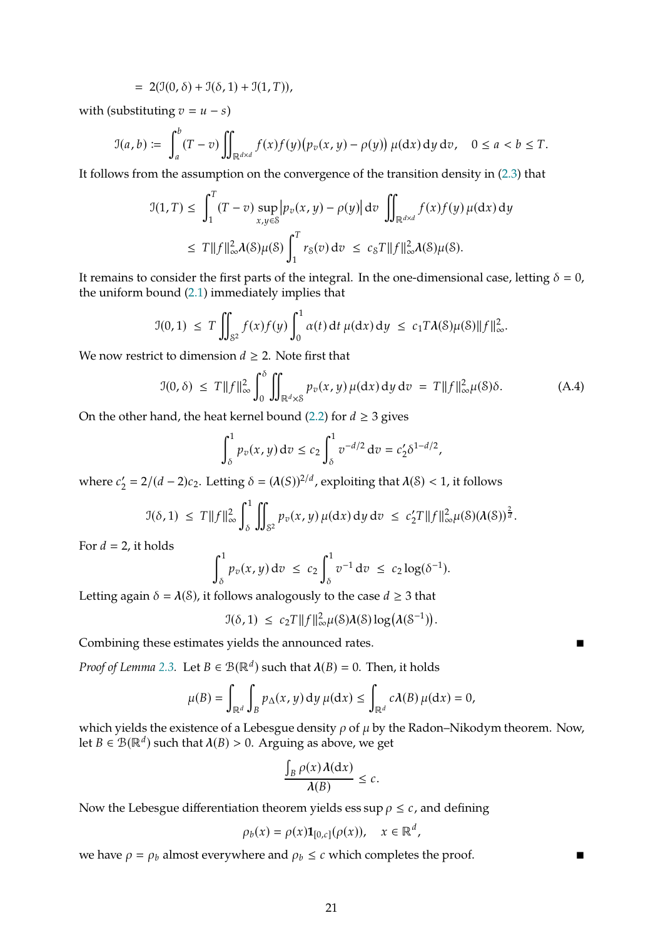$$
= 2(\mathfrak{I}(0,\delta) + \mathfrak{I}(\delta,1) + \mathfrak{I}(1,T)),
$$

with (substituting  $v = u - s$ )

$$
\mathfrak{I}(a,b) \coloneqq \int_a^b (T-v) \iint_{\mathbb{R}^{d\times d}} f(x)f(y)\big(p_v(x,y) - \rho(y)\big) \,\mu(\mathrm{d}x) \,\mathrm{d}y \,\mathrm{d}v, \quad 0 \le a < b \le T.
$$

It follows from the assumption on the convergence of the transition density in [\(2.3\)](#page-4-2) that

$$
\mathcal{I}(1,T) \leq \int_1^T (T-v) \sup_{x,y \in \mathcal{S}} \left| p_v(x,y) - \rho(y) \right| dv \iint_{\mathbb{R}^{d \times d}} f(x) f(y) \mu(dx) dy
$$
  

$$
\leq T \|f\|_{\infty}^2 \lambda(\mathcal{S}) \mu(\mathcal{S}) \int_1^T r_{\mathcal{S}}(v) dv \leq c_{\mathcal{S}} T \|f\|_{\infty}^2 \lambda(\mathcal{S}) \mu(\mathcal{S}).
$$

It remains to consider the first parts of the integral. In the one-dimensional case, letting  $\delta = 0$ , the uniform bound [\(2.1\)](#page-4-3) immediately implies that

$$
\mathfrak{I}(0,1) \ \leq \ T \iint_{\mathcal{S}^2} f(x)f(y) \int_0^1 \alpha(t) \, \mathrm{d}t \, \mu(\mathrm{d}x) \, \mathrm{d}y \ \leq \ c_1 T \lambda(\mathcal{S}) \mu(\mathcal{S}) \|f\|_{\infty}^2.
$$

We now restrict to dimension  $d \geq 2$ . Note first that

<span id="page-20-0"></span>
$$
\mathcal{I}(0,\delta) \leq T \|f\|_{\infty}^2 \int_0^{\delta} \iint_{\mathbb{R}^d \times \mathcal{S}} p_v(x,y) \,\mu(\mathrm{d}x) \,\mathrm{d}y \,\mathrm{d}v = T \|f\|_{\infty}^2 \mu(\mathcal{S}) \delta. \tag{A.4}
$$

On the other hand, the heat kernel bound [\(2.2\)](#page-4-1) for  $d \geq 3$  gives

$$
\int_{\delta}^{1} p_v(x, y) dv \le c_2 \int_{\delta}^{1} v^{-d/2} dv = c_2' \delta^{1-d/2},
$$

where  $c'_2 = 2/(d-2)c_2$ . Letting  $\delta = (\lambda(S))^{2/d}$ , exploiting that  $\lambda(S) < 1$ , it follows

$$
\mathcal{I}(\delta,1) \leq T \|f\|_{\infty}^2 \int_{\delta}^1 \iint_{\mathcal{S}^2} p_v(x,y) \mu(\mathrm{d}x) \, \mathrm{d}y \, \mathrm{d}v \leq c_2' T \|f\|_{\infty}^2 \mu(\mathcal{S})(\lambda(\mathcal{S}))^{\frac{2}{d}}.
$$

For  $d = 2$ , it holds

$$
\int_{\delta}^1 p_v(x,y) dv \ \leq c_2 \int_{\delta}^1 v^{-1} dv \ \leq c_2 \log(\delta^{-1}).
$$

Letting again  $\delta = \lambda(\mathcal{S})$ , it follows analogously to the case  $d \geq 3$  that

$$
\mathfrak{I}(\delta,1) \ \leq \ c_2 T \|f\|^2_{\infty} \mu(\mathcal{S}) \lambda(\mathcal{S}) \log \big( \lambda(\mathcal{S}^{-1}) \big).
$$

Combining these estimates yields the announced rates.

*Proof of Lemma* [2.3.](#page-7-5) Let  $B \in \mathcal{B}(\mathbb{R}^d)$  such that  $\lambda(B) = 0$ . Then, it holds

$$
\mu(B) = \int_{\mathbb{R}^d} \int_B p_{\Delta}(x, y) dy \, \mu(dx) \le \int_{\mathbb{R}^d} c \lambda(B) \, \mu(dx) = 0,
$$

which yields the existence of a Lebesgue density  $\rho$  of  $\mu$  by the Radon–Nikodym theorem. Now, let  $B \in \mathcal{B}(\mathbb{R}^d)$  such that  $\lambda(B) > 0$ . Arguing as above, we get

$$
\frac{\int_B \rho(x) \lambda(\mathrm{d}x)}{\lambda(B)} \leq c.
$$

Now the Lebesgue differentiation theorem yields ess sup  $\rho \leq c$ , and defining

$$
\rho_b(x) = \rho(x) \mathbf{1}_{[0,c]}(\rho(x)), \quad x \in \mathbb{R}^d,
$$

we have  $\rho = \rho_b$  almost everywhere and  $\rho_b \leq c$  which completes the proof.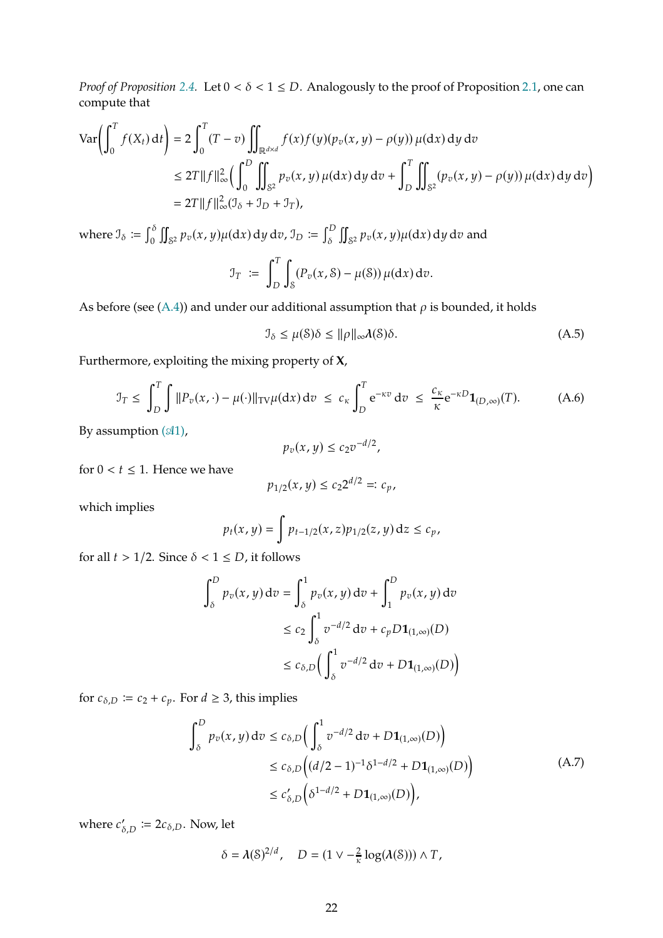*Proof of Proposition* [2.4.](#page-7-0) Let  $0 < \delta < 1 \le D$ . Analogously to the proof of Proposition [2.1,](#page-5-0) one can compute that

$$
\operatorname{Var}\!\left(\int_0^T f(X_t) \, \mathrm{d}t\right) = 2 \int_0^T (T - v) \iint_{\mathbb{R}^{d \times d}} f(x) f(y) (p_v(x, y) - \rho(y)) \, \mu(\mathrm{d}x) \, \mathrm{d}y \, \mathrm{d}v
$$
\n
$$
\leq 2T \|f\|_{\infty}^2 \left(\int_0^D \iint_{\mathbb{S}^2} p_v(x, y) \, \mu(\mathrm{d}x) \, \mathrm{d}y \, \mathrm{d}v + \int_D^T \iint_{\mathbb{S}^2} (p_v(x, y) - \rho(y)) \, \mu(\mathrm{d}x) \, \mathrm{d}y \, \mathrm{d}v\right)
$$
\n
$$
= 2T \|f\|_{\infty}^2 (J_\delta + J_D + J_T),
$$

where  $\mathfrak{I}_{\delta} \coloneqq \int_{0}^{\delta}$ 0  $\mathfrak{g}$  $\int_{S^2} p_v(x, y) \mu(\mathrm{d}x) \, \mathrm{d}y \, \mathrm{d}v$ ,  $\mathfrak{I}_D := \int_{\delta}^D$  $\delta$  $\mathfrak{g}$  $_{S^2}$   $p_v(x, y)$ µ(dx) dy d $v$  and  $\mathfrak{I}_T := \int_0^T$ D ∫  $(S(\mathbb{P}_v(x, \mathcal{S}) - \mu(\mathcal{S})) \mu(dx) dv.$ 

As before (see [\(A.4\)](#page-20-0)) and under our additional assumption that  $\rho$  is bounded, it holds

<span id="page-21-1"></span>
$$
\mathcal{I}_{\delta} \le \mu(\mathcal{S})\delta \le \|\rho\|_{\infty} \lambda(\mathcal{S})\delta. \tag{A.5}
$$

Furthermore, exploiting the mixing property of **X**,

<span id="page-21-2"></span>
$$
\mathcal{I}_T \leq \int_D^T \int ||P_v(x, \cdot) - \mu(\cdot)||_{TV} \mu(dx) dv \leq c_{\kappa} \int_D^T e^{-\kappa v} dv \leq \frac{c_{\kappa}}{\kappa} e^{-\kappa D} \mathbf{1}_{(D, \infty)}(T). \tag{A.6}
$$

By assumption  $(41)$ ,

$$
p_v(x,y)\leq c_2v^{-d/2},
$$

for  $0 < t \leq 1$ . Hence we have

$$
p_{1/2}(x,y) \le c_2 2^{d/2} =: c_p,
$$

which implies

$$
p_t(x,y) = \int p_{t-1/2}(x,z) p_{1/2}(z,y) dz \le c_p,
$$

for all  $t > 1/2$ . Since  $\delta < 1 \le D$ , it follows

$$
\int_{\delta}^{D} p_v(x, y) dv = \int_{\delta}^{1} p_v(x, y) dv + \int_{1}^{D} p_v(x, y) dv
$$
  
\n
$$
\leq c_2 \int_{\delta}^{1} v^{-d/2} dv + c_p D \mathbf{1}_{(1, \infty)}(D)
$$
  
\n
$$
\leq c_{\delta, D} \Big( \int_{\delta}^{1} v^{-d/2} dv + D \mathbf{1}_{(1, \infty)}(D) \Big)
$$

for  $c_{\delta,D} \coloneqq c_2 + c_p$ . For  $d \geq 3$ , this implies

$$
\int_{\delta}^{D} p_{v}(x, y) dv \le c_{\delta, D} \Big( \int_{\delta}^{1} v^{-d/2} dv + D \mathbf{1}_{(1, \infty)}(D) \Big) \le c_{\delta, D} \Big( (d/2 - 1)^{-1} \delta^{1 - d/2} + D \mathbf{1}_{(1, \infty)}(D) \Big) \le c'_{\delta, D} \Big( \delta^{1 - d/2} + D \mathbf{1}_{(1, \infty)}(D) \Big),
$$
\n(A.7)

<span id="page-21-0"></span>where  $c'_{\delta,D} \coloneqq 2c_{\delta,D}$ . Now, let

$$
\delta = \lambda(\mathcal{S})^{2/d}, \quad D = (1 \vee -\frac{2}{\kappa} \log(\lambda(\mathcal{S}))) \wedge T,
$$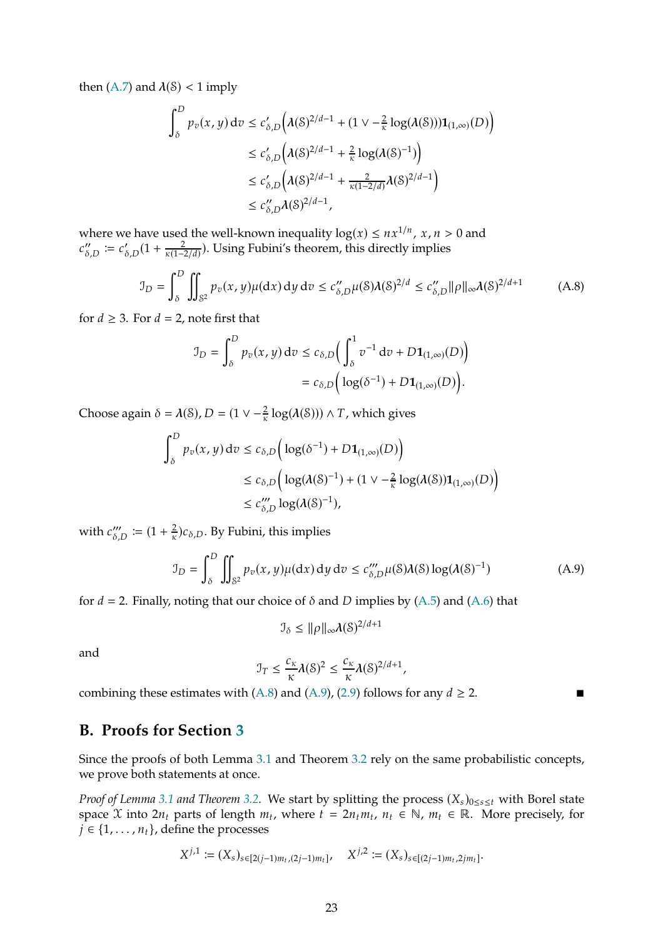then [\(A.7\)](#page-21-0) and  $\lambda$ (S) < 1 imply

$$
\int_{\delta}^{D} p_{v}(x, y) dv \le c'_{\delta, D} \Big( \lambda(\delta)^{2/d - 1} + (1 \vee -\frac{2}{\kappa} \log(\lambda(\delta))) \mathbf{1}_{(1, \infty)}(D) \Big)
$$
  
\n
$$
\le c'_{\delta, D} \Big( \lambda(\delta)^{2/d - 1} + \frac{2}{\kappa} \log(\lambda(\delta)^{-1}) \Big)
$$
  
\n
$$
\le c'_{\delta, D} \Big( \lambda(\delta)^{2/d - 1} + \frac{2}{\kappa(1 - 2/d)} \lambda(\delta)^{2/d - 1} \Big)
$$
  
\n
$$
\le c''_{\delta, D} \lambda(\delta)^{2/d - 1},
$$

where we have used the well-known inequality  $log(x) \le nx^{1/n}$ ,  $x, n > 0$  and  $c''_{\delta,D} := c'_{\delta,D} (1 + \frac{2}{\kappa(1 - \frac{2}{\kappa})^2})$  $\frac{2}{\kappa(1-2/d)})$ . Using Fubini's theorem, this directly implies

<span id="page-22-1"></span>
$$
\mathcal{I}_D = \int_{\delta}^D \iint_{\mathcal{S}^2} p_v(x, y) \mu(\mathrm{d}x) \, \mathrm{d}y \, \mathrm{d}v \le c''_{\delta, D} \mu(\delta) \lambda(\delta)^{2/d} \le c''_{\delta, D} \|\rho\|_{\infty} \lambda(\delta)^{2/d+1} \tag{A.8}
$$

for  $d \geq 3$ . For  $d = 2$ , note first that

$$
\mathcal{I}_D = \int_{\delta}^D p_v(x, y) dv \le c_{\delta,D} \Big( \int_{\delta}^1 v^{-1} dv + D \mathbf{1}_{(1, \infty)}(D) \Big) \n= c_{\delta,D} \Big( \log(\delta^{-1}) + D \mathbf{1}_{(1, \infty)}(D) \Big).
$$

Choose again  $\delta = \lambda(\delta), D = (1 \vee -\frac{2}{\kappa} \log(\lambda(\delta))) \wedge T$ , which gives

$$
\int_{\delta}^{D} p_v(x, y) dv \le c_{\delta, D} \Big( \log(\delta^{-1}) + D \mathbf{1}_{(1, \infty)}(D) \Big)
$$
  

$$
\le c_{\delta, D} \Big( \log(\lambda(\delta)^{-1}) + (1 \vee -\frac{2}{\kappa} \log(\lambda(\delta)) \mathbf{1}_{(1, \infty)}(D) \Big)
$$
  

$$
\le c_{\delta, D}''' \log(\lambda(\delta)^{-1}),
$$

with  $c_{\delta,D}''' := (1 + \frac{2}{\kappa})$  $\frac{2}{\kappa}$ ) $c_{\delta,D}$ . By Fubini, this implies

<span id="page-22-2"></span>
$$
\mathcal{I}_D = \int_{\delta}^D \iint_{\mathbb{S}^2} p_v(x, y) \mu(\mathrm{d}x) \, \mathrm{d}y \, \mathrm{d}v \le c_{\delta, D}''' \mu(\mathcal{S}) \lambda(\mathcal{S}) \log(\lambda(\mathcal{S})^{-1}) \tag{A.9}
$$

for  $d = 2$ . Finally, noting that our choice of  $\delta$  and  $D$  implies by [\(A.5\)](#page-21-1) and [\(A.6\)](#page-21-2) that

$$
\mathcal{I}_\delta \leq \|\rho\|_\infty \lambda(\delta)^{2/d+1}
$$

and

$$
\mathfrak{I}_T \leq \frac{c_{\kappa}}{\kappa} \lambda(\mathcal{S})^2 \leq \frac{c_{\kappa}}{\kappa} \lambda(\mathcal{S})^{2/d+1},
$$

combining these estimates with [\(A.8\)](#page-22-1) and [\(A.9\)](#page-22-2), [\(2.9\)](#page-7-4) follows for any  $d \ge 2$ .

## <span id="page-22-0"></span>**B. Proofs for Section [3](#page-7-1)**

Since the proofs of both Lemma [3.1](#page-8-0) and Theorem [3.2](#page-9-0) rely on the same probabilistic concepts, we prove both statements at once.

*Proof of Lemma* [3.1](#page-8-0) *and Theorem* [3.2.](#page-9-0) We start by splitting the process (X<sub>s</sub>)<sub>0≤s≤t</sub> with Borel state space X into  $2n_t$  parts of length  $m_t$ , where  $t = 2n_t m_t$ ,  $n_t \in \mathbb{N}$ ,  $m_t \in \mathbb{R}$ . More precisely, for  $j \in \{1, \ldots, n_t\}$ , define the processes

$$
X^{j,1} := (X_s)_{s \in [2(j-1)m_t,(2j-1)m_t]}, \quad X^{j,2} := (X_s)_{s \in [(2j-1)m_t,2jm_t]}.
$$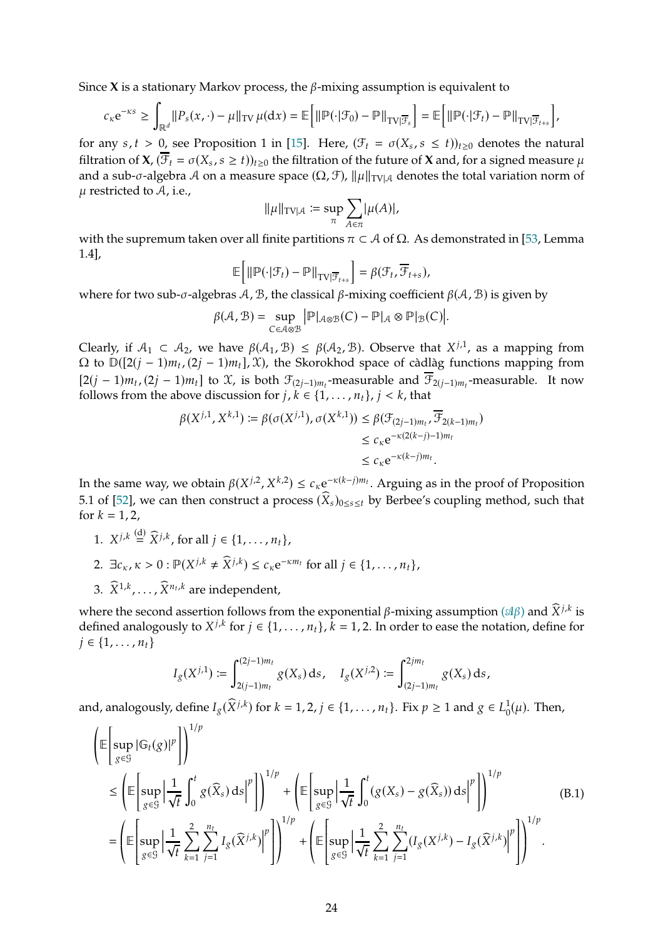Since **X** is a stationary Markov process, the  $\beta$ -mixing assumption is equivalent to

$$
c_{\kappa}e^{-\kappa s} \geq \int_{\mathbb{R}^d} ||P_s(x,\cdot)-\mu||_{TV} \mu(dx) = \mathbb{E}\Big[\|\mathbb{P}(\cdot|\mathcal{F}_0)-\mathbb{P}\|_{TV|\overline{\mathcal{F}}_s}\Big] = \mathbb{E}\Big[\|\mathbb{P}(\cdot|\mathcal{F}_t)-\mathbb{P}\|_{TV|\overline{\mathcal{F}}_{t+s}}\Big],
$$

for any  $s, t > 0$ , see Proposition 1 in [\[15\]](#page-39-15). Here,  $(\mathcal{F}_t = \sigma(X_s, s \le t))_{t \ge 0}$  denotes the natural filtration of **X**,  $(\overline{\mathcal{F}}_t = \sigma(X_s, s \ge t))_{t \ge 0}$  the filtration of the future of **X** and, for a signed measure  $\mu$ and a sub- $\sigma$ -algebra A on a measure space ( $\Omega$ ,  $\mathcal{F}$ ),  $\|\mu\|_{TV|\mathcal{A}}$  denotes the total variation norm of  $\mu$  restricted to  $\mathcal{A}$ , i.e.,

$$
\|\mu\|_{\text{TV}|\mathcal{A}} \coloneqq \sup_{\pi} \sum_{A \in \pi} |\mu(A)|,
$$

with the supremum taken over all finite partitions  $\pi \subset A$  of  $\Omega$ . As demonstrated in [\[53,](#page-42-5) Lemma 1.4],

$$
\mathbb{E}\bigg[\big\|\mathbb{P}(\cdot|\mathcal{F}_{t})-\mathbb{P}\big\|_{\text{TV}|\overline{\mathcal{F}}_{t+s}}\bigg]=\beta(\mathcal{F}_{t},\overline{\mathcal{F}}_{t+s}),
$$

where for two sub- $\sigma$ -algebras A, B, the classical  $\beta$ -mixing coefficient  $\beta(\mathcal{A}, \mathcal{B})$  is given by

$$
\beta(\mathcal{A}, \mathcal{B}) = \sup_{C \in \mathcal{A} \otimes \mathcal{B}} |\mathbb{P}|_{\mathcal{A} \otimes \mathcal{B}}(C) - \mathbb{P}|_{\mathcal{A}} \otimes \mathbb{P}|_{\mathcal{B}}(C)|.
$$

Clearly, if  $A_1 \subset A_2$ , we have  $\beta(A_1, B) \leq \beta(A_2, B)$ . Observe that  $X^{j,1}$ , as a mapping from  $\Omega$  to  $\mathbb{D}([2(j-1)m_t, (2j-1)m_t], \mathfrak{X})$ , the Skorokhod space of càdlàg functions mapping from  $[2(j-1)m_t, (2j-1)m_t]$  to  $\mathfrak{X}$ , is both  $\mathfrak{F}_{(2j-1)m_t}$ -measurable and  $\mathfrak{F}_{2(j-1)m_t}$ -measurable. It now follows from the above discussion for  $j, k \in \{1, \ldots, n_t\}$ ,  $j < k$ , that

$$
\beta(X^{j,1}, X^{k,1}) \coloneqq \beta(\sigma(X^{j,1}), \sigma(X^{k,1})) \leq \beta(\mathcal{F}_{(2j-1)m_t}, \overline{\mathcal{F}}_{2(k-1)m_t})
$$
  

$$
\leq c_{\kappa} e^{-\kappa(2(k-j)-1)m_t}
$$
  

$$
\leq c_{\kappa} e^{-\kappa(k-j)m_t}.
$$

In the same way, we obtain  $\beta(X^{j,2}, X^{k,2}) \leq c_{\kappa} e^{-\kappa(k-j)m_t}$ . Arguing as in the proof of Proposition 5.1 of [\[52](#page-42-1)], we can then construct a process  $(\widehat{X}_s)_{0\leq s\leq t}$  by Berbee's coupling method, such that for  $k = 1, 2$ ,

- 1.  $X^{j,k} \stackrel{\text{(d)}}{=} \widehat{X}^{j,k}$ , for all  $j \in \{1, ..., n_t\}$ ,
- 2.  $\exists c_K, \kappa > 0 : \mathbb{P}(X^{j,k} \neq \widehat{X}^{j,k}) \leq c_{\kappa} e^{-\kappa m_t}$  for all  $j \in \{1, \ldots, n_t\}$ ,
- 3.  $\tilde{X}^{1,k}, \ldots, \tilde{X}^{n_t,k}$  are independent,

where the second assertion follows from the exponential  $\beta$ -mixing assumption ( $\alpha\beta$ ) and  $\widehat{X}^{j,k}$  is defined analogously to  $X^{j,k}$  for  $j \in \{1, \ldots, n_t\}$ ,  $k = 1, 2$ . In order to ease the notation, define for  $j \in \{1, \ldots, n_t\}$ 

$$
I_g(X^{j,1}) := \int_{2(j-1)m_t}^{(2j-1)m_t} g(X_s) \, ds, \quad I_g(X^{j,2}) := \int_{(2j-1)m_t}^{2jm_t} g(X_s) \, ds,
$$

and, analogously, define  $I_g(\hat{X}^{j,k})$  for  $k = 1, 2, j \in \{1, ..., n_t\}$ . Fix  $p \ge 1$  and  $g \in L_0^1$  $_{0}^{1}(\mu)$ . Then,

<span id="page-23-0"></span>
$$
\begin{split}\n\left(\mathbb{E}\left[\sup_{g\in\mathcal{G}}|\mathbb{G}_{t}(g)|^{p}\right]\right)^{1/p} \\
&\leq \left(\mathbb{E}\left[\sup_{g\in\mathcal{G}}\left|\frac{1}{\sqrt{t}}\int_{0}^{t}g(\widehat{X}_{s})ds\right|^{p}\right]\right)^{1/p} + \left(\mathbb{E}\left[\sup_{g\in\mathcal{G}}\left|\frac{1}{\sqrt{t}}\int_{0}^{t}(g(X_{s})-g(\widehat{X}_{s}))ds\right|^{p}\right]\right)^{1/p} \\
&= \left(\mathbb{E}\left[\sup_{g\in\mathcal{G}}\left|\frac{1}{\sqrt{t}}\sum_{k=1}^{2}\sum_{j=1}^{n_{t}}I_{g}(\widehat{X}^{j,k})\right|^{p}\right]\right)^{1/p} + \left(\mathbb{E}\left[\sup_{g\in\mathcal{G}}\left|\frac{1}{\sqrt{t}}\sum_{k=1}^{2}\sum_{j=1}^{n_{t}}(I_{g}(X^{j,k})-I_{g}(\widehat{X}^{j,k})\right|^{p}\right]\right)^{1/p}.\n\end{split} \tag{B.1}
$$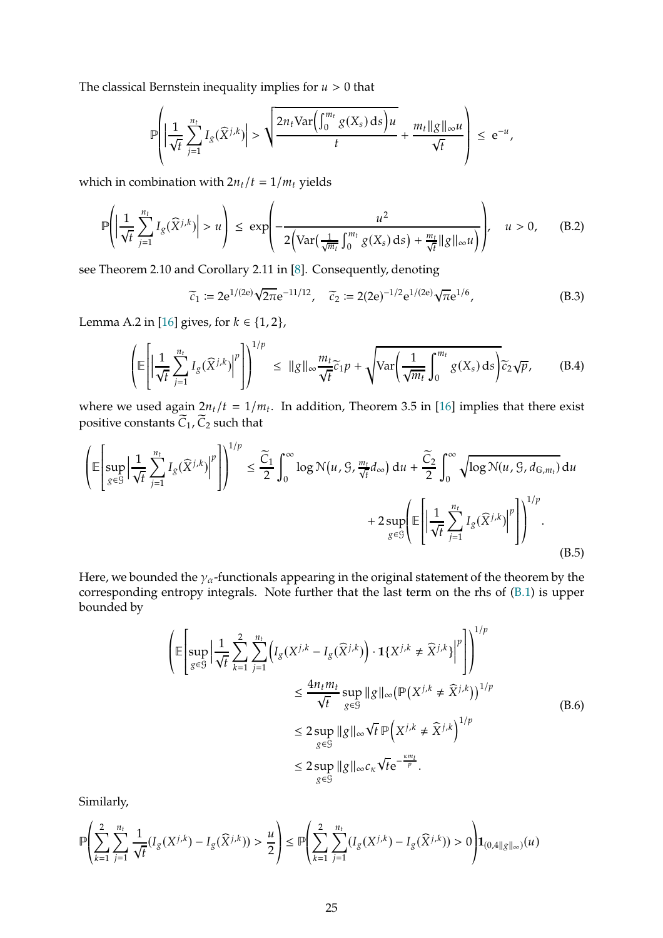The classical Bernstein inequality implies for  $u > 0$  that

$$
\mathbb{P}\left(\left|\frac{1}{\sqrt{t}}\sum_{j=1}^{n_t}I_g(\widehat{X}^{j,k})\right|>\sqrt{\frac{2n_t\text{Var}\left(\int_0^{m_t}g(X_s)\,ds\right)u}{t}}+\frac{m_t\|g\|_{\infty}u}{\sqrt{t}}\right)\leq e^{-u},
$$

which in combination with  $2n_t/t = 1/m_t$  yields

<span id="page-24-1"></span>
$$
\mathbb{P}\left(\left|\frac{1}{\sqrt{t}}\sum_{j=1}^{n_t} I_g(\widehat{X}^{j,k})\right| > u\right) \leq \exp\left(-\frac{u^2}{2\left(\text{Var}\left(\frac{1}{\sqrt{m_t}}\int_0^{m_t} g(X_s) \,ds\right) + \frac{m_t}{\sqrt{t}}\|g\|_{\infty} u\right)}\right), \quad u > 0,\tag{B.2}
$$

see Theorem 2.10 and Corollary 2.11 in [\[8](#page-39-16)]. Consequently, denoting

<span id="page-24-0"></span>
$$
\widetilde{c}_1 \coloneqq 2e^{1/(2e)}\sqrt{2\pi}e^{-11/12}, \quad \widetilde{c}_2 \coloneqq 2(2e)^{-1/2}e^{1/(2e)}\sqrt{\pi}e^{1/6}, \tag{B.3}
$$

Lemma A.2 in [\[16](#page-39-8)] gives, for  $k \in \{1, 2\}$ ,

<span id="page-24-2"></span>
$$
\left(\mathbb{E}\left[\left|\frac{1}{\sqrt{t}}\sum_{j=1}^{n_t}I_g(\widehat{X}^{j,k})\right|^p\right]\right)^{1/p} \leq \|g\|_{\infty}\frac{m_t}{\sqrt{t}}\widetilde{c}_1p + \sqrt{\text{Var}\left(\frac{1}{\sqrt{m_t}}\int_0^{m_t}g(X_s)\,\mathrm{d}s\right)}\widetilde{c}_2\sqrt{p},\tag{B.4}
$$

where we used again  $2n_t/t = 1/m_t$ . In addition, Theorem 3.5 in [\[16](#page-39-8)] implies that there exist positive constants  $\widetilde{C}_1$ ,  $\widetilde{C}_2$  such that

<span id="page-24-3"></span>
$$
\left(\mathbb{E}\left[\sup_{g\in\mathcal{G}}\left|\frac{1}{\sqrt{t}}\sum_{j=1}^{n_t}I_g(\widehat{X}^{j,k})\right|^p\right]\right)^{1/p} \le \frac{\widetilde{C}_1}{2}\int_0^\infty \log \mathcal{N}(u,\mathcal{G},\frac{m_t}{\sqrt{t}}d_\infty) du + \frac{\widetilde{C}_2}{2}\int_0^\infty \sqrt{\log \mathcal{N}(u,\mathcal{G},d_{\mathbb{G},m_t})} du + 2\sup_{g\in\mathcal{G}}\left(\mathbb{E}\left[\left|\frac{1}{\sqrt{t}}\sum_{j=1}^{n_t}I_g(\widehat{X}^{j,k})\right|^p\right|\right)^{1/p}.
$$
\n(B.5)

Here, we bounded the  $\gamma_{\alpha}$ -functionals appearing in the original statement of the theorem by the corresponding entropy integrals. Note further that the last term on the rhs of [\(B.1\)](#page-23-0) is upper bounded by

$$
\begin{split}\n\left( \mathbb{E} \left[ \sup_{g \in \mathcal{G}} \left| \frac{1}{\sqrt{t}} \sum_{k=1}^{2} \sum_{j=1}^{n_t} \left( I_g(X^{j,k} - I_g(\widehat{X}^{j,k})) \cdot \mathbf{1}\{X^{j,k} \neq \widehat{X}^{j,k}\} \right|^p \right| \right)^{1/p} \\
&\leq \frac{4n_t m_t}{\sqrt{t}} \sup_{g \in \mathcal{G}} \|g\|_{\infty} \left( \mathbb{P}(X^{j,k} \neq \widehat{X}^{j,k}) \right)^{1/p} \\
&\leq 2 \sup_{g \in \mathcal{G}} \|g\|_{\infty} \sqrt{t} \mathbb{P}\left( X^{j,k} \neq \widehat{X}^{j,k} \right)^{1/p} \\
&\leq 2 \sup_{g \in \mathcal{G}} \|g\|_{\infty} c_{\kappa} \sqrt{t} e^{-\frac{\kappa m_t}{p}}.\n\end{split} \tag{B.6}
$$

<span id="page-24-4"></span>Similarly,

$$
\mathbb{P}\Biggl(\sum_{k=1}^2 \sum_{j=1}^{n_t} \frac{1}{\sqrt{t}} (I_g(X^{j,k}) - I_g(\widehat{X}^{j,k})) > \frac{u}{2}\Biggr) \leq \mathbb{P}\Biggl(\sum_{k=1}^2 \sum_{j=1}^{n_t} (I_g(X^{j,k}) - I_g(\widehat{X}^{j,k})) > 0\Biggr) {\bf 1}_{(0,4\|g\|_\infty)}(u)
$$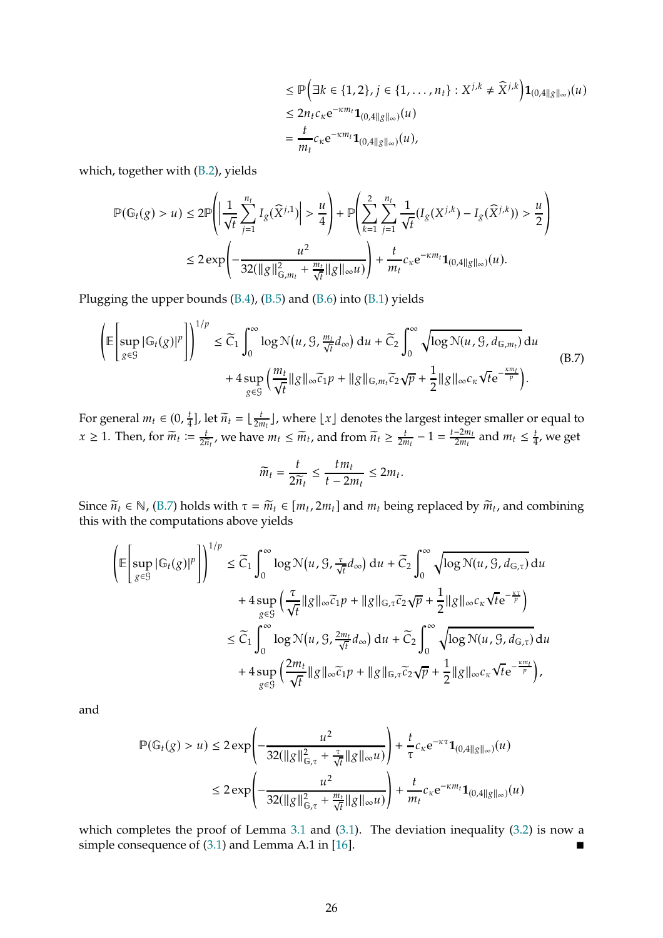$$
\leq \mathbb{P}\Big(\exists k \in \{1, 2\}, j \in \{1, \dots, n_t\} : X^{j,k} \neq \widehat{X}^{j,k}\Big) \mathbf{1}_{(0,4||g||_{\infty})}(u) \leq 2n_t c_{\kappa} e^{-\kappa m_t} \mathbf{1}_{(0,4||g||_{\infty})}(u) = \frac{t}{m_t} c_{\kappa} e^{-\kappa m_t} \mathbf{1}_{(0,4||g||_{\infty})}(u),
$$

which, together with [\(B.2\)](#page-24-1), yields

$$
\mathbb{P}(\mathbb{G}_{t}(g) > u) \leq 2 \mathbb{P}\left(\left|\frac{1}{\sqrt{t}}\sum_{j=1}^{n_{t}}I_{g}(\widehat{X}^{j,1})\right| > \frac{u}{4}\right) + \mathbb{P}\left(\sum_{k=1}^{2}\sum_{j=1}^{n_{t}}\frac{1}{\sqrt{t}}(I_{g}(X^{j,k}) - I_{g}(\widehat{X}^{j,k})) > \frac{u}{2}\right) \leq 2 \exp\left(-\frac{u^{2}}{32(\|g\|_{\mathbb{G},m_{t}}^{2} + \frac{m_{t}}{\sqrt{t}}\|g\|_{\infty}u)}\right) + \frac{t}{m_{t}}c_{\kappa}e^{-\kappa m_{t}}\mathbf{1}_{(0,4\|g\|_{\infty})}(u).
$$

Plugging the upper bounds [\(B.4\)](#page-24-2), [\(B.5\)](#page-24-3) and [\(B.6\)](#page-24-4) into [\(B.1\)](#page-23-0) yields

<span id="page-25-0"></span>
$$
\left(\mathbb{E}\left[\sup_{g\in\mathcal{G}}|\mathbb{G}_{t}(g)|^{p}\right]\right)^{1/p} \leq \widetilde{C}_{1}\int_{0}^{\infty}\log\mathcal{N}(u, \mathcal{G}, \frac{m_{t}}{\sqrt{t}}d_{\infty}) du + \widetilde{C}_{2}\int_{0}^{\infty}\sqrt{\log\mathcal{N}(u, \mathcal{G}, d_{\mathbb{G},m_{t}})} du + 4\sup_{g\in\mathcal{G}}\left(\frac{m_{t}}{\sqrt{t}}\|g\|_{\infty}\widetilde{c}_{1}p + \|g\|_{\mathbb{G},m_{t}}\widetilde{c}_{2}\sqrt{p} + \frac{1}{2}\|g\|_{\infty}c_{\kappa}\sqrt{t}e^{-\frac{\kappa m_{t}}{p}}\right).
$$
\n(B.7)

For general  $m_t \in (0, \frac{t}{4})$  $\frac{t}{4}$ ], let  $\widetilde{n}_t = \lfloor \frac{t}{2n} \rfloor$  $\frac{t}{2m_t}$ , where  $\lfloor x \rfloor$  denotes the largest integer smaller or equal to  $x \geq 1$ . Then, for  $\widetilde{m}_t := \frac{t}{2\widetilde{n}_t}$ , we have  $m_t \leq \widetilde{m}_t$ , and from  $\widetilde{n}_t \geq \frac{t}{2n}$  $\frac{t}{2m_t} - 1 = \frac{t - 2m_t}{2m_t}$  and  $m_t \leq \frac{t}{4}$  $\frac{t}{4}$ , we get

$$
\widetilde{m}_t = \frac{t}{2\widetilde{n}_t} \le \frac{tm_t}{t-2m_t} \le 2m_t
$$

.

Since  $\widetilde{n}_t \in \mathbb{N}$ , [\(B.7\)](#page-25-0) holds with  $\tau = \widetilde{m}_t \in [m_t, 2m_t]$  and  $m_t$  being replaced by  $\widetilde{m}_t$ , and combining this with the computations above yields

$$
\begin{split}\n\left(\mathbb{E}\left[\sup_{g\in\mathcal{G}}|\mathbb{G}_{t}(g)|^{p}\right]\right)^{1/p} &\leq \widetilde{C}_{1}\int_{0}^{\infty}\log\mathcal{N}(u,\mathcal{G},\frac{\tau}{\sqrt{t}}d_{\infty})\,du + \widetilde{C}_{2}\int_{0}^{\infty}\sqrt{\log\mathcal{N}(u,\mathcal{G},d_{\mathbb{G},\tau})}\,du \\
&+ 4\sup_{g\in\mathcal{G}}\left(\frac{\tau}{\sqrt{t}}\|g\|_{\infty}\widetilde{c}_{1}p + \|g\|_{\mathbb{G},\tau}\widetilde{c}_{2}\sqrt{p} + \frac{1}{2}\|g\|_{\infty}c_{\kappa}\sqrt{t}e^{-\frac{\kappa\tau}{p}}\right) \\
&\leq \widetilde{C}_{1}\int_{0}^{\infty}\log\mathcal{N}(u,\mathcal{G},\frac{2m_{t}}{\sqrt{t}}d_{\infty})\,du + \widetilde{C}_{2}\int_{0}^{\infty}\sqrt{\log\mathcal{N}(u,\mathcal{G},d_{\mathbb{G},\tau})}\,du \\
&+ 4\sup_{g\in\mathcal{G}}\left(\frac{2m_{t}}{\sqrt{t}}\|g\|_{\infty}\widetilde{c}_{1}p + \|g\|_{\mathbb{G},\tau}\widetilde{c}_{2}\sqrt{p} + \frac{1}{2}\|g\|_{\infty}c_{\kappa}\sqrt{t}e^{-\frac{\kappa m_{t}}{p}}\right),\n\end{split}
$$

and

$$
\mathbb{P}(\mathbb{G}_{t}(g) > u) \leq 2 \exp\left(-\frac{u^{2}}{32(\|g\|_{\mathbb{G},\tau}^{2} + \frac{\tau}{\sqrt{t}} \|g\|_{\infty}u)}\right) + \frac{t}{\tau} c_{\kappa} e^{-\kappa \tau} \mathbf{1}_{(0,4\|g\|_{\infty})}(u)
$$
  

$$
\leq 2 \exp\left(-\frac{u^{2}}{32(\|g\|_{\mathbb{G},\tau}^{2} + \frac{m_{t}}{\sqrt{t}} \|g\|_{\infty}u)}\right) + \frac{t}{m_{t}} c_{\kappa} e^{-\kappa m_{t}} \mathbf{1}_{(0,4\|g\|_{\infty})}(u)
$$

which completes the proof of Lemma [3.1](#page-8-0) and [\(3.1\)](#page-9-1). The deviation inequality [\(3.2\)](#page-9-2) is now a simple consequence of  $(3.1)$  and Lemma A.1 in [\[16](#page-39-8)].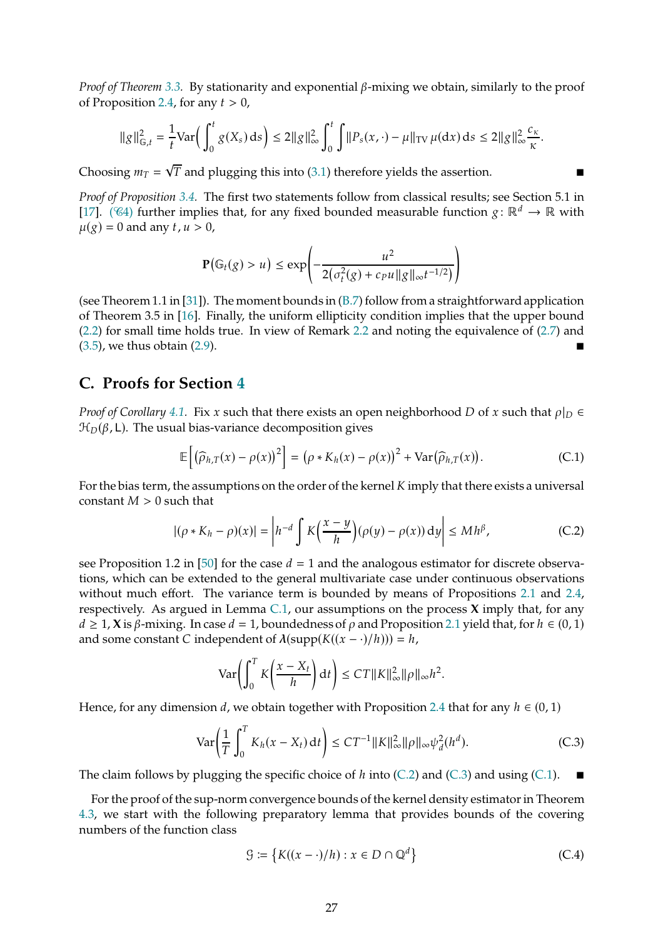*Proof of Theorem* [3.3.](#page-9-3) By stationarity and exponential  $\beta$ -mixing we obtain, similarly to the proof of Proposition [2.4,](#page-7-0) for any  $t > 0$ ,

$$
\|g\|_{\mathbb{G},t}^2 = \frac{1}{t} \text{Var}\Big(\int_0^t g(X_s) \, ds\Big) \le 2\|g\|_{\infty}^2 \int_0^t \int \|P_s(x,\cdot) - \mu\|_{TV} \, \mu(dx) \, ds \le 2\|g\|_{\infty}^2 \frac{c_{\kappa}}{\kappa}.
$$

Choosing  $m_T = \sqrt{T}$  and plugging this into [\(3.1\)](#page-9-1) therefore yields the assertion.

*Proof of Proposition [3.4.](#page-10-4)* The first two statements follow from classical results; see Section 5.1 in [\[17](#page-39-17)]. ( $\mathcal{C}_4$ ) further implies that, for any fixed bounded measurable function  $g : \mathbb{R}^d \to \mathbb{R}$  with  $\mu(g) = 0$  and any t,  $u > 0$ ,

$$
\mathbf{P}(\mathbb{G}_t(g) > u) \le \exp\left(-\frac{u^2}{2(\sigma_t^2(g) + c_P u \|g\|_\infty t^{-1/2})}\right)
$$

(see Theorem 1.1 in [\[31](#page-40-5)]). The moment bounds in [\(B.7\)](#page-25-0) follow from a straightforward application of Theorem 3.5 in [\[16\]](#page-39-8). Finally, the uniform ellipticity condition implies that the upper bound [\(2.2\)](#page-4-1) for small time holds true. In view of Remark [2.2](#page-5-5) and noting the equivalence of [\(2.7\)](#page-5-3) and [\(3.5\)](#page-10-3), we thus obtain [\(2.9\)](#page-7-4).

## <span id="page-26-0"></span>**C. Proofs for Section [4](#page-10-0)**

*Proof of Corollary* [4.1.](#page-11-0) Fix x such that there exists an open neighborhood D of x such that  $\rho|_D \in$  $\mathcal{H}_D(\beta, L)$ . The usual bias-variance decomposition gives

<span id="page-26-3"></span>
$$
\mathbb{E}\left[\left(\widehat{\rho}_{h,T}(x)-\rho(x)\right)^2\right] = \left(\rho * K_h(x)-\rho(x)\right)^2 + \text{Var}\left(\widehat{\rho}_{h,T}(x)\right). \tag{C.1}
$$

For the bias term, the assumptions on the order of the kernel  $K$  imply that there exists a universal constant  $M > 0$  such that

<span id="page-26-1"></span>
$$
|(\rho * K_h - \rho)(x)| = \left| h^{-d} \int K\left(\frac{x - y}{h}\right) (\rho(y) - \rho(x)) \, dy \right| \le M h^{\beta}, \tag{C.2}
$$

see Proposition 1.2 in [\[50\]](#page-41-15) for the case  $d = 1$  and the analogous estimator for discrete observations, which can be extended to the general multivariate case under continuous observations without much effort. The variance term is bounded by means of Propositions [2.1](#page-5-0) and [2.4,](#page-7-0) respectively. As argued in Lemma [C.1,](#page-27-0) our assumptions on the process **X** imply that, for any  $d \geq 1$ , **X** is  $\beta$ -mixing. In case  $d = 1$ , boundedness of  $\rho$  and Proposition [2.1](#page-5-0) yield that, for  $h \in (0, 1)$ and some constant C independent of  $\lambda(\text{supp}(K((x - \cdot)/h))) = h$ ,

$$
\text{Var}\bigg(\int_0^T K\bigg(\frac{x-X_t}{h}\bigg) \, \mathrm{d}t\bigg) \leq C T \|K\|_{\infty}^2 \|\rho\|_{\infty} h^2.
$$

Hence, for any dimension d, we obtain together with Proposition [2.4](#page-7-0) that for any  $h \in (0, 1)$ 

<span id="page-26-2"></span>
$$
\text{Var}\bigg(\frac{1}{T}\int_0^T K_h(x - X_t) \, \mathrm{d}t\bigg) \leq CT^{-1} \|K\|_{\infty}^2 \|\rho\|_{\infty} \psi_d^2(h^d). \tag{C.3}
$$

The claim follows by plugging the specific choice of  $h$  into [\(C.2\)](#page-26-1) and [\(C.3\)](#page-26-2) and using [\(C.1\)](#page-26-3).

For the proof of the sup-norm convergence bounds of the kernel density estimator in Theorem [4.3,](#page-12-0) we start with the following preparatory lemma that provides bounds of the covering numbers of the function class

<span id="page-26-4"></span>
$$
\mathcal{G} := \left\{ K((x - \cdot)/h) : x \in D \cap \mathbb{Q}^d \right\}
$$
 (C.4)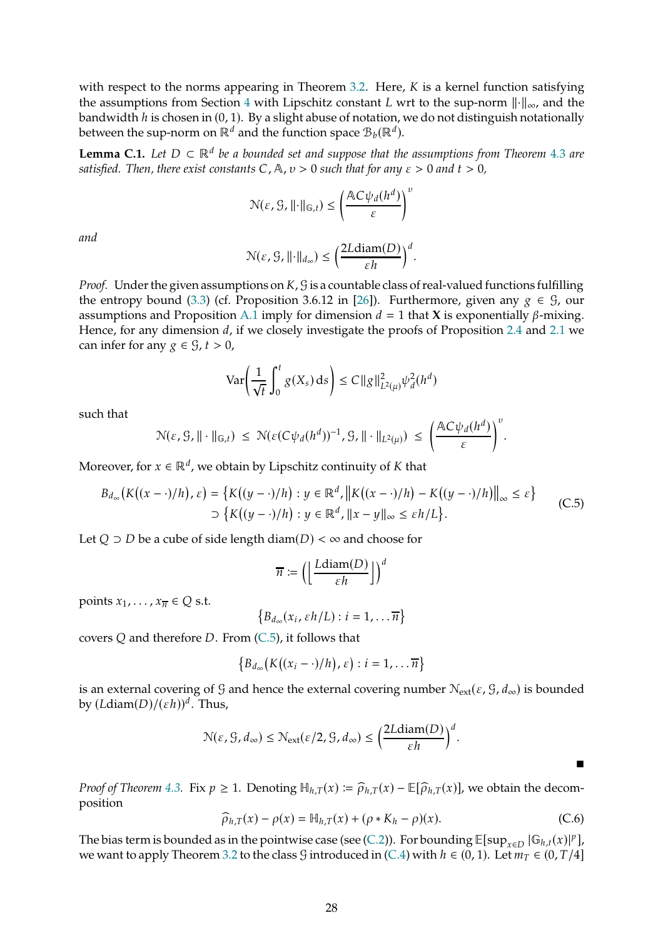with respect to the norms appearing in Theorem [3.2.](#page-9-0) Here,  $K$  is a kernel function satisfying the assumptions from Section [4](#page-10-0) with Lipschitz constant L wrt to the sup-norm  $\|\cdot\|_{\infty}$ , and the bandwidth  $h$  is chosen in  $(0, 1)$ . By a slight abuse of notation, we do not distinguish notationally between the sup-norm on  $\mathbb{R}^d$  and the function space  $\mathcal{B}_b(\mathbb{R}^d)$ .

<span id="page-27-0"></span>**Lemma C.1.** *Let*  $D \subset \mathbb{R}^d$  *be a bounded set and suppose that the assumptions from Theorem* [4.3](#page-12-0) *are satisfied. Then, there exist constants*  $C$ ,  $A$ ,  $v > 0$  *such that for any*  $\varepsilon > 0$  *and*  $t > 0$ ,

$$
\mathcal{N}(\varepsilon, \mathcal{G}, ||\cdot||_{\mathbb{G},t}) \le \left(\frac{\mathbb{A}C\psi_d(h^d)}{\varepsilon}\right)^v
$$

*and*

$$
\mathcal{N}(\varepsilon, \mathcal{G}, \| \cdot \|_{d_{\infty}}) \leq \bigg( \frac{2L\mathrm{diam}(D)}{\varepsilon h} \bigg)^d.
$$

*Proof.* Under the given assumptions on  $K$ ,  $G$  is a countable class of real-valued functions fulfilling the entropy bound [\(3.3\)](#page-9-4) (cf. Proposition 3.6.12 in [\[26](#page-40-13)]). Furthermore, given any  $g \in \mathcal{G}$ , our assumptions and Proposition [A.1](#page-17-1) imply for dimension  $d = 1$  that **X** is exponentially  $\beta$ -mixing. Hence, for any dimension  $d$ , if we closely investigate the proofs of Proposition [2.4](#page-7-0) and [2.1](#page-5-0) we can infer for any  $g \in \mathcal{G}$ ,  $t > 0$ ,

$$
\text{Var}\left(\frac{1}{\sqrt{t}}\int_0^t g(X_s) \, ds\right) \le C \|g\|_{L^2(\mu)}^2 \psi_d^2(h^d)
$$

such that

$$
\mathcal{N}(\varepsilon, \mathcal{G}, \|\cdot\|_{\mathbb{G},t}) \ \leq \ \mathcal{N}(\varepsilon(C\psi_d(h^d))^{-1}, \mathcal{G}, \|\cdot\|_{L^2(\mu)}) \ \leq \ \bigg(\frac{\mathbb{A}C\psi_d(h^d)}{\varepsilon}\bigg)^{\nu}.
$$

Moreover, for  $x \in \mathbb{R}^d$ , we obtain by Lipschitz continuity of K that

<span id="page-27-1"></span>
$$
B_{d_{\infty}}(K((x-\cdot)/h),\varepsilon) = \{K((y-\cdot)/h) : y \in \mathbb{R}^d, ||K((x-\cdot)/h) - K((y-\cdot)/h)||_{\infty} \le \varepsilon\}
$$
  

$$
\supset \{K((y-\cdot)/h) : y \in \mathbb{R}^d, ||x-y||_{\infty} \le \varepsilon h/L\}.
$$
 (C.5)

Let  $Q$  ⊃ D be a cube of side length diam(D) < ∞ and choose for

$$
\overline{n} := \left( \left\lfloor \frac{L \operatorname{diam}(D)}{\varepsilon h} \right\rfloor \right)^d
$$

points  $x_1, \ldots, x_{\overline{n}} \in Q$  s.t.

$$
\left\{B_{d_{\infty}}(x_i,\varepsilon h/L): i=1,\ldots \overline{n}\right\}
$$

covers  $Q$  and therefore  $D$ . From [\(C.5\)](#page-27-1), it follows that

$$
\big\{B_{d_{\infty}}\big(K\big((x_i-\cdot)/h\big),\varepsilon\big):i=1,\ldots\overline{n}\big\}
$$

is an external covering of G and hence the external covering number  $N_{ext}(\epsilon, \mathcal{G}, d_{\infty})$  is bounded by  $(Ldiam(D)/(\varepsilon h))^d$ . Thus,

$$
\mathcal{N}(\varepsilon, \mathcal{G}, d_{\infty}) \leq \mathcal{N}_{ext}(\varepsilon/2, \mathcal{G}, d_{\infty}) \leq \left(\frac{2Ldiam(D)}{\varepsilon h}\right)^d.
$$

*Proof of Theorem* [4.3.](#page-12-0) Fix  $p \ge 1$ . Denoting  $\mathbb{H}_{h,T}(x) \coloneqq \widehat{\rho}_{h,T}(x) - \mathbb{E}[\widehat{\rho}_{h,T}(x)]$ , we obtain the decomposition

<span id="page-27-2"></span>
$$
\widehat{\rho}_{h,T}(x) - \rho(x) = \mathbb{H}_{h,T}(x) + (\rho \ast K_h - \rho)(x). \tag{C.6}
$$

 $\blacksquare$ 

The bias term is bounded as in the pointwise case (see [\(C.2\)](#page-26-1)). For bounding  $\mathbb{E}[\sup_{x \in D} |G_{h,t}(x)|^p]$ , we want to apply Theorem [3.2](#page-9-0) to the class G introduced in [\(C.4\)](#page-26-4) with  $h \in (0, 1)$ . Let  $m_T \in (0, T/4]$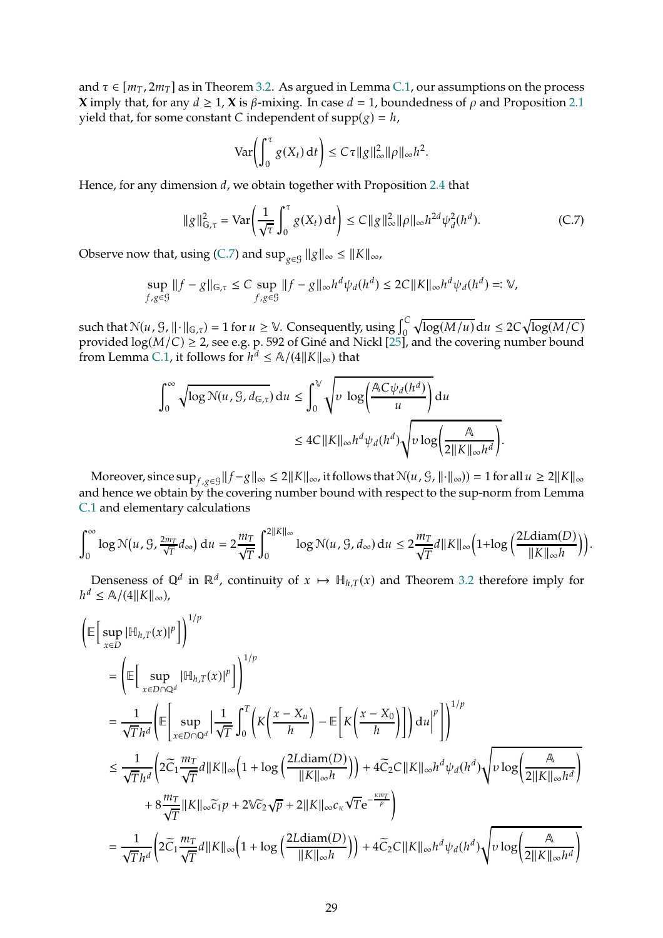and  $\tau \in [m_T, 2m_T]$  as in Theorem [3.2.](#page-9-0) As argued in Lemma [C.1,](#page-27-0) our assumptions on the process **X** imply that, for any  $d \ge 1$ , **X** is  $\beta$ -mixing. In case  $d = 1$ , boundedness of  $\rho$  and Proposition [2.1](#page-5-0) yield that, for some constant C independent of  $supp(g) = h$ ,

$$
\text{Var}\bigg(\int_0^\tau g(X_t)\,\mathrm{d}t\bigg)\leq C\tau \|g\|_{\infty}^2 \|\rho\|_{\infty}h^2.
$$

Hence, for any dimension  $d$ , we obtain together with Proposition [2.4](#page-7-0) that

<span id="page-28-0"></span>
$$
\|g\|_{\mathbb{G},\tau}^2 = \text{Var}\bigg(\frac{1}{\sqrt{\tau}} \int_0^\tau g(X_t) \, \mathrm{d}t\bigg) \le C \|g\|_{\infty}^2 \|\rho\|_{\infty} h^{2d} \psi_d^2(h^d). \tag{C.7}
$$

Observe now that, using [\(C.7\)](#page-28-0) and  $\sup_{g\in\mathcal{G}}\|g\|_{\infty}\leq\|K\|_{\infty}$ ,

$$
\sup_{f,g\in\mathcal{G}}\|f-g\|_{\mathbb{G},\tau}\leq C\sup_{f,g\in\mathcal{G}}\|f-g\|_{\infty}h^d\psi_d(h^d)\leq 2C\|K\|_{\infty}h^d\psi_d(h^d)=: \mathbb{V},
$$

such that  $\mathcal{N}(u, \mathcal{G}, ||\cdot||_{\mathbb{G}, \tau}) = 1$  for  $u \geq \mathbb{V}$ . Consequently, using  $\int_{0}^{C}$  $\sqrt{\log(M/u)}$ d $u \leq 2C \sqrt{\log(M/C)}$ provided  $\log(M/C)\geq$  2, see e.g. p. 592 of Giné and Nickl [\[25](#page-40-14)], and the covering number bound from Lemma [C.1,](#page-27-0) it follows for  $h^d \leq \mathbb{A}/(4||K||_{\infty})$  that

$$
\int_0^\infty \sqrt{\log N(u, \mathcal{G}, d_{\mathbb{G}, \tau})} du \le \int_0^\sqrt{\nu \log \left(\frac{AC\psi_d(h^d)}{u}\right)} du
$$
  

$$
\le 4C ||K||_\infty h^d \psi_d(h^d) \sqrt{\nu \log \left(\frac{A}{2||K||_\infty h^d}\right)}.
$$

Moreover, since  $\sup_{f,g\in\mathcal{G}}\|f-g\|_{\infty}\leq 2\|K\|_{\infty}$ , it follows that  $\mathcal{N}(u, \mathcal{G}, \| \cdot \|_{\infty}) = 1$  for all  $u \geq 2\|K\|_{\infty}$ and hence we obtain by the covering number bound with respect to the sup-norm from Lemma [C.1](#page-27-0) and elementary calculations

$$
\int_0^\infty \log \mathcal{N}(u, \mathcal{G}, \frac{2m_T}{\sqrt{T}} d_\infty) du = 2 \frac{m_T}{\sqrt{T}} \int_0^{2||K||_\infty} \log \mathcal{N}(u, \mathcal{G}, d_\infty) du \le 2 \frac{m_T}{\sqrt{T}} d||K||_\infty \left(1 + \log \left(\frac{2L \operatorname{diam}(D)}{||K||_\infty h}\right)\right).
$$

Denseness of  $\mathbb{Q}^d$  in  $\mathbb{R}^d$ , continuity of  $x \mapsto \mathbb{H}_{h,T}(x)$  and Theorem [3.2](#page-9-0) therefore imply for  $h^d \leq \mathbb{A}/(4||K||_{\infty}),$ 

$$
\begin{split}\n&\left(\mathbb{E}\left[\sup_{x\in D}|\mathbb{H}_{h,T}(x)|^{p}\right]\right)^{1/p} \\
&= \left(\mathbb{E}\left[\sup_{x\in D\cap\mathbb{Q}^{d}}|\mathbb{H}_{h,T}(x)|^{p}\right]\right)^{1/p} \\
&= \frac{1}{\sqrt{T}h^{d}}\left(\mathbb{E}\left[\sup_{x\in D\cap\mathbb{Q}^{d}}\left|\frac{1}{\sqrt{T}}\int_{0}^{T}\left(K\left(\frac{x-X_{u}}{h}\right)-\mathbb{E}\left[K\left(\frac{x-X_{0}}{h}\right)\right]\right)du\right|^{p}\right)\right)^{1/p} \\
&\leq \frac{1}{\sqrt{T}h^{d}}\left(2\widetilde{C}_{1}\frac{m_{T}}{\sqrt{T}}d\|K\|_{\infty}\left(1+\log\left(\frac{2L\text{diam}(D)}{\|K\|_{\infty}h}\right)\right)+4\widetilde{C}_{2}C\|K\|_{\infty}h^{d}\psi_{d}(h^{d})\sqrt{\nu\log\left(\frac{\mathbb{A}}{2\|K\|_{\infty}h^{d}}\right)}\right) \\
&+8\frac{m_{T}}{\sqrt{T}}\|K\|_{\infty}\widetilde{c}_{1}p+2\mathbb{V}\widetilde{c}_{2}\sqrt{p}+2\|K\|_{\infty}c_{\kappa}\sqrt{T}\mathrm{e}^{-\frac{\kappa m_{T}}{p}}\right) \\
&=\frac{1}{\sqrt{T}h^{d}}\left(2\widetilde{C}_{1}\frac{m_{T}}{\sqrt{T}}d\|K\|_{\infty}\left(1+\log\left(\frac{2L\text{diam}(D)}{\|K\|_{\infty}h}\right)\right)+4\widetilde{C}_{2}C\|K\|_{\infty}h^{d}\psi_{d}(h^{d})\sqrt{\nu\log\left(\frac{\mathbb{A}}{2\|K\|_{\infty}h^{d}}\right)}\right)\n\end{split}
$$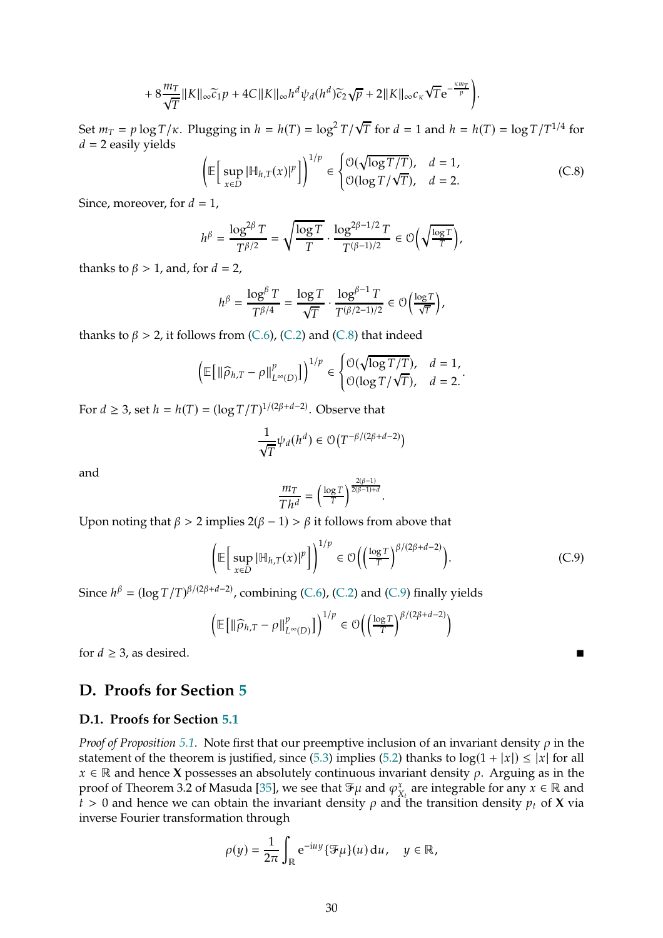$$
+8\frac{m_T}{\sqrt{T}}\|K\|_{\infty}\widetilde{c}_1p+4C\|K\|_{\infty}h^d\psi_d(h^d)\widetilde{c}_2\sqrt{p}+2\|K\|_{\infty}c_{\kappa}\sqrt{T}\mathrm{e}^{-\frac{\kappa m_T}{p}}\bigg).
$$

Set  $m_T = p \log T / \kappa$ . Plugging in  $h = h(T) = \log^2 T / \sqrt{T}$  for  $d = 1$  and  $h = h(T) = \log T / T^{1/4}$  for  $d = 2$  easily yields

<span id="page-29-1"></span>
$$
\left(\mathbb{E}\left[\sup_{x\in D}|\mathbb{H}_{h,T}(x)|^p\right]\right)^{1/p}\in\begin{cases} \mathcal{O}(\sqrt{\log T/T}), & d=1, \\ \mathcal{O}(\log T/\sqrt{T}), & d=2. \end{cases}
$$
(C.8)

Since, moreover, for  $d = 1$ ,

$$
h^{\beta}=\frac{\log^{2\beta}T}{T^{\beta/2}}=\sqrt{\frac{\log T}{T}}\cdot\frac{\log^{2\beta-1/2}T}{T^{(\beta-1)/2}}\in\mathcal{O}\bigg(\sqrt{\frac{\log T}{T}}\bigg),
$$

thanks to  $\beta > 1$ , and, for  $d = 2$ ,

$$
h^{\beta} = \frac{\log^{\beta} T}{T^{\beta/4}} = \frac{\log T}{\sqrt{T}} \cdot \frac{\log^{\beta-1} T}{T^{(\beta/2-1)/2}} \in \mathcal{O}\left(\frac{\log T}{\sqrt{T}}\right),
$$

thanks to  $\beta > 2$ , it follows from [\(C.6\)](#page-27-2), [\(C.2\)](#page-26-1) and [\(C.8\)](#page-29-1) that indeed

$$
\left(\mathbb{E}\left[\left\|\widehat{\rho}_{h,T}-\rho\right\|_{L^{\infty}(D)}^p\right]\right)^{1/p}\in\begin{cases} \mathcal{O}(\sqrt{\log T/T}), & d=1,\\ \mathcal{O}(\log T/\sqrt{T}), & d=2.\end{cases}.
$$

For  $d \geq 3$ , set  $h = h(T) = (\log T/T)^{1/(2\beta + d - 2)}$ . Observe that

$$
\frac{1}{\sqrt{T}}\psi_d(h^d) \in \mathcal{O}\big(T^{-\beta/(2\beta+d-2)}\big)
$$

and

$$
\frac{m_T}{Th^d} = \left(\frac{\log T}{T}\right)^{\frac{2(\beta-1)}{2(\beta-1)+d}}.
$$

Upon noting that  $\beta > 2$  implies  $2(\beta - 1) > \beta$  it follows from above that

<span id="page-29-2"></span>
$$
\left(\mathbb{E}\left[\sup_{x\in D} |\mathbb{H}_{h,T}(x)|^p\right]\right)^{1/p} \in \mathcal{O}\left(\left(\frac{\log T}{T}\right)^{\beta/(2\beta+d-2)}\right). \tag{C.9}
$$

Since  $h^{\beta} = (\log T/T)^{\beta/(2\beta+d-2)}$ , combining [\(C.6\)](#page-27-2), [\(C.2\)](#page-26-1) and [\(C.9\)](#page-29-2) finally yields

$$
\left(\mathbb{E}\left[\left\|\widehat{\rho}_{h,T}-\rho\right\|_{L^{\infty}(D)}^p\right]\right)^{1/p}\in \mathcal{O}\left(\left(\frac{\log T}{T}\right)^{\beta/(2\beta+d-2)}\right)
$$

for  $d \geq 3$ , as desired.

# <span id="page-29-0"></span>**D. Proofs for Section [5](#page-12-1)**

### **D.1. Proofs for Section [5.1](#page-13-0)**

*Proof of Proposition* [5.1.](#page-13-2) Note first that our preemptive inclusion of an invariant density  $\rho$  in the statement of the theorem is justified, since [\(5.3\)](#page-13-3) implies [\(5.2\)](#page-13-4) thanks to  $log(1 + |x|) \le |x|$  for all  $x \in \mathbb{R}$  and hence **X** possesses an absolutely continuous invariant density  $\rho$ . Arguing as in the proof of Theorem 3.2 of Masuda [\[35](#page-40-6)], we see that  $\mathfrak{F}\mu$  and  $\varphi_x^x$  $X_t^x$  are integrable for any  $x \in \mathbb{R}$  and  $t > 0$  and hence we can obtain the invariant density  $\rho$  and the transition density  $p_t$  of **X** via inverse Fourier transformation through

$$
\rho(y) = \frac{1}{2\pi} \int_{\mathbb{R}} e^{-iuy} {\mathscr{F}}\mu(u) du, \quad y \in \mathbb{R},
$$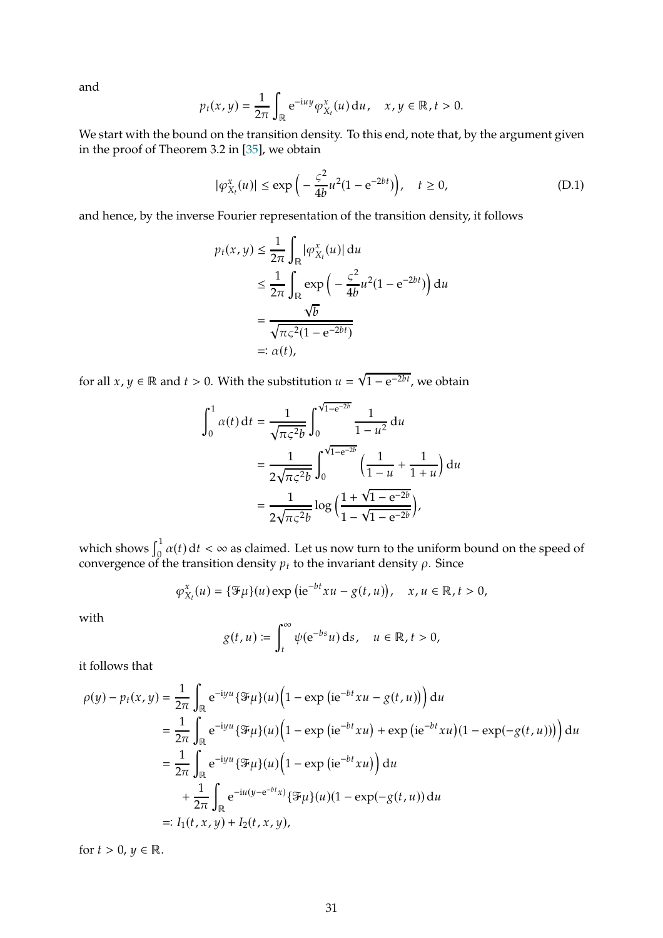and

$$
p_t(x, y) = \frac{1}{2\pi} \int_{\mathbb{R}} e^{-iuy} \varphi_{X_t}^x(u) du, \quad x, y \in \mathbb{R}, t > 0.
$$

We start with the bound on the transition density. To this end, note that, by the argument given in the proof of Theorem 3.2 in [\[35\]](#page-40-6), we obtain

<span id="page-30-0"></span>
$$
|\varphi_{X_t}^x(u)| \le \exp\left(-\frac{\zeta^2}{4b}u^2(1 - e^{-2bt})\right), \quad t \ge 0,
$$
 (D.1)

and hence, by the inverse Fourier representation of the transition density, it follows

$$
p_t(x, y) \le \frac{1}{2\pi} \int_{\mathbb{R}} |\varphi_{X_t}^x(u)| du
$$
  
\n
$$
\le \frac{1}{2\pi} \int_{\mathbb{R}} \exp\left(-\frac{\varsigma^2}{4b}u^2(1 - e^{-2bt})\right) du
$$
  
\n
$$
= \frac{\sqrt{b}}{\sqrt{\pi \varsigma^2 (1 - e^{-2bt})}}
$$
  
\n
$$
=: \alpha(t),
$$

for all  $x, y \in \mathbb{R}$  and  $t > 0$ . With the substitution  $u = \sqrt{1 - e^{-2bt}}$ , we obtain

$$
\int_0^1 \alpha(t) dt = \frac{1}{\sqrt{\pi \zeta^2 b}} \int_0^{\sqrt{1 - e^{-2b}}} \frac{1}{1 - u^2} du
$$
  
= 
$$
\frac{1}{2\sqrt{\pi \zeta^2 b}} \int_0^{\sqrt{1 - e^{-2b}}} \left(\frac{1}{1 - u} + \frac{1}{1 + u}\right) du
$$
  
= 
$$
\frac{1}{2\sqrt{\pi \zeta^2 b}} \log \left(\frac{1 + \sqrt{1 - e^{-2b}}}{1 - \sqrt{1 - e^{-2b}}}\right),
$$

which shows  $\int_0^1 \alpha(t) \, \mathrm{d}t < \infty$  as claimed. Let us now turn to the uniform bound on the speed of convergence of the transition density  $p_t$  to the invariant density  $\rho$ . Since

$$
\varphi_{X_t}^x(u) = \{\mathcal{F}\mu\}(u) \exp\left(\mathrm{i} \mathrm{e}^{-bt}xu - g(t,u)\right), \quad x, u \in \mathbb{R}, t > 0,
$$

with

$$
g(t, u) \coloneqq \int_t^\infty \psi(e^{-bs} u) \, ds, \quad u \in \mathbb{R}, t > 0,
$$

it follows that

$$
\rho(y) - p_t(x, y) = \frac{1}{2\pi} \int_{\mathbb{R}} e^{-iyu} {\mathcal{F}}\mu(u) (1 - \exp(i e^{-bt} xu - g(t, u))) du
$$
  
\n
$$
= \frac{1}{2\pi} \int_{\mathbb{R}} e^{-iyu} {\mathcal{F}}\mu(u) (1 - \exp(i e^{-bt} xu) + \exp(i e^{-bt} xu)(1 - \exp(-g(t, u))) du
$$
  
\n
$$
= \frac{1}{2\pi} \int_{\mathbb{R}} e^{-iyu} {\mathcal{F}}\mu(u) (1 - \exp(i e^{-bt} xu)) du
$$
  
\n
$$
+ \frac{1}{2\pi} \int_{\mathbb{R}} e^{-iu(y - e^{-bt}x)} {\mathcal{F}}\mu(u) (1 - \exp(-g(t, u)) du
$$
  
\n
$$
=: I_1(t, x, y) + I_2(t, x, y),
$$

for  $t > 0$ ,  $y \in \mathbb{R}$ .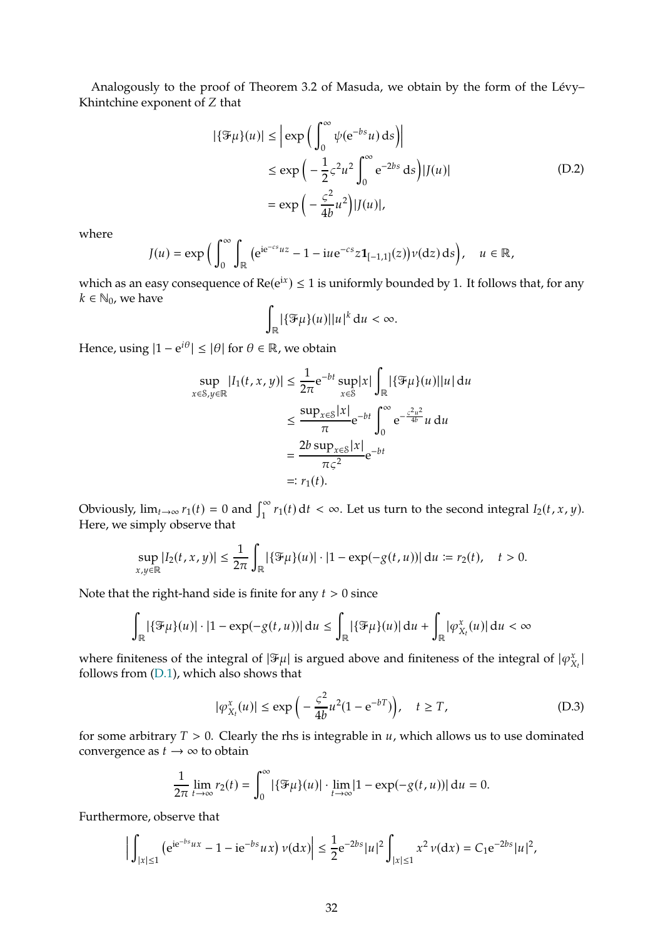Analogously to the proof of Theorem 3.2 of Masuda, we obtain by the form of the Lévy– Khintchine exponent of Z that

$$
|\{\mathcal{F}\mu\}(u)| \leq \left| \exp\left(\int_0^\infty \psi(e^{-bs}u) \, ds\right) \right|
$$
  
\n
$$
\leq \exp\left(-\frac{1}{2}\varsigma^2 u^2 \int_0^\infty e^{-2bs} \, ds\right) |J(u)|
$$
  
\n
$$
= \exp\left(-\frac{\varsigma^2}{4b}u^2\right) |J(u)|,
$$
\n(D.2)

<span id="page-31-0"></span>where

$$
J(u) = \exp\Big(\int_0^{\infty} \int_{\mathbb{R}} \big(e^{ie^{-cs}uz} - 1 - iue^{-cs}z\mathbf{1}_{[-1,1]}(z)\big) \nu(dz) \, ds\Big), \quad u \in \mathbb{R},
$$

which as an easy consequence of  $Re(e^{ix}) \le 1$  is uniformly bounded by 1. It follows that, for any  $k \in \mathbb{N}_0$ , we have

$$
\int_{\mathbb{R}} |\{\mathfrak{F}\mu\}(u)||u|^{k} du < \infty.
$$

Hence, using  $|1 - e^{i\theta}| \leq |\theta|$  for  $\theta \in \mathbb{R}$ , we obtain

$$
\sup_{x \in S, y \in \mathbb{R}} |I_1(t, x, y)| \le \frac{1}{2\pi} e^{-bt} \sup_{x \in S} |x| \int_{\mathbb{R}} |\{\mathcal{F}\mu\}(u)| |u| \, du
$$
  

$$
\le \frac{\sup_{x \in S} |x|}{\pi} e^{-bt} \int_0^\infty e^{-\frac{c^2 u^2}{4b}} u \, du
$$
  

$$
= \frac{2b \sup_{x \in S} |x|}{\pi c^2} e^{-bt}
$$
  

$$
=: r_1(t).
$$

Obviously,  $\lim_{t\to\infty} r_1(t) = 0$  and  $\int_1^{\infty} r_1(t) dt < \infty$ . Let us turn to the second integral  $I_2(t, x, y)$ . Here, we simply observe that

$$
\sup_{x,y\in\mathbb{R}}|I_2(t,x,y)|\leq \frac{1}{2\pi}\int_{\mathbb{R}}|\{\mathcal{F}\mu\}(u)|\cdot|1-\exp(-g(t,u))|\,du:=r_2(t),\quad t>0.
$$

Note that the right-hand side is finite for any  $t > 0$  since

$$
\int_{\mathbb{R}} |\{\mathcal{F}_{\mu}\}(u)| \cdot |1 - \exp(-g(t, u))| \, \mathrm{d}u \le \int_{\mathbb{R}} |\{\mathcal{F}_{\mu}\}(u)| \, \mathrm{d}u + \int_{\mathbb{R}} |\varphi^x_{X_t}(u)| \, \mathrm{d}u < \infty
$$

where finiteness of the integral of  $|\mathcal{F}_\mu|$  is argued above and finiteness of the integral of  $|\varphi^x_\lambda\>$  $\tilde{\mathbf{x}}_t$  l follows from [\(D.1\)](#page-30-0), which also shows that

<span id="page-31-1"></span>
$$
|\varphi_{X_t}^x(u)| \le \exp\left(-\frac{\varsigma^2}{4b}u^2(1 - e^{-bT})\right), \quad t \ge T,\tag{D.3}
$$

for some arbitrary  $T > 0$ . Clearly the rhs is integrable in  $u$ , which allows us to use dominated convergence as  $t \to \infty$  to obtain

$$
\frac{1}{2\pi} \lim_{t \to \infty} r_2(t) = \int_0^\infty |\{\mathcal{F}\mu\}(u)| \cdot \lim_{t \to \infty} |1 - \exp(-g(t, u))| \, \mathrm{d}u = 0.
$$

Furthermore, observe that

$$
\Big|\int_{|x|\leq 1}\big({\rm e}^{{\rm i} {\rm e}^{-bs}ux}-1-{\rm i} {\rm e}^{-bs}ux\big)\,\nu({\rm d} x)\Big|\leq \frac{1}{2}{\rm e}^{-2bs}|u|^2\int_{|x|\leq 1}x^2\,\nu({\rm d} x)=C_1{\rm e}^{-2bs}|u|^2,
$$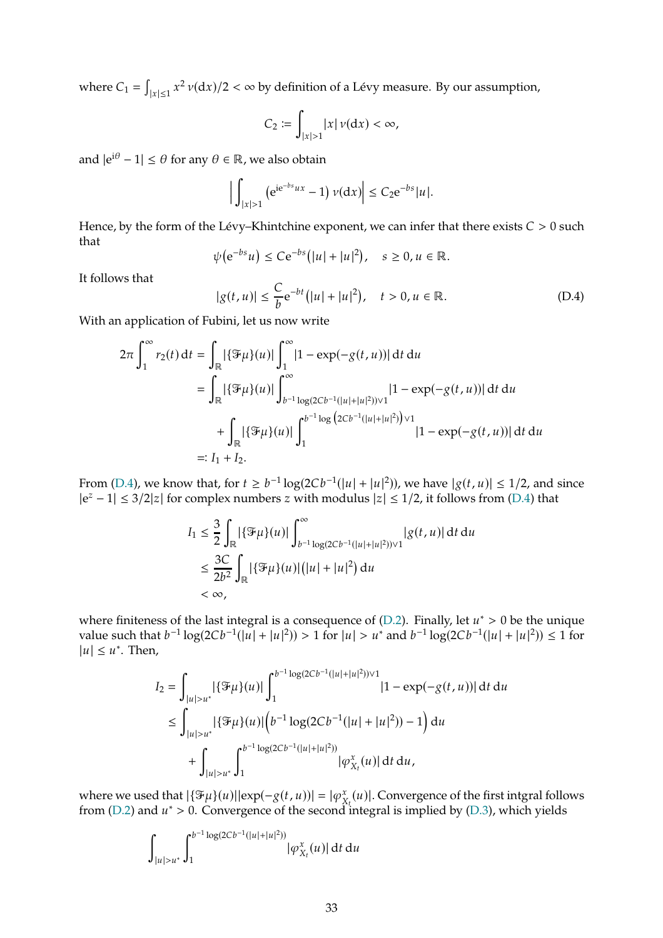where  $C_1 = \int$  $|_{|x|\leq 1} x^2 \nu(\mathrm{d}x)/2 < \infty$  by definition of a Lévy measure. By our assumption,

$$
C_2 \coloneqq \int_{|x|>1} |x| \nu(\mathrm{d}x) < \infty,
$$

and  $|e^{i\theta} - 1| \le \theta$  for any  $\theta \in \mathbb{R}$ , we also obtain

$$
\Big|\int_{|x|>1} (e^{ie^{-bs}ux}-1)\nu(dx)\Big|\leq C_2 e^{-bs}|u|.
$$

Hence, by the form of the Lévy–Khintchine exponent, we can infer that there exists  $C > 0$  such that

$$
\psi\big(e^{-bs}u\big)\leq Ce^{-bs}\big(|u|+|u|^2\big),\quad s\geq 0, u\in\mathbb{R}.
$$

It follows that

<span id="page-32-0"></span>
$$
|g(t, u)| \le \frac{C}{b} e^{-bt} (|u| + |u|^2), \quad t > 0, u \in \mathbb{R}.
$$
 (D.4)

With an application of Fubini, let us now write

$$
2\pi \int_{1}^{\infty} r_2(t) dt = \int_{\mathbb{R}} |\{\mathcal{F}\mu\}(u)| \int_{1}^{\infty} |1 - \exp(-g(t, u))| dt du
$$
  
\n
$$
= \int_{\mathbb{R}} |\{\mathcal{F}\mu\}(u)| \int_{b^{-1}\log(2Cb^{-1}(|u|+|u|^2))\vee 1}^{\infty} |1 - \exp(-g(t, u))| dt du
$$
  
\n
$$
+ \int_{\mathbb{R}} |\{\mathcal{F}\mu\}(u)| \int_{1}^{b^{-1}\log(2Cb^{-1}(|u|+|u|^2))\vee 1} |1 - \exp(-g(t, u))| dt du
$$
  
\n
$$
=: I_1 + I_2.
$$

From [\(D.4\)](#page-32-0), we know that, for  $t \ge b^{-1} \log(2Cb^{-1}(|u|+|u|^2))$ , we have  $|g(t,u)| \le 1/2$ , and since  $|e^z - 1| \leq 3/2|z|$  for complex numbers z with modulus  $|z| \leq 1/2$ , it follows from [\(D.4\)](#page-32-0) that

$$
I_1 \leq \frac{3}{2} \int_{\mathbb{R}} |\{\mathcal{F}_{\mu}\}(u)| \int_{b^{-1}\log(2Cb^{-1}(|u|+|u|^2)) \vee 1}^{\infty} |g(t,u)| dt du
$$
  

$$
\leq \frac{3C}{2b^2} \int_{\mathbb{R}} |\{\mathcal{F}_{\mu}\}(u)| (|u|+|u|^2) du
$$
  

$$
< \infty,
$$

where finiteness of the last integral is a consequence of [\(D.2\)](#page-31-0). Finally, let  $u^* > 0$  be the unique value such that  $b^{-1}\log(2Cb^{-1}(|u|+|u|^2)) > 1$  for  $|u| > u^*$  and  $b^{-1}\log(2Cb^{-1}(|u|+|u|^2)) \le 1$  for  $|u| \leq u^*$ . Then,

$$
I_2 = \int_{|u|>u^*} |\{\mathcal{F}\mu\}(u)| \int_1^{b^{-1}\log(2Cb^{-1}(|u|+|u|^2))\vee 1} |1 - \exp(-g(t,u))| \, \mathrm{d}t \, \mathrm{d}u
$$
  
\n
$$
\leq \int_{|u|>u^*} |\{\mathcal{F}\mu\}(u)| \left(b^{-1}\log(2Cb^{-1}(|u|+|u|^2)) - 1\right) \mathrm{d}u
$$
  
\n
$$
+ \int_{|u|>u^*} \int_1^{b^{-1}\log(2Cb^{-1}(|u|+|u|^2))} |\varphi_{X_t}^x(u)| \, \mathrm{d}t \, \mathrm{d}u,
$$

where we used that  $|\{\mathcal{F}\mu\}(u)||exp(-g(t,u))| = |\varphi_{X}^{x}$  $\mathbf{x}_{\mathbf{x}_t}(u)$ . Convergence of the first intgral follows from [\(D.2\)](#page-31-0) and  $u^* > 0$ . Convergence of the second integral is implied by [\(D.3\)](#page-31-1), which yields

$$
\int_{|u|>u^*}\int_{1}^{b^{-1}\log(2Cb^{-1}(|u|+|u|^2))}|\varphi_{X_t}^x(u)|\,\mathrm{d} t\,\mathrm{d} u
$$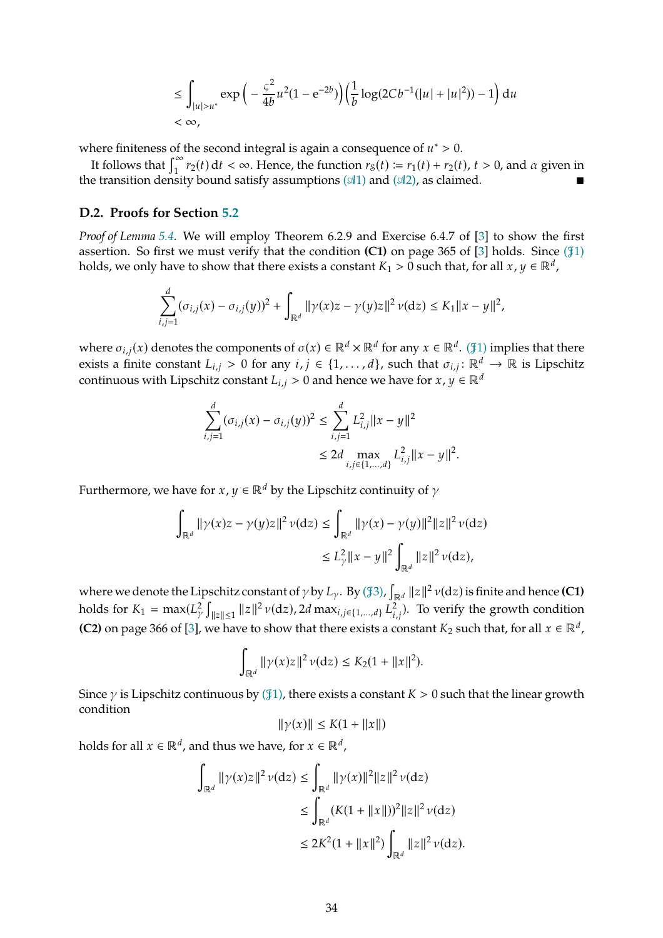$$
\leq \int_{|u|>u^*} \exp\left(-\frac{\varsigma^2}{4b}u^2(1-e^{-2b})\right) \left(\frac{1}{b}\log(2Cb^{-1}(|u|+|u|^2))-1\right) du
$$
  
<  $\infty$ ,

where finiteness of the second integral is again a consequence of  $u^* > 0$ .

It follows that  $\int_1^{\infty} r_2(t) dt < \infty$ . Hence, the function  $r_8(t) := r_1(t) + r_2(t)$ ,  $t > 0$ , and  $\alpha$  given in the transition density bound satisfy assumptions ( $\alpha$ [1\)](#page-4-1) and ( $\alpha$ [2\),](#page-4-2) as claimed.

### <span id="page-33-0"></span>**D.2. Proofs for Section [5.2](#page-15-0)**

*Proof of Lemma [5.4.](#page-16-2)* We will employ Theorem 6.2.9 and Exercise 6.4.7 of [\[3](#page-39-10)] to show the first assertion. So first we must verify that the condition  $(C1)$  $(C1)$  on page 365 of  $[3]$  holds. Since  $(\frac{41}{3})$ holds, we only have to show that there exists a constant  $K_1 > 0$  such that, for all  $x, y \in \mathbb{R}^d$ ,

$$
\sum_{i,j=1}^d (\sigma_{i,j}(x) - \sigma_{i,j}(y))^2 + \int_{\mathbb{R}^d} ||\gamma(x)z - \gamma(y)z||^2 \nu(\mathrm{d}z) \le K_1 ||x - y||^2,
$$

where  $\sigma_{i,j}(x)$  denotes the components of  $\sigma(x) \in \mathbb{R}^d \times \mathbb{R}^d$  for any  $x \in \mathbb{R}^d$ . ( $\mathcal{I}$ [1\)](#page-15-2) implies that there exists a finite constant  $L_{i,j} > 0$  for any  $i, j \in \{1, ..., d\}$ , such that  $\sigma_{i,j} : \mathbb{R}^d \to \mathbb{R}$  is Lipschitz continuous with Lipschitz constant  $L_{i,j} > 0$  and hence we have for  $x, y \in \mathbb{R}^d$ 

$$
\sum_{i,j=1}^{d} (\sigma_{i,j}(x) - \sigma_{i,j}(y))^2 \le \sum_{i,j=1}^{d} L_{i,j}^2 ||x - y||^2
$$
  

$$
\le 2d \max_{i,j \in \{1,\dots,d\}} L_{i,j}^2 ||x - y||^2.
$$

Furthermore, we have for  $x, y \in \mathbb{R}^d$  by the Lipschitz continuity of  $\gamma$ 

$$
\begin{aligned} \int_{\mathbb{R}^d} \|\gamma(x)z-\gamma(y)z\|^2\,\nu(\mathrm{d}z) &\leq \int_{\mathbb{R}^d} \|\gamma(x)-\gamma(y)\|^2\|z\|^2\,\nu(\mathrm{d}z) \\ &\leq L_\gamma^2 \|x-y\|^2 \int_{\mathbb{R}^d} \|z\|^2\,\nu(\mathrm{d}z), \end{aligned}
$$

where we denote the Lipschitz constant of  $\gamma$  by  $L_\gamma$ . By (\$[3\),](#page-15-3)  $\int_{\mathbb{R}^d} ||z||^2 \nu(\mathrm{d}z)$  is finite and hence **(C1)** holds for  $K_1 = \max(L^2_\gamma)$  $\|z\| \leq 1$  || $z$ || $^2$   $\nu$ (d $z$ ), 2 $d$  max $_{i,j \in \{1,...,d\}}$   $L^2_{i,j}$ ). To verify the growth condition **(C2)** on page 366 of [\[3](#page-39-10)], we have to show that there exists a constant  $K_2$  such that, for all  $x \in \mathbb{R}^d$ ,

$$
\int_{\mathbb{R}^d} ||\gamma(x)z||^2 \nu(\mathrm{d}z) \leq K_2(1 + ||x||^2).
$$

Since  $\gamma$  is Lipschitz continuous by ( $\sharp$ [1\),](#page-15-2) there exists a constant  $K > 0$  such that the linear growth condition

$$
\|\gamma(x)\| \le K(1 + \|x\|)
$$

holds for all  $x \in \mathbb{R}^d$ , and thus we have, for  $x \in \mathbb{R}^d$ ,

$$
\int_{\mathbb{R}^d} ||\gamma(x)z||^2 \nu(\mathrm{d}z) \le \int_{\mathbb{R}^d} ||\gamma(x)||^2 ||z||^2 \nu(\mathrm{d}z)
$$
  
\n
$$
\le \int_{\mathbb{R}^d} (K(1 + ||x||))^2 ||z||^2 \nu(\mathrm{d}z)
$$
  
\n
$$
\le 2K^2 (1 + ||x||^2) \int_{\mathbb{R}^d} ||z||^2 \nu(\mathrm{d}z).
$$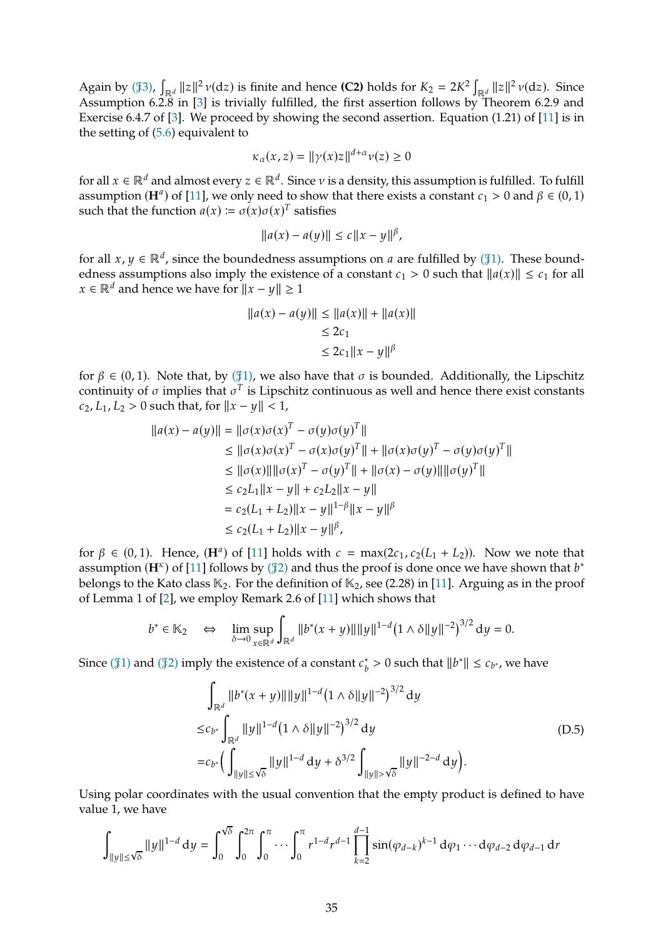Again by ( $\int \mathbb{R}^d ||z||^2 \nu(\mathrm{d}z)$  is finite and hence **(C2)** holds for  $K_2 = 2K^2 \int_{\mathbb{R}^d} ||z||^2 \nu(\mathrm{d}z)$ . Since Assumption 6.2.8 in [\[3](#page-39-10)] is trivially fulfilled, the first assertion follows by Theorem 6.2.9 and Exercise 6.4.7 of [\[3](#page-39-10)]. We proceed by showing the second assertion. Equation (1.21) of [\[11\]](#page-39-9) is in the setting of [\(5.6\)](#page-15-1) equivalent to

$$
\kappa_{\alpha}(x, z) = ||\gamma(x)z||^{d+\alpha} \nu(z) \ge 0
$$

for all  $x \in \mathbb{R}^d$  and almost every  $z \in \mathbb{R}^d$ . Since  $\nu$  is a density, this assumption is fulfilled. To fulfill assumption (**H**<sup> $a$ </sup>) of [\[11\]](#page-39-9), we only need to show that there exists a constant  $c_1 > 0$  and  $\beta \in (0, 1)$ such that the function  $a(x) \coloneqq \sigma(x)\sigma(x)^T$  satisfies

$$
||a(x) - a(y)|| \le c||x - y||^{\beta},
$$

for all  $x, y \in \mathbb{R}^d$ , since the boundedness assumptions on *a* are fulfilled by ( $\mathcal{J}1$ ). These boundedness assumptions also imply the existence of a constant  $c_1 > 0$  such that  $||a(x)|| \le c_1$  for all  $x \in \mathbb{R}^d$  and hence we have for  $||x - y|| \ge 1$ 

$$
||a(x) - a(y)|| \le ||a(x)|| + ||a(x)||
$$
  
\n
$$
\le 2c_1
$$
  
\n
$$
\le 2c_1 ||x - y||^{\beta}
$$

for  $\beta \in (0, 1)$ . Note that, by ( $\beta$ [1\),](#page-15-2) we also have that  $\sigma$  is bounded. Additionally, the Lipschitz continuity of  $\sigma$  implies that  $\sigma^T$  is Lipschitz continuous as well and hence there exist constants  $c_2$ ,  $L_1$ ,  $L_2 > 0$  such that, for  $||x - y|| < 1$ ,

$$
||a(x) - a(y)|| = ||\sigma(x)\sigma(x)^{T} - \sigma(y)\sigma(y)^{T}||
$$
  
\n
$$
\leq ||\sigma(x)\sigma(x)^{T} - \sigma(x)\sigma(y)^{T}|| + ||\sigma(x)\sigma(y)^{T} - \sigma(y)\sigma(y)^{T}||
$$
  
\n
$$
\leq ||\sigma(x)|| ||\sigma(x)^{T} - \sigma(y)^{T}|| + ||\sigma(x) - \sigma(y)|| ||\sigma(y)^{T}||
$$
  
\n
$$
\leq c_{2}L_{1}||x - y|| + c_{2}L_{2}||x - y||
$$
  
\n
$$
= c_{2}(L_{1} + L_{2})||x - y||^{1-\beta}||x - y||^{\beta}
$$
  
\n
$$
\leq c_{2}(L_{1} + L_{2})||x - y||^{\beta},
$$

for  $\beta \in (0, 1)$ . Hence,  $(\mathbf{H}^a)$  of [\[11](#page-39-9)] holds with  $c = \max(2c_1, c_2(L_1 + L_2))$ . Now we note that assumption ( $\mathbf{H}^{\kappa}$ ) of [\[11](#page-39-9)] follows by ( $\mathcal{F}$ [2\)](#page-15-5) and thus the proof is done once we have shown that  $b^*$ belongs to the Kato class  $\mathbb{K}_2$ . For the definition of  $\mathbb{K}_2$ , see (2.28) in [\[11](#page-39-9)]. Arguing as in the proof of Lemma 1 of [\[2](#page-39-2)], we employ Remark 2.6 of [\[11](#page-39-9)] which shows that

$$
b^*\in \mathbb{K}_2 \quad \Leftrightarrow \quad \lim_{\delta\to 0} \sup_{x\in \mathbb{R}^d} \int_{\mathbb{R}^d} \|b^*(x+y)\| \|y\|^{1-d} \bigl(1\wedge \delta \|y\|^{-2}\bigr)^{3/2} \, {\rm d} y=0.
$$

Since ( $\sharp$ [1\)](#page-15-2) and ( $\sharp$ [2\)](#page-15-5) imply the existence of a constant  $c_b^* > 0$  such that  $||b^*|| \leq c_{b^*}$ , we have

$$
\int_{\mathbb{R}^d} ||b^*(x+y)|| ||y||^{1-d} (1 \wedge \delta ||y||^{-2})^{3/2} dy
$$
\n
$$
\leq c_{b^*} \int_{\mathbb{R}^d} ||y||^{1-d} (1 \wedge \delta ||y||^{-2})^{3/2} dy
$$
\n
$$
= c_{b^*} \Big( \int_{||y|| \leq \sqrt{\delta}} ||y||^{1-d} dy + \delta^{3/2} \int_{||y|| > \sqrt{\delta}} ||y||^{-2-d} dy \Big).
$$
\n(D.5)

<span id="page-34-0"></span>Using polar coordinates with the usual convention that the empty product is defined to have value 1, we have

$$
\int_{\|y\| \le \sqrt{\delta}} \|y\|^{1-d} \, \mathrm{d}y = \int_0^{\sqrt{\delta}} \int_0^{2\pi} \int_0^{\pi} \cdots \int_0^{\pi} r^{1-d} r^{d-1} \prod_{k=2}^{d-1} \sin(\varphi_{d-k})^{k-1} \, \mathrm{d}\varphi_1 \cdots \mathrm{d}\varphi_{d-2} \, \mathrm{d}\varphi_{d-1} \, \mathrm{d}r
$$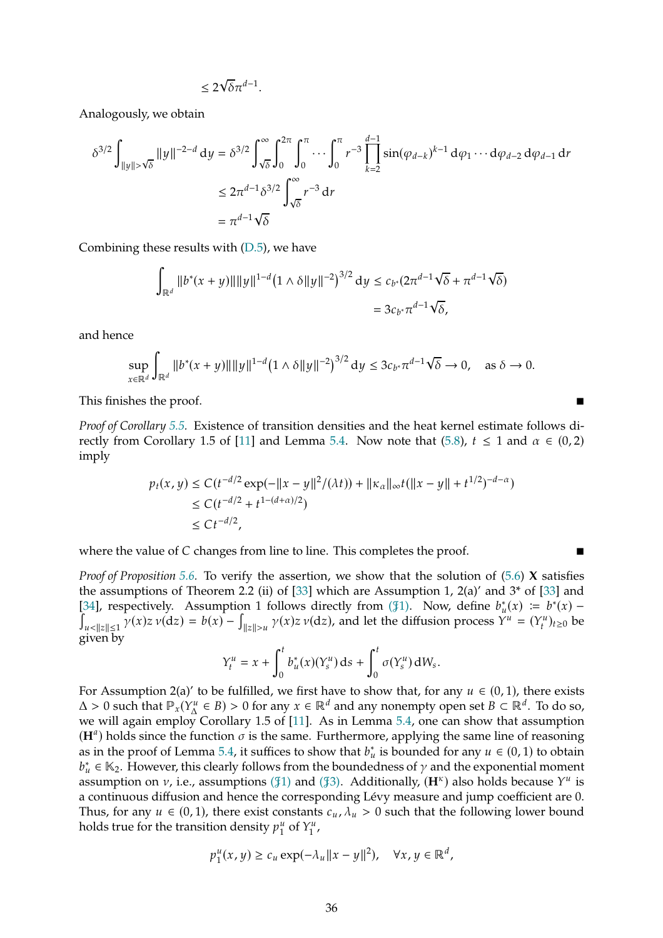$$
\leq 2\sqrt{\delta}\pi^{d-1}.
$$

Analogously, we obtain

$$
\delta^{3/2} \int_{\|y\| > \sqrt{\delta}} \|y\|^{-2-d} \, \mathrm{d}y = \delta^{3/2} \int_{\sqrt{\delta}}^{\infty} \int_0^{2\pi} \int_0^{\pi} \cdots \int_0^{\pi} r^{-3} \prod_{k=2}^{d-1} \sin(\varphi_{d-k})^{k-1} \, \mathrm{d}\varphi_1 \cdots \mathrm{d}\varphi_{d-2} \, \mathrm{d}\varphi_{d-1} \, \mathrm{d}r
$$
  

$$
\leq 2\pi^{d-1} \delta^{3/2} \int_{\sqrt{\delta}}^{\infty} r^{-3} \, \mathrm{d}r
$$
  

$$
= \pi^{d-1} \sqrt{\delta}
$$

Combining these results with  $(D.5)$ , we have

$$
\int_{\mathbb{R}^d} ||b^*(x+y)|| ||y||^{1-d} (1 \wedge \delta ||y||^{-2})^{3/2} dy \leq c_{b^*} (2\pi^{d-1} \sqrt{\delta} + \pi^{d-1} \sqrt{\delta})
$$
  
=  $3c_{b^*} \pi^{d-1} \sqrt{\delta}$ ,

and hence

$$
\sup_{x \in \mathbb{R}^d} \int_{\mathbb{R}^d} \|b^*(x+y)\| \|y\|^{1-d} (1 \wedge \delta \|y\|^{-2})^{3/2} dy \le 3c_{b^*} \pi^{d-1} \sqrt{\delta} \to 0, \quad \text{as } \delta \to 0.
$$

This finishes the proof.

*Proof of Corollary [5.5.](#page-16-0)* Existence of transition densities and the heat kernel estimate follows di-rectly from Corollary 1.5 of [\[11](#page-39-9)] and Lemma [5.4.](#page-16-2) Now note that [\(5.8\)](#page-16-1),  $t \le 1$  and  $\alpha \in (0, 2)$ imply

$$
p_t(x, y) \le C(t^{-d/2} \exp(-||x - y||^2/(\lambda t)) + ||\kappa_\alpha||_\infty t(||x - y|| + t^{1/2})^{-d - \alpha})
$$
  
\n
$$
\le C(t^{-d/2} + t^{1 - (d + \alpha)/2})
$$
  
\n
$$
\le C t^{-d/2},
$$

where the value of  $C$  changes from line to line. This completes the proof.

*Proof of Proposition [5.6.](#page-16-3)* To verify the assertion, we show that the solution of [\(5.6\)](#page-15-1) **X** satisfies the assumptions of Theorem 2.2 (ii) of [\[33](#page-40-7)] which are Assumption 1,  $2(a)'$  and  $3*$  of [\[33\]](#page-40-7) and [\[34](#page-40-15)], respectively. Assumption 1 follows directly from ( $\mathcal{F}_1$ [1\).](#page-15-2) Now, define  $b_u^*(x) := b^*(x) - b_u^*(x)$ יµ<br>∫  $||x|| \leq 1$   $\gamma(x)z \nu(\frac{dz}{z}) = b(x) - \int_{\|z\| > u} \gamma(x)z \nu(\frac{dz}{z})$ , and let the diffusion process  $Y^u = (Y_t^u)_{t \geq 0}$  be given by

$$
Y_t^u = x + \int_0^t b_u^*(x) (Y_s^u) \, ds + \int_0^t \sigma(Y_s^u) \, dW_s.
$$

For Assumption 2(a)' to be fulfilled, we first have to show that, for any  $u \in (0, 1)$ , there exists  $\Delta > 0$  such that  $\mathbb{P}_x(Y^u_\Delta \in B) > 0$  for any  $x \in \mathbb{R}^d$  and any nonempty open set  $B \subset \mathbb{R}^d$ . To do so, we will again employ Corollary 1.5 of [\[11\]](#page-39-9). As in Lemma [5.4,](#page-16-2) one can show that assumption  $(\mathbf{H}^a)$  holds since the function  $\sigma$  is the same. Furthermore, applying the same line of reasoning as in the proof of Lemma [5.4,](#page-16-2) it suffices to show that  $b_u^*$  is bounded for any  $u \in (0, 1)$  to obtain  $b_u^* \in \mathbb{K}_2$ . However, this clearly follows from the boundedness of  $\gamma$  and the exponential moment assumption on  $\nu$ , i.e., assumptions ( $\sharp$ [1\)](#page-15-2) and ( $\sharp$ [3\).](#page-15-3) Additionally, ( $\mathbf{H}^{\kappa}$ ) also holds because  $Y^u$  is a continuous diffusion and hence the corresponding Lévy measure and jump coefficient are 0. Thus, for any  $u \in (0, 1)$ , there exist constants  $c_u, \lambda_u > 0$  such that the following lower bound holds true for the transition density  $p_1^u$  $\int_1^u$  of  $Y_1^u$  $\frac{u}{1}$ ,

$$
p_1^u(x,y) \ge c_u \exp(-\lambda_u ||x-y||^2), \quad \forall x, y \in \mathbb{R}^d,
$$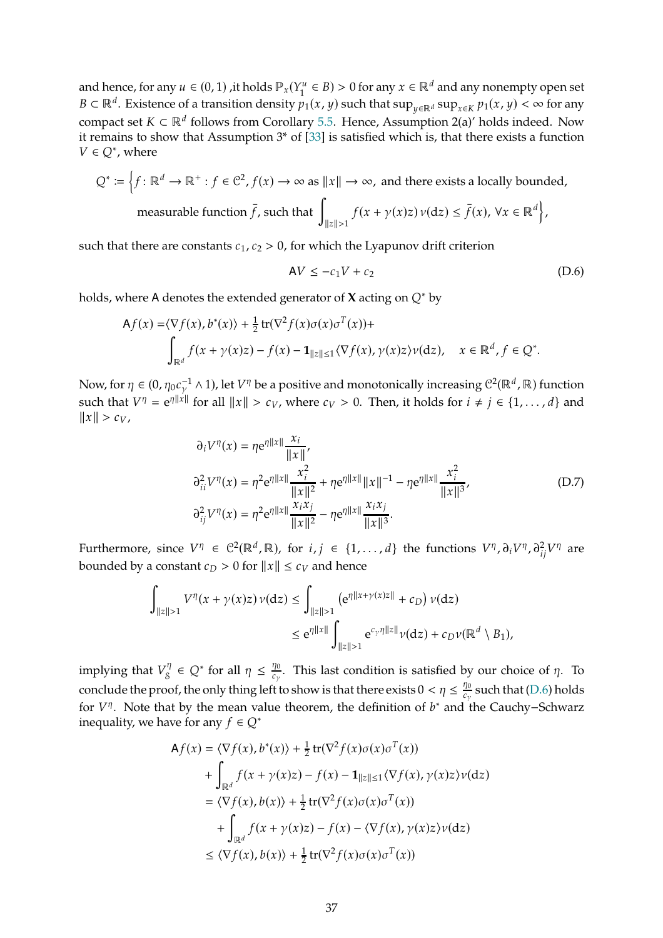and hence, for any  $u \in (0, 1)$ , it holds  $\mathbb{P}_x(Y_1^u)$  $\zeta_1^u \in B$ ) > 0 for any  $x \in \mathbb{R}^d$  and any nonempty open set  $B \subset \mathbb{R}^d$ . Existence of a transition density  $p_1(x, y)$  such that  $\sup_{y \in \mathbb{R}^d} \sup_{x \in K} p_1(x, y) < \infty$  for any compact set  $K \subset \mathbb{R}^d$  follows from Corollary [5.5.](#page-16-0) Hence, Assumption 2(a)' holds indeed. Now it remains to show that Assumption 3\* of [\[33](#page-40-7)] is satisfied which is, that there exists a function  $V \in Q^*$ , where

$$
Q^* := \left\{ f \colon \mathbb{R}^d \to \mathbb{R}^+ : f \in \mathbb{C}^2, f(x) \to \infty \text{ as } ||x|| \to \infty, \text{ and there exists a locally bounded,}
$$
  
measurable function  $\bar{f}$ , such that 
$$
\int_{||z|| > 1} f(x + \gamma(x)z) \nu(\mathrm{d}z) \le \bar{f}(x), \forall x \in \mathbb{R}^d \right\},
$$

such that there are constants  $c_1$ ,  $c_2 > 0$ , for which the Lyapunov drift criterion

<span id="page-36-0"></span>
$$
AV \le -c_1 V + c_2 \tag{D.6}
$$

holds, where A denotes the extended generator of **X** acting on  $Q^*$  by

$$
\mathsf{A}f(x) = \langle \nabla f(x), b^*(x) \rangle + \frac{1}{2} \operatorname{tr}(\nabla^2 f(x) \sigma(x) \sigma^T(x)) + \int_{\|\alpha\| \le 1} f(x + \gamma(x)z) - f(x) - \mathbf{1}_{\|z\| \le 1} \langle \nabla f(x), \gamma(x)z \rangle \nu(\mathrm{d}z), \quad x \in \mathbb{R}^d, f \in \mathbb{Q}^*.
$$

Now, for  $\eta \in (0, \eta_0 c_\gamma^{-1} \wedge 1)$ , let  $V^\eta$  be a positive and monotonically increasing  $C^2(\mathbb{R}^d, \mathbb{R})$  function such that  $V^{\eta} = e^{\eta \|x\|}$  for all  $||x|| > c_V$ , where  $c_V > 0$ . Then, it holds for  $i \neq j \in \{1, ..., d\}$  and  $||x|| > c_V,$ 

$$
\partial_i V^{\eta}(x) = \eta e^{\eta ||x||} \frac{x_i}{||x||},
$$
  
\n
$$
\partial_{ii}^2 V^{\eta}(x) = \eta^2 e^{\eta ||x||} \frac{x_i^2}{||x||^2} + \eta e^{\eta ||x||} ||x||^{-1} - \eta e^{\eta ||x||} \frac{x_i^2}{||x||^3},
$$
  
\n
$$
\partial_{ij}^2 V^{\eta}(x) = \eta^2 e^{\eta ||x||} \frac{x_i x_j}{||x||^2} - \eta e^{\eta ||x||} \frac{x_i x_j}{||x||^3}.
$$
\n(D.7)

<span id="page-36-1"></span>Furthermore, since  $V^{\eta} \in C^2(\mathbb{R}^d, \mathbb{R})$ , for  $i, j \in \{1, ..., d\}$  the functions  $V^{\eta}, \partial_i V^{\eta}, \partial_{ij}^2 V^{\eta}$  are bounded by a constant  $c_D > 0$  for  $||x|| \leq c_V$  and hence

$$
\begin{aligned} \int_{\|z\|>1} V^\eta(x+\gamma(x)z)\,\nu({\rm d} z) &\leq \int_{\|z\|>1} \left({\rm e}^{\eta \|x+\gamma(x)z\|}+c_D\right)\nu({\rm d} z) \\ &\leq {\rm e}^{\eta\|x\|}\int_{\|z\|>1} {\rm e}^{c_\gamma\eta\|z\|}\nu({\rm d} z)+c_D\nu(\mathbb{R}^d\setminus B_1), \end{aligned}
$$

implying that  $V_8^{\eta}$  $\zeta_{\mathcal{S}}^{\eta} \in \mathcal{Q}^*$  for all  $\eta \leq \frac{\eta_0}{c_{\gamma}}$  $\frac{d\mathbf{D}}{d\mathbf{c}_{\gamma}}$ . This last condition is satisfied by our choice of  $\eta$ . To conclude the proof, the only thing left to show is that there exists  $0 < \eta \leq \frac{\eta_0}{c_\gamma}$  $\frac{d\mathcal{D}}{d\mathcal{C}_{\gamma}}$  such that [\(D.6\)](#page-36-0) holds for  $V^{\eta}$ . Note that by the mean value theorem, the definition of  $b^*$  and the Cauchy–Schwarz inequality, we have for any  $f \in Q^*$ 

$$
Af(x) = \langle \nabla f(x), b^*(x) \rangle + \frac{1}{2} tr(\nabla^2 f(x) \sigma(x) \sigma^T(x))
$$
  
+ 
$$
\int_{\mathbb{R}^d} f(x + \gamma(x)z) - f(x) - \mathbf{1}_{\|z\| \le 1} \langle \nabla f(x), \gamma(x)z \rangle \nu(\mathrm{d}z)
$$
  
= 
$$
\langle \nabla f(x), b(x) \rangle + \frac{1}{2} tr(\nabla^2 f(x) \sigma(x) \sigma^T(x))
$$
  
+ 
$$
\int_{\mathbb{R}^d} f(x + \gamma(x)z) - f(x) - \langle \nabla f(x), \gamma(x)z \rangle \nu(\mathrm{d}z)
$$
  

$$
\le \langle \nabla f(x), b(x) \rangle + \frac{1}{2} tr(\nabla^2 f(x) \sigma(x) \sigma^T(x))
$$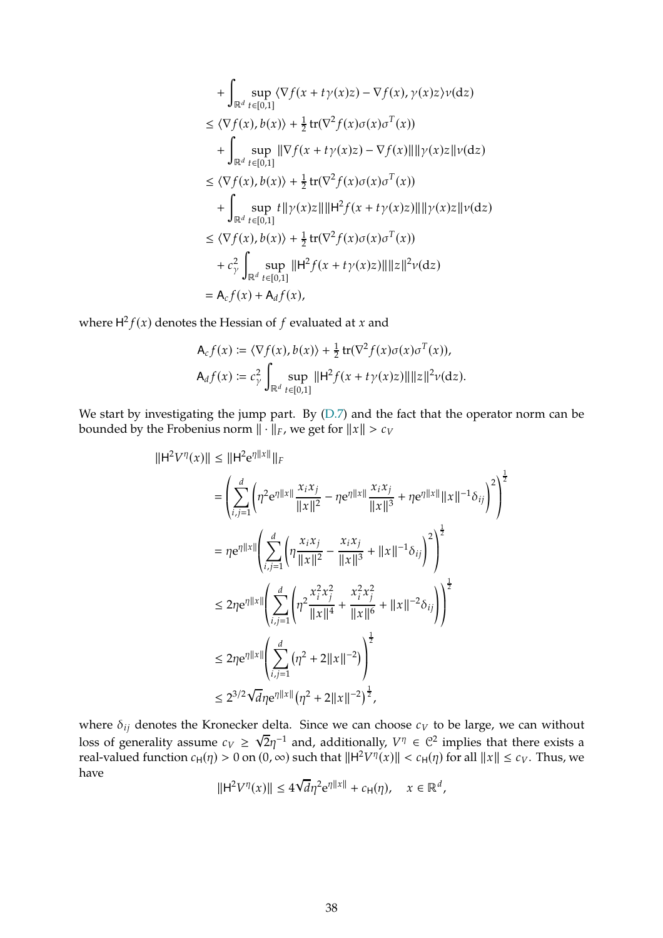+ 
$$
\int_{\mathbb{R}^d} \sup_{t \in [0,1]} \langle \nabla f(x + t\gamma(x)z) - \nabla f(x), \gamma(x)z \rangle v(\mathrm{d}z)
$$
  
\n
$$
\leq \langle \nabla f(x), b(x) \rangle + \frac{1}{2} \operatorname{tr}(\nabla^2 f(x)\sigma(x)\sigma^T(x))
$$
  
\n+ 
$$
\int_{\mathbb{R}^d} \sup_{t \in [0,1]} \|\nabla f(x + t\gamma(x)z) - \nabla f(x)\| \|\gamma(x)z\|v(\mathrm{d}z)
$$
  
\n
$$
\leq \langle \nabla f(x), b(x) \rangle + \frac{1}{2} \operatorname{tr}(\nabla^2 f(x)\sigma(x)\sigma^T(x))
$$
  
\n+ 
$$
\int_{\mathbb{R}^d} \sup_{t \in [0,1]} t \|\gamma(x)z\| \|\mathbf{H}^2 f(x + t\gamma(x)z)\| \|\gamma(x)z\|v(\mathrm{d}z)
$$
  
\n
$$
\leq \langle \nabla f(x), b(x) \rangle + \frac{1}{2} \operatorname{tr}(\nabla^2 f(x)\sigma(x)\sigma^T(x))
$$
  
\n+ 
$$
c_\gamma^2 \int_{\mathbb{R}^d} \sup_{t \in [0,1]} \|\mathbf{H}^2 f(x + t\gamma(x)z)\| \|z\|^2 v(\mathrm{d}z)
$$
  
\n= 
$$
\mathbf{A}_c f(x) + \mathbf{A}_d f(x),
$$

where  $H^2 f(x)$  denotes the Hessian of  $f$  evaluated at  $x$  and

$$
\mathsf{A}_{c}f(x) \coloneqq \langle \nabla f(x), b(x) \rangle + \frac{1}{2} \operatorname{tr}(\nabla^2 f(x)\sigma(x)\sigma^T(x)),
$$
\n
$$
\mathsf{A}_{d}f(x) \coloneqq c_{\gamma}^2 \int_{\mathbb{R}^d} \sup_{t \in [0,1]} ||\mathsf{H}^2 f(x + t\gamma(x)z)|| ||z||^2 \nu(\mathrm{d}z).
$$

We start by investigating the jump part. By [\(D.7\)](#page-36-1) and the fact that the operator norm can be bounded by the Frobenius norm  $\|\cdot\|_F$ , we get for  $\|x\| > c_V$ 

$$
||\mathbf{H}^{2}V^{\eta}(x)|| \leq ||\mathbf{H}^{2}e^{\eta||x||}||_{F}
$$
  
\n
$$
= \left(\sum_{i,j=1}^{d} \left(\eta^{2}e^{\eta||x||} \frac{x_{i}x_{j}}{||x||^{2}} - \eta e^{\eta||x||} \frac{x_{i}x_{j}}{||x||^{3}} + \eta e^{\eta||x||} ||x||^{-1} \delta_{ij}\right)^{2}\right)^{\frac{1}{2}}
$$
  
\n
$$
= \eta e^{\eta||x||} \left(\sum_{i,j=1}^{d} \left(\eta \frac{x_{i}x_{j}}{||x||^{2}} - \frac{x_{i}x_{j}}{||x||^{3}} + ||x||^{-1} \delta_{ij}\right)^{2}\right)^{\frac{1}{2}}
$$
  
\n
$$
\leq 2\eta e^{\eta||x||} \left(\sum_{i,j=1}^{d} \left(\eta^{2} \frac{x_{i}^{2}x_{j}^{2}}{||x||^{4}} + \frac{x_{i}^{2}x_{j}^{2}}{||x||^{6}} + ||x||^{-2} \delta_{ij}\right)\right)^{\frac{1}{2}}
$$
  
\n
$$
\leq 2\eta e^{\eta||x||} \left(\sum_{i,j=1}^{d} (\eta^{2} + 2||x||^{-2})\right)^{\frac{1}{2}}
$$
  
\n
$$
\leq 2^{3/2} \sqrt{d} \eta e^{\eta||x||} (\eta^{2} + 2||x||^{-2})^{\frac{1}{2}},
$$

where  $\delta_{ij}$  denotes the Kronecker delta. Since we can choose  $c_V$  to be large, we can without loss of generality assume  $c_V \geq \sqrt{2}\eta^{-1}$  and, additionally,  $V^{\eta} \in \mathbb{C}^2$  implies that there exists a real-valued function  $c_H(\eta) > 0$  on  $(0, \infty)$  such that  $||H^2V^{\eta}(x)|| < c_H(\eta)$  for all  $||x|| \leq c_V$ . Thus, we have

$$
\|\mathsf{H}^2 V^\eta(x)\| \le 4\sqrt{d}\eta^2 \mathrm{e}^{\eta\|x\|} + c_{\mathsf{H}}(\eta), \quad x \in \mathbb{R}^d,
$$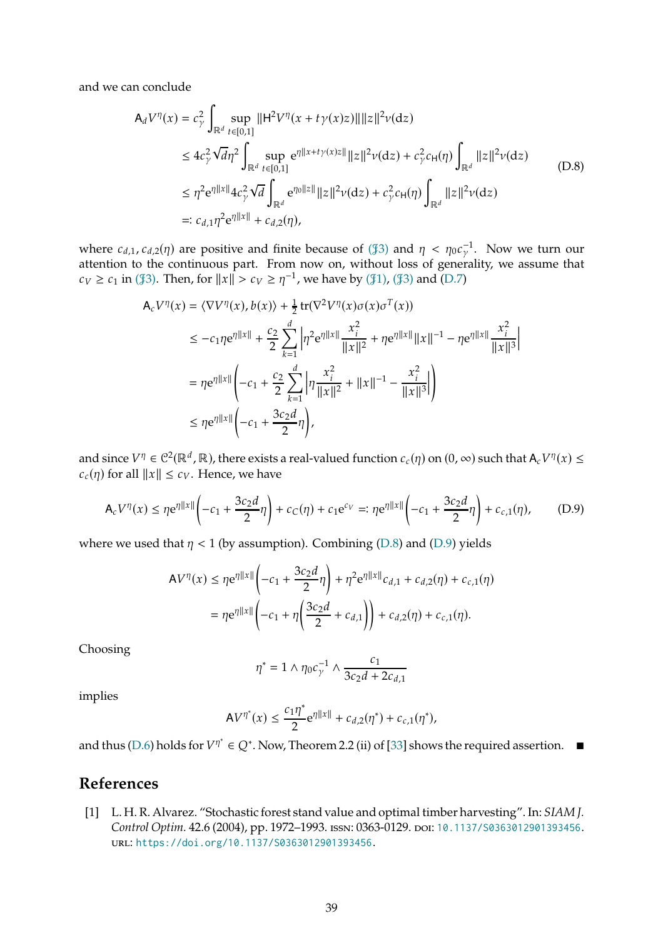<span id="page-38-1"></span>and we can conclude

$$
A_d V^{\eta}(x) = c_{\gamma}^2 \int_{\mathbb{R}^d} \sup_{t \in [0,1]} ||H^2 V^{\eta}(x + t\gamma(x)z)|| ||z||^2 \nu(\mathrm{d}z)
$$
  
\n
$$
\leq 4c_{\gamma}^2 \sqrt{d}\eta^2 \int_{\mathbb{R}^d} \sup_{t \in [0,1]} e^{\eta ||x + t\gamma(x)z||} ||z||^2 \nu(\mathrm{d}z) + c_{\gamma}^2 c_H(\eta) \int_{\mathbb{R}^d} ||z||^2 \nu(\mathrm{d}z)
$$
  
\n
$$
\leq \eta^2 e^{\eta ||x||} 4c_{\gamma}^2 \sqrt{d} \int_{\mathbb{R}^d} e^{\eta_0 ||z||} ||z||^2 \nu(\mathrm{d}z) + c_{\gamma}^2 c_H(\eta) \int_{\mathbb{R}^d} ||z||^2 \nu(\mathrm{d}z)
$$
  
\n
$$
=: c_{d,1} \eta^2 e^{\eta ||x||} + c_{d,2}(\eta), \qquad (D.8)
$$

where  $c_{d,1}$ ,  $c_{d,2}(\eta)$  are positive and finite because of ( $\sharp 3$ ) and  $\eta < \eta_0 c_{\gamma}^{-1}$ . Now we turn our attention to the continuous part. From now on, without loss of generality, we assume that  $c_V \ge c_1$  in (\$[3\).](#page-15-3) Then, for  $||x|| > c_V \ge \eta^{-1}$ , we have by (\$[1\),](#page-15-2) (\$[3\)](#page-15-3) and [\(D.7\)](#page-36-1)

$$
A_{c}V^{\eta}(x) = \langle \nabla V^{\eta}(x), b(x) \rangle + \frac{1}{2} \operatorname{tr}(\nabla^{2}V^{\eta}(x)\sigma(x)\sigma^{T}(x))
$$
  
\n
$$
\leq -c_{1}\eta e^{\eta ||x||} + \frac{c_{2}}{2} \sum_{k=1}^{d} \left| \eta^{2} e^{\eta ||x||} \frac{x_{i}^{2}}{||x||^{2}} + \eta e^{\eta ||x||} ||x||^{-1} - \eta e^{\eta ||x||} \frac{x_{i}^{2}}{||x||^{3}} \right|
$$
  
\n
$$
= \eta e^{\eta ||x||} \left( -c_{1} + \frac{c_{2}}{2} \sum_{k=1}^{d} \left| \eta \frac{x_{i}^{2}}{||x||^{2}} + ||x||^{-1} - \frac{x_{i}^{2}}{||x||^{3}} \right| \right)
$$
  
\n
$$
\leq \eta e^{\eta ||x||} \left( -c_{1} + \frac{3c_{2}d}{2} \eta \right),
$$

and since  $V^{\eta} \in C^2(\mathbb{R}^d, \mathbb{R})$ , there exists a real-valued function  $c_c(\eta)$  on  $(0, \infty)$  such that  $A_c V^{\eta}(x) \leq$  $c_c(\eta)$  for all  $||x|| \leq c_V$ . Hence, we have

<span id="page-38-2"></span>
$$
\mathsf{A}_{c}V^{\eta}(x) \leq \eta e^{\eta \|x\|} \left(-c_{1} + \frac{3c_{2}d}{2}\eta\right) + c_{C}(\eta) + c_{1}e^{c_{V}} =: \eta e^{\eta \|x\|} \left(-c_{1} + \frac{3c_{2}d}{2}\eta\right) + c_{c,1}(\eta), \tag{D.9}
$$

where we used that  $\eta$  < 1 (by assumption). Combining [\(D.8\)](#page-38-1) and [\(D.9\)](#page-38-2) yields

$$
AV^{\eta}(x) \le \eta e^{\eta ||x||} \left( -c_1 + \frac{3c_2 d}{2} \eta \right) + \eta^2 e^{\eta ||x||} c_{d,1} + c_{d,2}(\eta) + c_{c,1}(\eta)
$$
  
=  $\eta e^{\eta ||x||} \left( -c_1 + \eta \left( \frac{3c_2 d}{2} + c_{d,1} \right) \right) + c_{d,2}(\eta) + c_{c,1}(\eta).$ 

Choosing

$$
\eta^* = 1 \wedge \eta_0 c_\gamma^{-1} \wedge \frac{c_1}{3c_2d + 2c_{d,1}}
$$

implies

$$
AV^{\eta^*}(x) \le \frac{c_1 \eta^*}{2} e^{\eta \|x\|} + c_{d,2}(\eta^*) + c_{c,1}(\eta^*),
$$

and thus [\(D.6\)](#page-36-0) holds for  $V^{\eta^*} \in Q^*$ . Now, Theorem 2.2 (ii) of [\[33](#page-40-7)] shows the required assertion.

## <span id="page-38-0"></span>**References**

[1] L. H. R. Alvarez. "Stochastic forest stand value and optimal timber harvesting". In: *SIAM J.* Control Optim. 42.6 (2004), pp. 1972-1993. ISSN: 0363-0129. DOI: [10.1137/S0363012901393456](https://doi.org/10.1137/S0363012901393456). url: <https://doi.org/10.1137/S0363012901393456>.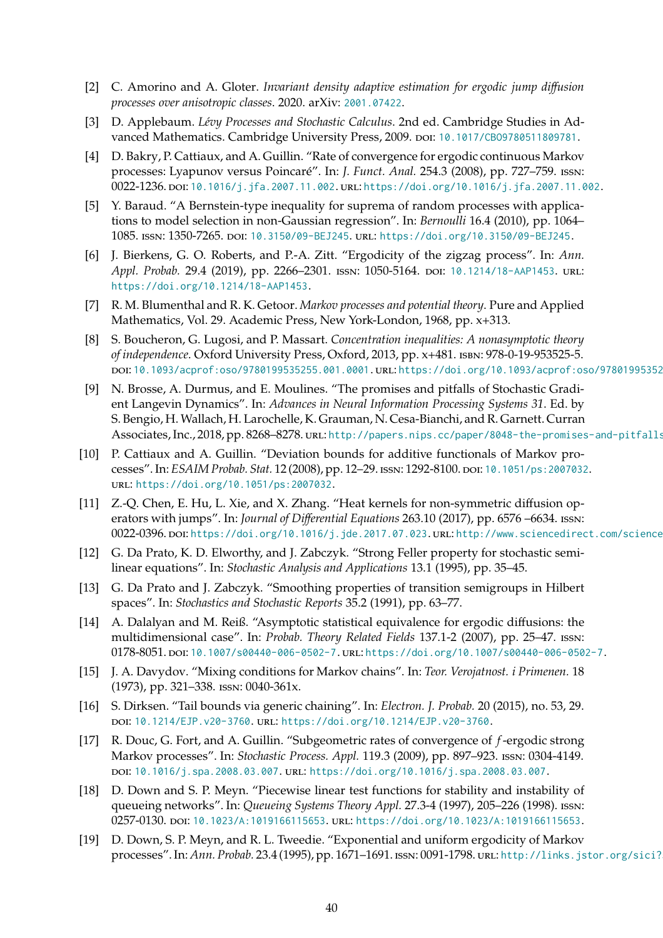- <span id="page-39-2"></span>[2] C. Amorino and A. Gloter. *Invariant density adaptive estimation for ergodic jump diffusion processes over anisotropic classes*. 2020. arXiv: [2001.07422](https://arxiv.org/abs/2001.07422).
- <span id="page-39-10"></span>[3] D. Applebaum. *Lévy Processes and Stochastic Calculus*. 2nd ed. Cambridge Studies in Advanced Mathematics. Cambridge University Press, 2009. DOI: 10.1017/CB09780511809781.
- <span id="page-39-5"></span>[4] D. Bakry, P. Cattiaux, and A. Guillin. "Rate of convergence for ergodic continuous Markov processes: Lyapunov versus Poincaré". In: *J. Funct. Anal.* 254.3 (2008), pp. 727–759. issn: 0022-1236. DOI: [10.1016/j.jfa.2007.11.002](https://doi.org/10.1016/j.jfa.2007.11.002). URL: <https://doi.org/10.1016/j.jfa.2007.11.002>.
- <span id="page-39-7"></span>[5] Y. Baraud. "A Bernstein-type inequality for suprema of random processes with applications to model selection in non-Gaussian regression". In: *Bernoulli* 16.4 (2010), pp. 1064– 1085. issn: 1350-7265. doi: [10.3150/09-BEJ245](https://doi.org/10.3150/09-BEJ245). url: <https://doi.org/10.3150/09-BEJ245>.
- <span id="page-39-11"></span>[6] J. Bierkens, G. O. Roberts, and P.-A. Zitt. "Ergodicity of the zigzag process". In: *Ann.* Appl. Probab. 29.4 (2019), pp. 2266-2301. ISSN: 1050-5164. DOI: [10.1214/18-AAP1453](https://doi.org/10.1214/18-AAP1453). URL: <https://doi.org/10.1214/18-AAP1453>.
- <span id="page-39-3"></span>[7] R. M. Blumenthal and R. K. Getoor. *Markov processes and potential theory*. Pure and Applied Mathematics, Vol. 29. Academic Press, New York-London, 1968, pp. x+313.
- <span id="page-39-16"></span>[8] S. Boucheron, G. Lugosi, and P. Massart. *Concentration inequalities: A nonasymptotic theory of independence*. Oxford University Press, Oxford, 2013, pp. x+481. isbn: 978-0-19-953525-5. DOI: [10.1093/acprof:oso/9780199535255.001.0001](https://doi.org/10.1093/acprof:oso/9780199535255.001.0001). URL: https://doi.org/10.1093/acprof:oso/97801995352
- <span id="page-39-0"></span>[9] N. Brosse, A. Durmus, and E. Moulines. "The promises and pitfalls of Stochastic Gradient Langevin Dynamics". In: *Advances in Neural Information Processing Systems 31*. Ed. by S. Bengio, H. Wallach, H. Larochelle, K. Grauman, N. Cesa-Bianchi, and R. Garnett. Curran Associates, Inc., 2018, pp. 8268–8278. url: http://papers.nips.cc/paper/8048-the-promises-and-pitfalls
- <span id="page-39-6"></span>[10] P. Cattiaux and A. Guillin. "Deviation bounds for additive functionals of Markov processes". In: *ESAIM Probab. Stat.* 12 (2008), pp. 12-29. ISSN: 1292-8100. DOI: 10.1051/ps: 2007032. url: <https://doi.org/10.1051/ps:2007032>.
- <span id="page-39-9"></span>[11] Z.-Q. Chen, E. Hu, L. Xie, and X. Zhang. "Heat kernels for non-symmetric diffusion operators with jumps". In: *Journal of Differential Equations* 263.10 (2017), pp. 6576 –6634. issn: 0022-0396. Doi: [https://doi.org/10.1016/j.jde.2017.07.023](https://doi.org/https://doi.org/10.1016/j.jde.2017.07.023). URL: http://www.sciencedirect.com/science
- <span id="page-39-13"></span>[12] G. Da Prato, K. D. Elworthy, and J. Zabczyk. "Strong Feller property for stochastic semilinear equations". In: *Stochastic Analysis and Applications* 13.1 (1995), pp. 35–45.
- <span id="page-39-14"></span>[13] G. Da Prato and J. Zabczyk. "Smoothing properties of transition semigroups in Hilbert spaces". In: *Stochastics and Stochastic Reports* 35.2 (1991), pp. 63–77.
- <span id="page-39-1"></span>[14] A. Dalalyan and M. Reiß. "Asymptotic statistical equivalence for ergodic diffusions: the multidimensional case". In: *Probab. Theory Related Fields* 137.1-2 (2007), pp. 25–47. issn: 0178-8051. poi: [10.1007/s00440-006-0502-7](https://doi.org/10.1007/s00440-006-0502-7). url: <https://doi.org/10.1007/s00440-006-0502-7>.
- <span id="page-39-15"></span>[15] J. A. Davydov. "Mixing conditions for Markov chains". In: *Teor. Verojatnost. i Primenen.* 18 (1973), pp. 321–338. issn: 0040-361x.
- <span id="page-39-8"></span>[16] S. Dirksen. "Tail bounds via generic chaining". In: *Electron. J. Probab.* 20 (2015), no. 53, 29. doi: [10.1214/EJP.v20-3760](https://doi.org/10.1214/EJP.v20-3760). url: <https://doi.org/10.1214/EJP.v20-3760>.
- <span id="page-39-17"></span>[17] R. Douc, G. Fort, and A. Guillin. "Subgeometric rates of convergence of f-ergodic strong Markov processes". In: *Stochastic Process. Appl.* 119.3 (2009), pp. 897–923. issn: 0304-4149. doi: [10.1016/j.spa.2008.03.007](https://doi.org/10.1016/j.spa.2008.03.007). url: <https://doi.org/10.1016/j.spa.2008.03.007>.
- <span id="page-39-12"></span>[18] D. Down and S. P. Meyn. "Piecewise linear test functions for stability and instability of queueing networks". In: *Queueing Systems Theory Appl.* 27.3-4 (1997), 205–226 (1998). issn: 0257-0130. DOI: [10.1023/A:1019166115653](https://doi.org/10.1023/A:1019166115653). URL: <https://doi.org/10.1023/A:1019166115653>.
- <span id="page-39-4"></span>[19] D. Down, S. P. Meyn, and R. L. Tweedie. "Exponential and uniform ergodicity of Markov processes". In: Ann. Probab. 23.4 (1995), pp. 1671-1691. ISSN: 0091-1798. URL: http://links.jstor.org/sici?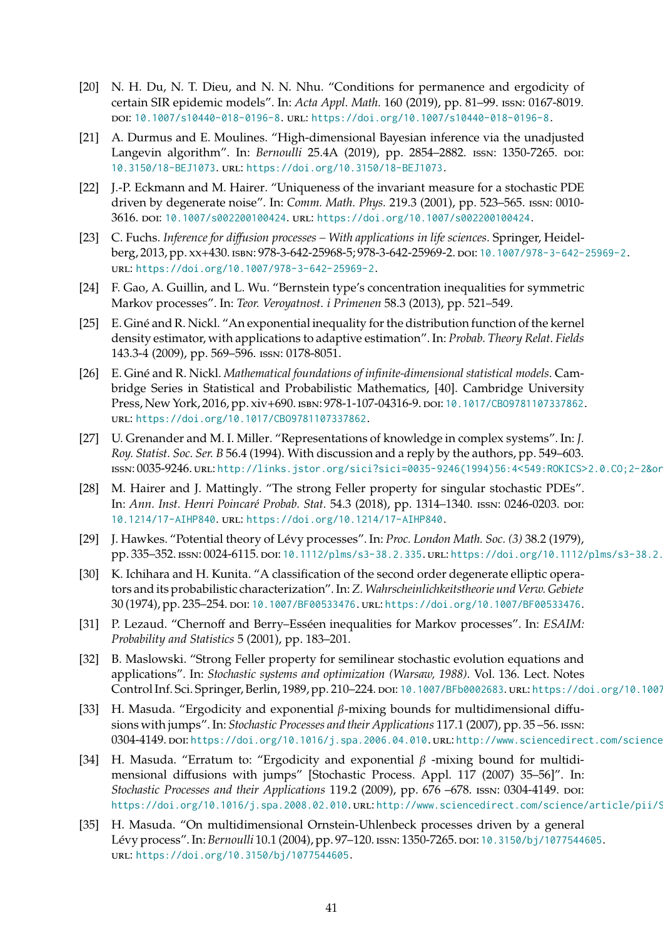- <span id="page-40-0"></span>[20] N. H. Du, N. T. Dieu, and N. N. Nhu. "Conditions for permanence and ergodicity of certain SIR epidemic models". In: *Acta Appl. Math.* 160 (2019), pp. 81–99. issn: 0167-8019. doi: [10.1007/s10440-018-0196-8](https://doi.org/10.1007/s10440-018-0196-8). url: <https://doi.org/10.1007/s10440-018-0196-8>.
- <span id="page-40-1"></span>[21] A. Durmus and E. Moulines. "High-dimensional Bayesian inference via the unadjusted Langevin algorithm". In: *Bernoulli* 25.4A (2019), pp. 2854-2882. ISSN: 1350-7265. DOI: [10.3150/18-BEJ1073](https://doi.org/10.3150/18-BEJ1073). url: <https://doi.org/10.3150/18-BEJ1073>.
- <span id="page-40-10"></span>[22] J.-P. Eckmann and M. Hairer. "Uniqueness of the invariant measure for a stochastic PDE driven by degenerate noise". In: *Comm. Math. Phys.* 219.3 (2001), pp. 523–565. issn: 0010- 3616. doi: [10.1007/s002200100424](https://doi.org/10.1007/s002200100424). url: <https://doi.org/10.1007/s002200100424>.
- <span id="page-40-2"></span>[23] C. Fuchs. *Inference for diffusion processes – With applications in life sciences*. Springer, Heidelberg, 2013, pp. xx+430. isbn: 978-3-642-25968-5; 978-3-642-25969-2. doi: [10.1007/978-3-642-25969-2](https://doi.org/10.1007/978-3-642-25969-2). url: <https://doi.org/10.1007/978-3-642-25969-2>.
- <span id="page-40-4"></span>[24] F. Gao, A. Guillin, and L. Wu. "Bernstein type's concentration inequalities for symmetric Markov processes". In: *Teor. Veroyatnost. i Primenen* 58.3 (2013), pp. 521–549.
- <span id="page-40-14"></span>[25] E. Giné and R. Nickl. "An exponential inequality for the distribution function of the kernel density estimator, with applications to adaptive estimation". In: *Probab. Theory Relat. Fields* 143.3-4 (2009), pp. 569–596. issn: 0178-8051.
- <span id="page-40-13"></span>[26] E. Giné and R. Nickl. *Mathematical foundations of infinite-dimensional statistical models*. Cambridge Series in Statistical and Probabilistic Mathematics, [40]. Cambridge University Press, New York, 2016, pp. xiv+690. ISBN: 978-1-107-04316-9. DOI: 10.1017/CB09781107337862. url: <https://doi.org/10.1017/CBO9781107337862>.
- <span id="page-40-3"></span>[27] U. Grenander and M. I. Miller. "Representations of knowledge in complex systems". In: *J. Roy. Statist. Soc. Ser. B* 56.4 (1994). With discussion and a reply by the authors, pp. 549–603. issn: 0035-9246. url: [http://links.jstor.org/sici?sici=0035-9246\(1994\)56:4<549:ROKICS>2.0.CO;2-2&origin=MSN](http://links.jstor.org/sici?sici=0035-9246(1994)56:4<549:ROKICS>2.0.CO;2-2&origin=MSN).
- <span id="page-40-12"></span>[28] M. Hairer and J. Mattingly. "The strong Feller property for singular stochastic PDEs". In: *Ann. Inst. Henri Poincaré Probab. Stat.* 54.3 (2018), pp. 1314–1340. issn: 0246-0203. doi: [10.1214/17-AIHP840](https://doi.org/10.1214/17-AIHP840). url: <https://doi.org/10.1214/17-AIHP840>.
- <span id="page-40-8"></span>[29] J. Hawkes. "Potential theory of Lévy processes". In: *Proc. London Math. Soc. (3)* 38.2 (1979), pp. 335–352. ISSN: 0024-6115. DOI: [10.1112/plms/s3-38.2.335](https://doi.org/10.1112/plms/s3-38.2.335). URL: https://doi.org/10.1112/plms/s3-38.2.
- <span id="page-40-9"></span>[30] K. Ichihara and H. Kunita. "A classification of the second order degenerate elliptic operators and its probabilistic characterization". In:*Z.Wahrscheinlichkeitstheorie und Verw. Gebiete* 30 (1974), pp. 235–254. doi: [10.1007/BF00533476](https://doi.org/10.1007/BF00533476). url: <https://doi.org/10.1007/BF00533476>.
- <span id="page-40-5"></span>[31] P. Lezaud. "Chernoff and Berry–Esséen inequalities for Markov processes". In: *ESAIM: Probability and Statistics* 5 (2001), pp. 183–201.
- <span id="page-40-11"></span>[32] B. Maslowski. "Strong Feller property for semilinear stochastic evolution equations and applications". In: *Stochastic systems and optimization (Warsaw, 1988)*. Vol. 136. Lect. Notes Control Inf. Sci. Springer, Berlin, 1989, pp. 210–224. doi: [10.1007/BFb0002683](https://doi.org/10.1007/BFb0002683). url: <https://doi.org/10.1007/BFb0002683>.
- <span id="page-40-7"></span>[33] H. Masuda. "Ergodicity and exponential  $\beta$ -mixing bounds for multidimensional diffusions with jumps". In: *Stochastic Processes and their Applications* 117.1 (2007), pp. 35 –56. issn: 0304-4149. poi: [https://doi.org/10.1016/j.spa.2006.04.010](https://doi.org/https://doi.org/10.1016/j.spa.2006.04.010). url: http://www.sciencedirect.com/science
- <span id="page-40-15"></span>[34] H. Masuda. "Erratum to: "Ergodicity and exponential  $\beta$  -mixing bound for multidimensional diffusions with jumps" [Stochastic Process. Appl. 117 (2007) 35–56]". In: *Stochastic Processes and their Applications* 119.2 (2009), pp. 676 –678. ISSN: 0304-4149. DOI: [https://doi.org/10.1016/j.spa.2008.02.010](https://doi.org/https://doi.org/10.1016/j.spa.2008.02.010). uRL: http://www.sciencedirect.com/science/article/pii/S
- <span id="page-40-6"></span>[35] H. Masuda. "On multidimensional Ornstein-Uhlenbeck processes driven by a general Lévy process". In: *Bernoulli* 10.1 (2004), pp. 97–120. issn: 1350-7265. doi: [10.3150/bj/1077544605](https://doi.org/10.3150/bj/1077544605). url: <https://doi.org/10.3150/bj/1077544605>.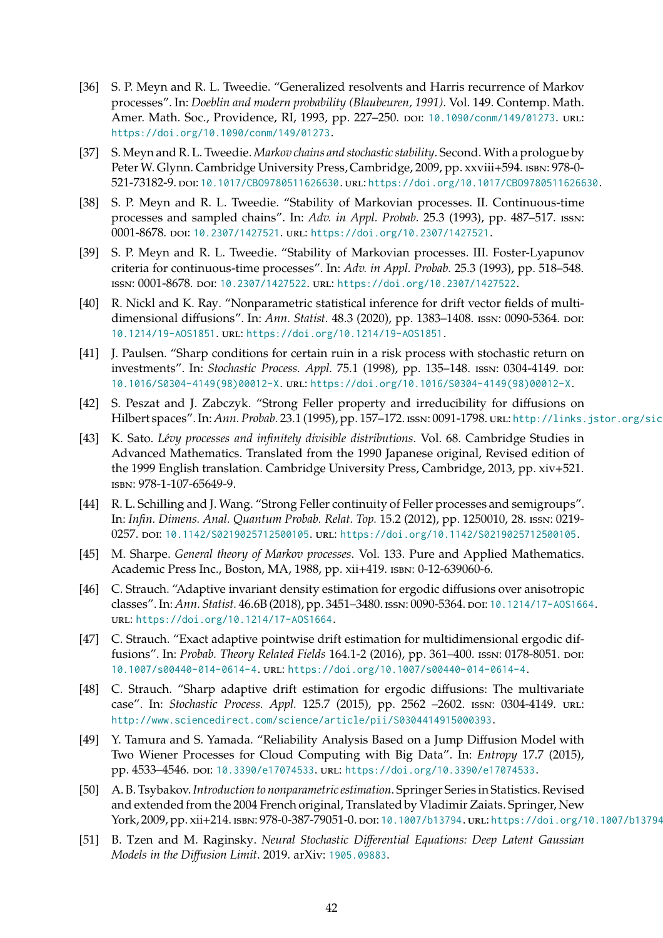- <span id="page-41-6"></span>[36] S. P. Meyn and R. L. Tweedie. "Generalized resolvents and Harris recurrence of Markov processes". In: *Doeblin and modern probability (Blaubeuren, 1991)*. Vol. 149. Contemp. Math. Amer. Math. Soc., Providence, RI, 1993, pp. 227-250. por: [10.1090/conm/149/01273](https://doi.org/10.1090/conm/149/01273). url: <https://doi.org/10.1090/conm/149/01273>.
- <span id="page-41-11"></span>[37] S. Meyn and R. L. Tweedie. *Markov chains and stochastic stability*. Second. With a prologue by Peter W. Glynn. Cambridge University Press, Cambridge, 2009, pp. xxviii+594. ISBN: 978-0-521-73182-9. doi: [10.1017/CBO9780511626630](https://doi.org/10.1017/CBO9780511626630). url: <https://doi.org/10.1017/CBO9780511626630>.
- <span id="page-41-7"></span>[38] S. P. Meyn and R. L. Tweedie. "Stability of Markovian processes. II. Continuous-time processes and sampled chains". In: *Adv. in Appl. Probab.* 25.3 (1993), pp. 487–517. issn: 0001-8678. poi: [10.2307/1427521](https://doi.org/10.2307/1427521). URL: <https://doi.org/10.2307/1427521>.
- <span id="page-41-8"></span>[39] S. P. Meyn and R. L. Tweedie. "Stability of Markovian processes. III. Foster-Lyapunov criteria for continuous-time processes". In: *Adv. in Appl. Probab.* 25.3 (1993), pp. 518–548. issn: 0001-8678. doi: [10.2307/1427522](https://doi.org/10.2307/1427522). url: <https://doi.org/10.2307/1427522>.
- <span id="page-41-4"></span>[40] R. Nickl and K. Ray. "Nonparametric statistical inference for drift vector fields of multidimensional diffusions". In: *Ann. Statist.* 48.3 (2020), pp. 1383-1408. ISSN: 0090-5364. DOI: [10.1214/19-AOS1851](https://doi.org/10.1214/19-AOS1851). url: <https://doi.org/10.1214/19-AOS1851>.
- <span id="page-41-12"></span>[41] J. Paulsen. "Sharp conditions for certain ruin in a risk process with stochastic return on investments". In: *Stochastic Process. Appl.* 75.1 (1998), pp. 135–148. issn: 0304-4149. doi: [10.1016/S0304-4149\(98\)00012-X](https://doi.org/10.1016/S0304-4149(98)00012-X). url: [https://doi.org/10.1016/S0304-4149\(98\)00012-X](https://doi.org/10.1016/S0304-4149(98)00012-X).
- <span id="page-41-13"></span>[42] S. Peszat and J. Zabczyk. "Strong Feller property and irreducibility for diffusions on Hilbert spaces". In: Ann. Probab. 23.1 (1995), pp. 157-172. ISSN: 0091-1798. URL: http://links.jstor.org/sic
- <span id="page-41-10"></span>[43] K. Sato. *Lévy processes and infinitely divisible distributions*. Vol. 68. Cambridge Studies in Advanced Mathematics. Translated from the 1990 Japanese original, Revised edition of the 1999 English translation. Cambridge University Press, Cambridge, 2013, pp. xiv+521. isbn: 978-1-107-65649-9.
- <span id="page-41-14"></span>[44] R. L. Schilling and J. Wang. "Strong Feller continuity of Feller processes and semigroups". In: *Infin. Dimens. Anal. Quantum Probab. Relat. Top.* 15.2 (2012), pp. 1250010, 28. issn: 0219- 0257. poi: [10.1142/S0219025712500105](https://doi.org/10.1142/S0219025712500105). url: <https://doi.org/10.1142/S0219025712500105>.
- <span id="page-41-5"></span>[45] M. Sharpe. *General theory of Markov processes*. Vol. 133. Pure and Applied Mathematics. Academic Press Inc., Boston, MA, 1988, pp. xii+419. isbn: 0-12-639060-6.
- <span id="page-41-9"></span>[46] C. Strauch. "Adaptive invariant density estimation for ergodic diffusions over anisotropic classes". In: *Ann. Statist.* 46.6B (2018), pp. 3451-3480. ISSN: 0090-5364. DOI: 10.1214/17-A0S1664. url: <https://doi.org/10.1214/17-AOS1664>.
- <span id="page-41-3"></span>[47] C. Strauch. "Exact adaptive pointwise drift estimation for multidimensional ergodic diffusions". In: *Probab. Theory Related Fields* 164.1-2 (2016), pp. 361-400. ISSN: 0178-8051. DOI: [10.1007/s00440-014-0614-4](https://doi.org/10.1007/s00440-014-0614-4). url: <https://doi.org/10.1007/s00440-014-0614-4>.
- <span id="page-41-2"></span>[48] C. Strauch. "Sharp adaptive drift estimation for ergodic diffusions: The multivariate case". In: *Stochastic Process. Appl.* 125.7 (2015), pp. 2562 –2602. issn: 0304-4149. url: <http://www.sciencedirect.com/science/article/pii/S0304414915000393>.
- <span id="page-41-0"></span>[49] Y. Tamura and S. Yamada. "Reliability Analysis Based on a Jump Diffusion Model with Two Wiener Processes for Cloud Computing with Big Data". In: *Entropy* 17.7 (2015), pp. 4533-4546. poi: [10.3390/e17074533](https://doi.org/10.3390/e17074533). url: <https://doi.org/10.3390/e17074533>.
- <span id="page-41-15"></span>[50] A. B. Tsybakov.*Introduction to nonparametric estimation*. Springer Series in Statistics. Revised and extended from the 2004 French original, Translated by Vladimir Zaiats. Springer, New York, 2009, pp. xii+214. ISBN: 978-0-387-79051-0. DOI: [10.1007/b13794](https://doi.org/10.1007/b13794). URL: <https://doi.org/10.1007/b13794>
- <span id="page-41-1"></span>[51] B. Tzen and M. Raginsky. *Neural Stochastic Differential Equations: Deep Latent Gaussian Models in the Diffusion Limit*. 2019. arXiv: [1905.09883](https://arxiv.org/abs/1905.09883).